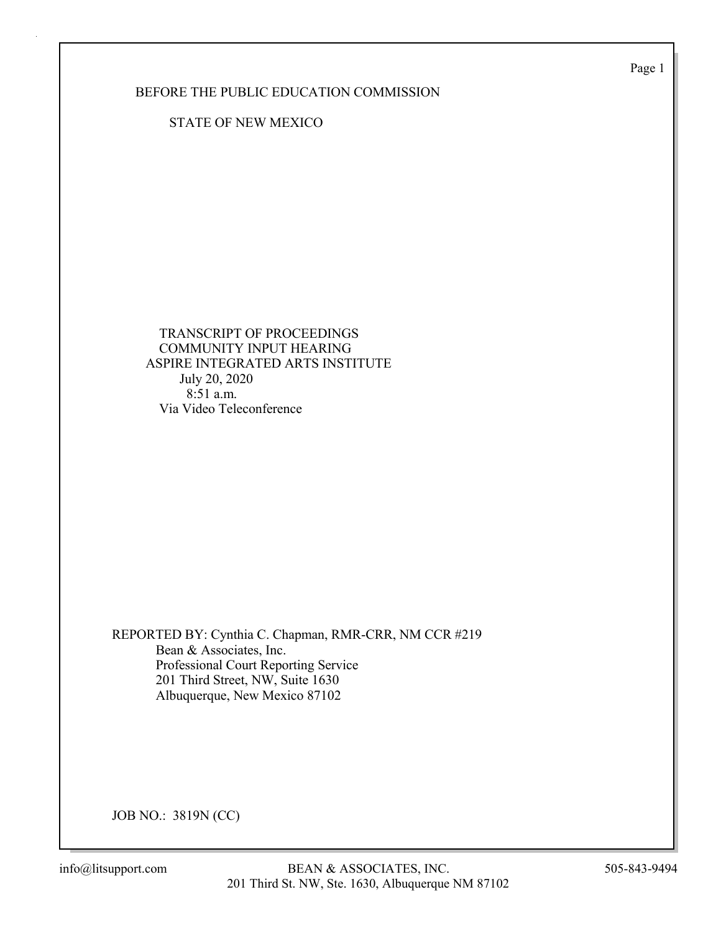Page 1

### BEFORE THE PUBLIC EDUCATION COMMISSION

STATE OF NEW MEXICO

 TRANSCRIPT OF PROCEEDINGS COMMUNITY INPUT HEARING ASPIRE INTEGRATED ARTS INSTITUTE July 20, 2020 8:51 a.m. Via Video Teleconference

REPORTED BY: Cynthia C. Chapman, RMR-CRR, NM CCR #219 Bean & Associates, Inc. Professional Court Reporting Service 201 Third Street, NW, Suite 1630 Albuquerque, New Mexico 87102

JOB NO.: 3819N (CC)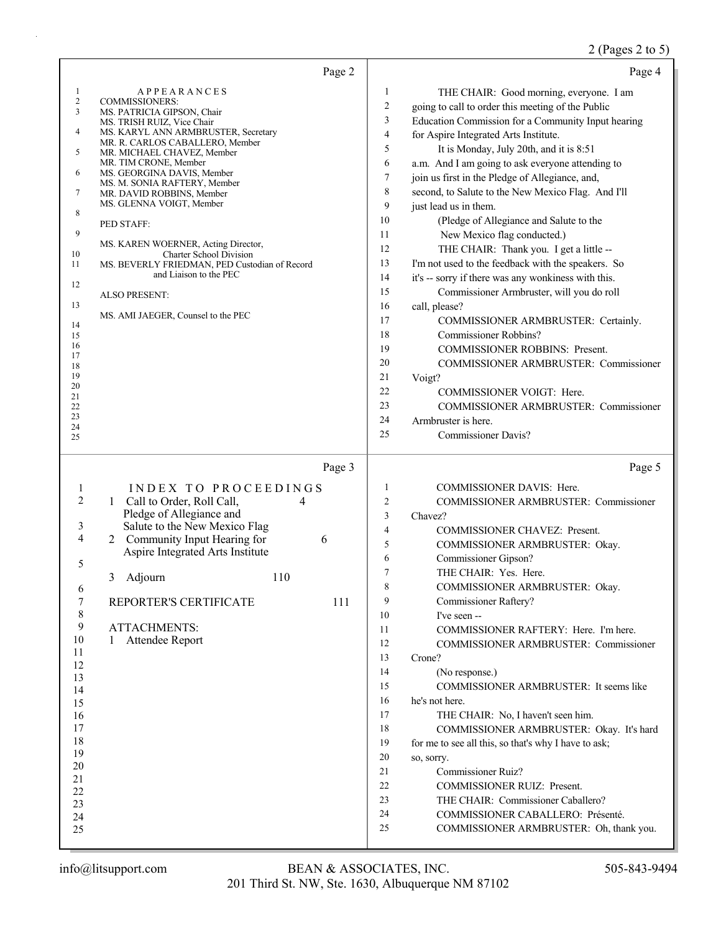# 2 (Pages 2 to 5)

| Page 2                                                                                                                                                                                                                                                                                                                                                                                                                                                                                                                                                                                                                                                                                                                                                           | Page 4                                                                                                                                                                                                                                                                                                                                                                                                                                                                                                                                                                                                                                                                                                                                                                                                                                                                                                                                                                                                                                                                                                                                                           |
|------------------------------------------------------------------------------------------------------------------------------------------------------------------------------------------------------------------------------------------------------------------------------------------------------------------------------------------------------------------------------------------------------------------------------------------------------------------------------------------------------------------------------------------------------------------------------------------------------------------------------------------------------------------------------------------------------------------------------------------------------------------|------------------------------------------------------------------------------------------------------------------------------------------------------------------------------------------------------------------------------------------------------------------------------------------------------------------------------------------------------------------------------------------------------------------------------------------------------------------------------------------------------------------------------------------------------------------------------------------------------------------------------------------------------------------------------------------------------------------------------------------------------------------------------------------------------------------------------------------------------------------------------------------------------------------------------------------------------------------------------------------------------------------------------------------------------------------------------------------------------------------------------------------------------------------|
| $\mathbf{1}$<br><b>APPEARANCES</b><br>$\sqrt{2}$<br><b>COMMISSIONERS:</b><br>3<br>MS. PATRICIA GIPSON, Chair<br>MS. TRISH RUIZ, Vice Chair<br>4<br>MS. KARYL ANN ARMBRUSTER, Secretary<br>MR. R. CARLOS CABALLERO, Member<br>5<br>MR. MICHAEL CHAVEZ, Member<br>MR. TIM CRONE, Member<br>6<br>MS. GEORGINA DAVIS, Member<br>MS. M. SONIA RAFTERY, Member<br>7<br>MR. DAVID ROBBINS, Member<br>MS. GLENNA VOIGT, Member<br>8<br>PED STAFF:<br>9<br>MS. KAREN WOERNER, Acting Director,<br>10<br><b>Charter School Division</b><br>MS. BEVERLY FRIEDMAN, PED Custodian of Record<br>11<br>and Liaison to the PEC<br>12<br><b>ALSO PRESENT:</b><br>13<br>MS. AMI JAEGER, Counsel to the PEC<br>14<br>15<br>16<br>17<br>18<br>19<br>20<br>21<br>22<br>23<br>24<br>25 | 1<br>THE CHAIR: Good morning, everyone. I am<br>2<br>going to call to order this meeting of the Public<br>3<br>Education Commission for a Community Input hearing<br>4<br>for Aspire Integrated Arts Institute.<br>5<br>It is Monday, July 20th, and it is 8:51<br>6<br>a.m. And I am going to ask everyone attending to<br>7<br>join us first in the Pledge of Allegiance, and,<br>8<br>second, to Salute to the New Mexico Flag. And I'll<br>9<br>just lead us in them.<br>10<br>(Pledge of Allegiance and Salute to the<br>11<br>New Mexico flag conducted.)<br>THE CHAIR: Thank you. I get a little --<br>12<br>13<br>I'm not used to the feedback with the speakers. So<br>14<br>it's -- sorry if there was any wonkiness with this.<br>15<br>Commissioner Armbruster, will you do roll<br>16<br>call, please?<br>17<br>COMMISSIONER ARMBRUSTER: Certainly.<br>18<br>Commissioner Robbins?<br>19<br><b>COMMISSIONER ROBBINS: Present.</b><br>20<br>COMMISSIONER ARMBRUSTER: Commissioner<br>21<br>Voigt?<br>22<br>COMMISSIONER VOIGT: Here.<br>23<br>COMMISSIONER ARMBRUSTER: Commissioner<br>24<br>Armbruster is here.<br>25<br><b>Commissioner Davis?</b> |
| Page 3<br>INDEX TO PROCEEDINGS<br>1<br>2<br>1 Call to Order, Roll Call,<br>4<br>Pledge of Allegiance and<br>Salute to the New Mexico Flag<br>3<br>4<br>Community Input Hearing for<br>6<br>2<br>Aspire Integrated Arts Institute<br>5<br>110<br>3<br>Adjourn<br>6<br>$\tau$<br>111<br>REPORTER'S CERTIFICATE<br>$\,$ $\,$<br>9<br><b>ATTACHMENTS:</b><br>10<br>Attendee Report<br>1<br>11<br>12<br>13<br>14<br>15<br>16<br>17<br>18<br>19<br>20<br>21<br>22<br>23<br>24<br>25                                                                                                                                                                                                                                                                                    | Page 5<br>1<br>COMMISSIONER DAVIS: Here.<br>$\overline{c}$<br>COMMISSIONER ARMBRUSTER: Commissioner<br>3<br>Chavez?<br>4<br>COMMISSIONER CHAVEZ: Present.<br>5<br>COMMISSIONER ARMBRUSTER: Okay.<br>6<br>Commissioner Gipson?<br>7<br>THE CHAIR: Yes. Here.<br>COMMISSIONER ARMBRUSTER: Okay.<br>9<br><b>Commissioner Raftery?</b><br>10<br>I've seen --<br>11<br>COMMISSIONER RAFTERY: Here. I'm here.<br>12<br>COMMISSIONER ARMBRUSTER: Commissioner<br>13<br>Crone?<br>14<br>(No response.)<br>15<br>COMMISSIONER ARMBRUSTER: It seems like<br>16<br>he's not here.<br>17<br>THE CHAIR: No, I haven't seen him.<br>18<br>COMMISSIONER ARMBRUSTER: Okay. It's hard<br>19<br>for me to see all this, so that's why I have to ask;<br>20<br>so, sorry.<br>21<br><b>Commissioner Ruiz?</b><br>22<br>COMMISSIONER RUIZ: Present.<br>23<br>THE CHAIR: Commissioner Caballero?<br>24<br>COMMISSIONER CABALLERO: Présenté.<br>25<br>COMMISSIONER ARMBRUSTER: Oh, thank you.                                                                                                                                                                                           |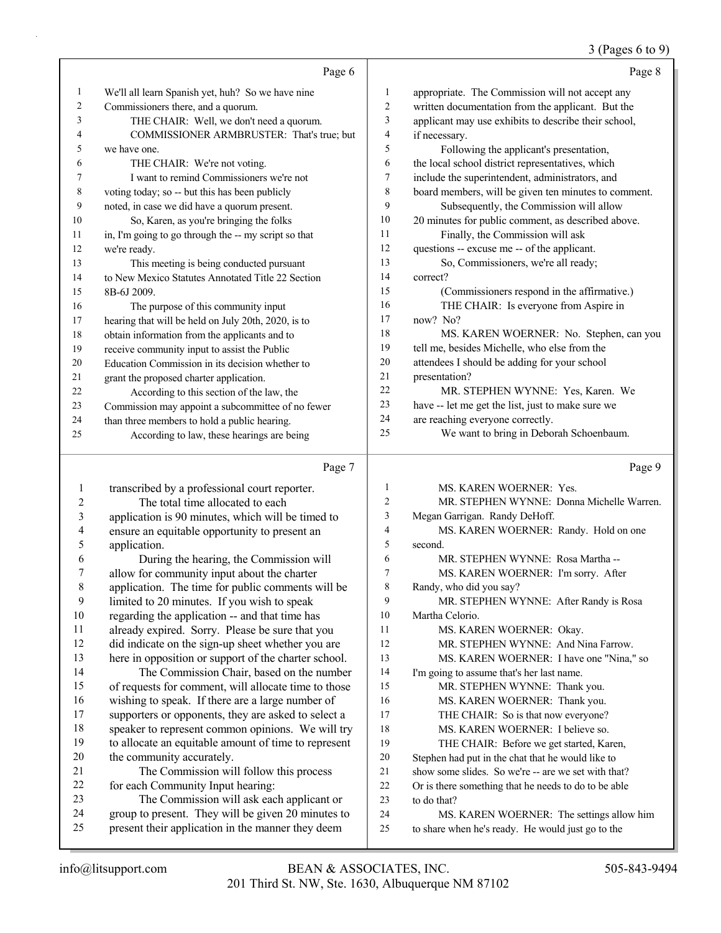#### 3 (Pages 6 to 9)

|    | Page 6                                               |                | Page 8                                               |
|----|------------------------------------------------------|----------------|------------------------------------------------------|
| 1  | We'll all learn Spanish yet, huh? So we have nine    | 1              | appropriate. The Commission will not accept any      |
| 2  | Commissioners there, and a quorum.                   | $\overline{2}$ | written documentation from the applicant. But the    |
| 3  | THE CHAIR: Well, we don't need a quorum.             | 3              | applicant may use exhibits to describe their school, |
| 4  | COMMISSIONER ARMBRUSTER: That's true; but            | 4              | if necessary.                                        |
| 5  | we have one.                                         | 5              | Following the applicant's presentation,              |
| 6  | THE CHAIR: We're not voting.                         | 6              | the local school district representatives, which     |
| 7  | I want to remind Commissioners we're not             | 7              | include the superintendent, administrators, and      |
| 8  | voting today; so -- but this has been publicly       | 8              | board members, will be given ten minutes to comment. |
| 9  | noted, in case we did have a quorum present.         | 9              | Subsequently, the Commission will allow              |
| 10 | So, Karen, as you're bringing the folks              | 10             | 20 minutes for public comment, as described above.   |
| 11 | in, I'm going to go through the -- my script so that | 11             | Finally, the Commission will ask                     |
| 12 | we're ready.                                         | 12             | questions -- excuse me -- of the applicant.          |
| 13 | This meeting is being conducted pursuant             | 13             | So, Commissioners, we're all ready;                  |
| 14 | to New Mexico Statutes Annotated Title 22 Section    | 14             | correct?                                             |
| 15 | 8B-6J 2009.                                          | 15             | (Commissioners respond in the affirmative.)          |
| 16 | The purpose of this community input                  | 16             | THE CHAIR: Is everyone from Aspire in                |
| 17 | hearing that will be held on July 20th, 2020, is to  | 17             | now? No?                                             |
| 18 | obtain information from the applicants and to        | 18             | MS. KAREN WOERNER: No. Stephen, can you              |
| 19 | receive community input to assist the Public         | 19             | tell me, besides Michelle, who else from the         |
| 20 | Education Commission in its decision whether to      | 20             | attendees I should be adding for your school         |
| 21 | grant the proposed charter application.              | 21             | presentation?                                        |
| 22 | According to this section of the law, the            | 22             | MR. STEPHEN WYNNE: Yes, Karen. We                    |
| 23 | Commission may appoint a subcommittee of no fewer    | 23             | have -- let me get the list, just to make sure we    |
| 24 | than three members to hold a public hearing.         | 24             | are reaching everyone correctly.                     |
| 25 | According to law, these hearings are being           | 25             | We want to bring in Deborah Schoenbaum.              |
|    | Page 7                                               |                | Page 9                                               |

3 application is 90 minutes, which will be timed to 4 ensure an equitable opportunity to present an 6 During the hearing, the Commission will 7 allow for community input about the charter 8 application. The time for public comments will be 10 regarding the application -- and that time has 11 already expired. Sorry. Please be sure that you 12 did indicate on the sign-up sheet whether you are 13 here in opposition or support of the charter school. 14 The Commission Chair, based on the number 15 of requests for comment, will allocate time to those 16 wishing to speak. If there are a large number of 17 supporters or opponents, they are asked to select a 18 speaker to represent common opinions. We will try 19 to allocate an equitable amount of time to represent 21 The Commission will follow this process 23 The Commission will ask each applicant or 24 group to present. They will be given 20 minutes to 25 present their application in the manner they deem 1 MS. KAREN WOERNER: Yes. 2 MR. STEPHEN WYNNE: Donna Michelle Warren. 3 Megan Garrigan. Randy DeHoff. 4 MS. KAREN WOERNER: Randy. Hold on one 5 second. 6 MR. STEPHEN WYNNE: Rosa Martha -- 7 MS. KAREN WOERNER: I'm sorry. After 8 Randy, who did you say? 9 MR. STEPHEN WYNNE: After Randy is Rosa 10 Martha Celorio. 11 MS. KAREN WOERNER: Okay. 12 MR. STEPHEN WYNNE: And Nina Farrow. 13 MS. KAREN WOERNER: I have one "Nina," so 14 I'm going to assume that's her last name. 15 MR. STEPHEN WYNNE: Thank you. 16 MS. KAREN WOERNER: Thank you. 17 THE CHAIR: So is that now everyone? 18 MS. KAREN WOERNER: I believe so. 19 THE CHAIR: Before we get started, Karen, 20 Stephen had put in the chat that he would like to 21 show some slides. So we're -- are we set with that? 22 Or is there something that he needs to do to be able 23 to do that? 24 MS. KAREN WOERNER: The settings allow him 25 to share when he's ready. He would just go to the

20 the community accurately.

22 for each Community Input hearing:

5 application.

1 transcribed by a professional court reporter. 2 The total time allocated to each

9 limited to 20 minutes. If you wish to speak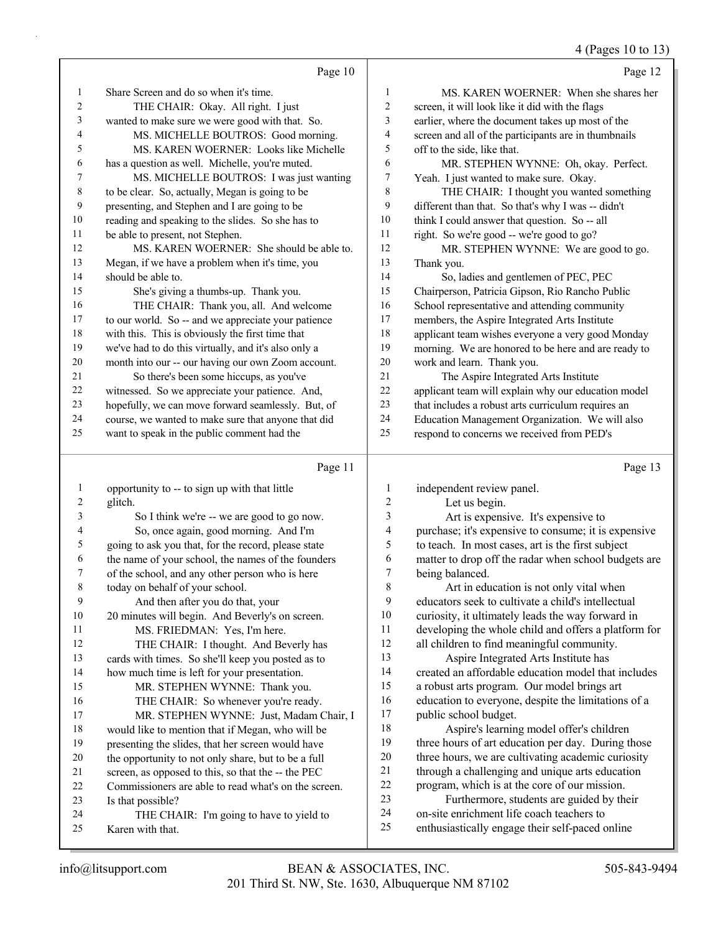4 (Pages 10 to 13)

|                |                                                      |                  | 4 (Pages 10 to 13                                    |
|----------------|------------------------------------------------------|------------------|------------------------------------------------------|
|                | Page 10                                              |                  | Page 12                                              |
| $\mathbf{1}$   | Share Screen and do so when it's time.               | $\mathbf{1}$     | MS. KAREN WOERNER: When she shares her               |
| $\overline{c}$ | THE CHAIR: Okay. All right. I just                   | $\overline{c}$   | screen, it will look like it did with the flags      |
| 3              | wanted to make sure we were good with that. So.      | 3                | earlier, where the document takes up most of the     |
| 4              | MS. MICHELLE BOUTROS: Good morning.                  | 4                | screen and all of the participants are in thumbnails |
| 5              | MS. KAREN WOERNER: Looks like Michelle               | 5                | off to the side, like that.                          |
| 6              | has a question as well. Michelle, you're muted.      | 6                | MR. STEPHEN WYNNE: Oh, okay. Perfect.                |
| 7              | MS. MICHELLE BOUTROS: I was just wanting             | $\boldsymbol{7}$ | Yeah. I just wanted to make sure. Okay.              |
| $\,$ $\,$      | to be clear. So, actually, Megan is going to be      | 8                | THE CHAIR: I thought you wanted something            |
| 9              | presenting, and Stephen and I are going to be        | 9                | different than that. So that's why I was -- didn't   |
| $10\,$         | reading and speaking to the slides. So she has to    | $10\,$           | think I could answer that question. So -- all        |
| 11             | be able to present, not Stephen.                     | $11\,$           | right. So we're good -- we're good to go?            |
| 12             | MS. KAREN WOERNER: She should be able to.            | 12               | MR. STEPHEN WYNNE: We are good to go.                |
| 13             | Megan, if we have a problem when it's time, you      | 13               | Thank you.                                           |
| 14             | should be able to.                                   | 14               | So, ladies and gentlemen of PEC, PEC                 |
| 15             | She's giving a thumbs-up. Thank you.                 | 15               | Chairperson, Patricia Gipson, Rio Rancho Public      |
| 16             | THE CHAIR: Thank you, all. And welcome               | 16               | School representative and attending community        |
| 17             | to our world. So -- and we appreciate your patience  | 17               | members, the Aspire Integrated Arts Institute        |
| 18             | with this. This is obviously the first time that     | 18               | applicant team wishes everyone a very good Monday    |
| 19             | we've had to do this virtually, and it's also only a | 19               | morning. We are honored to be here and are ready to  |
| 20             | month into our -- our having our own Zoom account.   | $20\,$           | work and learn. Thank you.                           |
| 21             | So there's been some hiccups, as you've              | 21               | The Aspire Integrated Arts Institute                 |
| 22             | witnessed. So we appreciate your patience. And,      | 22               | applicant team will explain why our education model  |
| 23             | hopefully, we can move forward seamlessly. But, of   | 23               | that includes a robust arts curriculum requires an   |
| 24             | course, we wanted to make sure that anyone that did  | 24               | Education Management Organization. We will also      |
| 25             | want to speak in the public comment had the          | 25               | respond to concerns we received from PED's           |
|                |                                                      |                  |                                                      |
|                | Page 11                                              |                  | Page 13                                              |
| $\mathbf{1}$   | opportunity to -- to sign up with that little        | $\,1$            | independent review panel.                            |
| $\sqrt{2}$     | glitch.                                              | $\boldsymbol{2}$ | Let us begin.                                        |
| 3              | So I think we're -- we are good to go now.           | 3                | Art is expensive. It's expensive to                  |
| 4              | So, once again, good morning. And I'm                | 4                | purchase; it's expensive to consume; it is expensive |
| 5              | going to ask you that, for the record, please state  | 5                | to teach. In most cases, art is the first subject    |
| 6              | the name of your school, the names of the founders   | 6                | matter to drop off the radar when school budgets are |
| 7              | of the school, and any other person who is here      | 7                | being balanced.                                      |
| 8              | today on behalf of your school.                      | $\,$ $\,$        | Art in education is not only vital when              |
| 9              | And then after you do that, your                     | 9                | educators seek to cultivate a child's intellectual   |

 20 minutes will begin. And Beverly's on screen. 11 MS. FRIEDMAN: Yes, I'm here. 12 THE CHAIR: I thought. And Beverly has cards with times. So she'll keep you posted as to how much time is left for your presentation. 15 MR. STEPHEN WYNNE: Thank you. 16 THE CHAIR: So whenever you're ready. 17 MR. STEPHEN WYNNE: Just, Madam Chair, I would like to mention that if Megan, who will be presenting the slides, that her screen would have 20 the opportunity to not only share, but to be a full screen, as opposed to this, so that the -- the PEC Commissioners are able to read what's on the screen. Is that possible?

24 THE CHAIR: I'm going to have to yield to Karen with that.

educators seek to cultivate a child's intellectual curiosity, it ultimately leads the way forward in developing the whole child and offers a platform for all children to find meaningful community. 13 Aspire Integrated Arts Institute has

 created an affordable education model that includes a robust arts program. Our model brings art education to everyone, despite the limitations of a public school budget.

18 Aspire's learning model offer's children 19 three hours of art education per day. During those three hours, we are cultivating academic curiosity through a challenging and unique arts education program, which is at the core of our mission.

23 Furthermore, students are guided by their on-site enrichment life coach teachers to

enthusiastically engage their self-paced online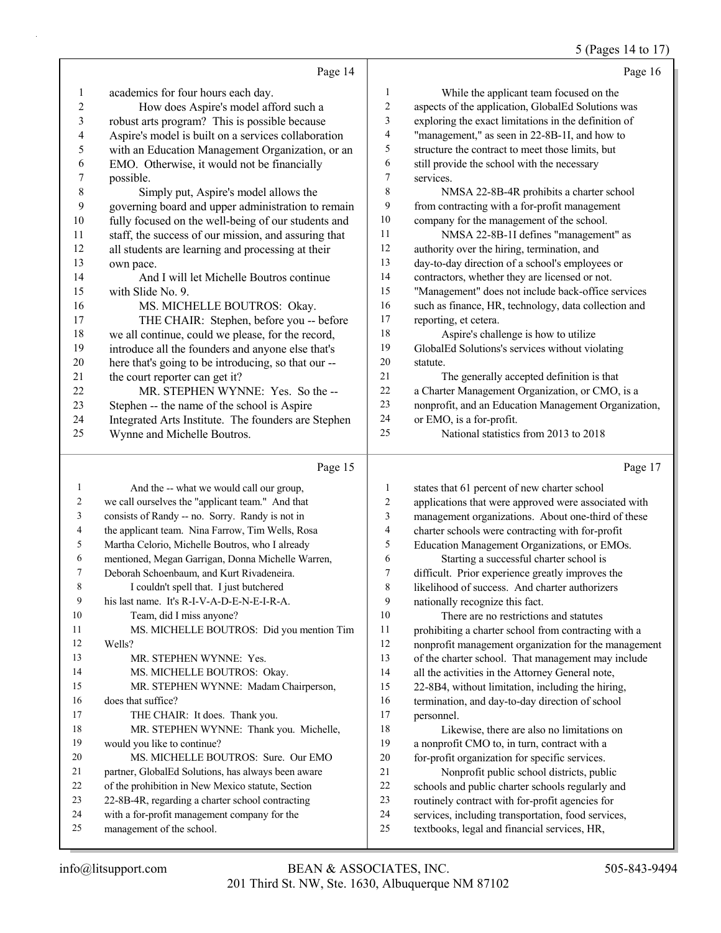#### 5 (Pages 14 to 17)

|                          | Page 14                                              |                          | Page 16                                              |
|--------------------------|------------------------------------------------------|--------------------------|------------------------------------------------------|
| 1                        | academics for four hours each day.                   | $\mathbf{1}$             | While the applicant team focused on the              |
| $\overline{c}$           | How does Aspire's model afford such a                | $\overline{c}$           | aspects of the application, GlobalEd Solutions was   |
| 3                        | robust arts program? This is possible because        | 3                        | exploring the exact limitations in the definition of |
| $\overline{\mathcal{A}}$ | Aspire's model is built on a services collaboration  | 4                        | "management," as seen in 22-8B-1I, and how to        |
| 5                        | with an Education Management Organization, or an     | 5                        | structure the contract to meet those limits, but     |
| 6                        | EMO. Otherwise, it would not be financially          | 6                        | still provide the school with the necessary          |
| $\boldsymbol{7}$         | possible.                                            | $\boldsymbol{7}$         | services.                                            |
| 8                        | Simply put, Aspire's model allows the                | 8                        | NMSA 22-8B-4R prohibits a charter school             |
| 9                        | governing board and upper administration to remain   | 9                        | from contracting with a for-profit management        |
| 10                       | fully focused on the well-being of our students and  | 10                       | company for the management of the school.            |
| 11                       | staff, the success of our mission, and assuring that | 11                       | NMSA 22-8B-1I defines "management" as                |
| 12                       | all students are learning and processing at their    | 12                       | authority over the hiring, termination, and          |
| 13                       | own pace.                                            | 13                       | day-to-day direction of a school's employees or      |
| 14                       | And I will let Michelle Boutros continue             | 14                       | contractors, whether they are licensed or not.       |
| 15                       | with Slide No. 9.                                    | 15                       | "Management" does not include back-office services   |
| 16                       | MS. MICHELLE BOUTROS: Okay.                          | 16                       | such as finance, HR, technology, data collection and |
| 17                       | THE CHAIR: Stephen, before you -- before             | 17                       | reporting, et cetera.                                |
| 18                       | we all continue, could we please, for the record,    | 18                       | Aspire's challenge is how to utilize                 |
| 19                       | introduce all the founders and anyone else that's    | 19                       | GlobalEd Solutions's services without violating      |
| 20                       | here that's going to be introducing, so that our --  | 20                       | statute.                                             |
| 21                       | the court reporter can get it?                       | $21\,$                   | The generally accepted definition is that            |
| 22                       | MR. STEPHEN WYNNE: Yes. So the --                    | 22                       | a Charter Management Organization, or CMO, is a      |
| 23                       | Stephen -- the name of the school is Aspire          | 23                       | nonprofit, and an Education Management Organization, |
| 24                       | Integrated Arts Institute. The founders are Stephen  | 24                       | or EMO, is a for-profit.                             |
| 25                       | Wynne and Michelle Boutros.                          | 25                       | National statistics from 2013 to 2018                |
|                          | Page 15                                              |                          | Page 17                                              |
| $\mathbf{1}$             | And the -- what we would call our group,             | 1                        | states that 61 percent of new charter school         |
| $\overline{c}$           | we call ourselves the "applicant team." And that     | $\overline{c}$           | applications that were approved were associated with |
| 3                        | consists of Randy -- no. Sorry. Randy is not in      | 3                        | management organizations. About one-third of these   |
| 4                        | the applicant team. Nina Farrow, Tim Wells, Rosa     | $\overline{\mathcal{A}}$ | charter schools were contracting with for-profit     |
| 5                        | Martha Celorio, Michelle Boutros, who I already      | 5                        | Education Management Organizations, or EMOs.         |
| 6                        | mentioned, Megan Garrigan, Donna Michelle Warren,    | 6                        | Starting a successful charter school is              |
| 7                        | Deborah Schoenbaum, and Kurt Rivadeneira.            | 7                        | difficult. Prior experience greatly improves the     |
| 8                        | I couldn't spell that. I just butchered              | $\,$ $\,$                | likelihood of success. And charter authorizers       |
| 9                        | his last name. It's R-I-V-A-D-E-N-E-I-R-A.           | 9                        | nationally recognize this fact.                      |
| 10                       | Team, did I miss anyone?                             | 10                       | There are no restrictions and statutes               |

10 Team, did I miss anyone? 11 MS. MICHELLE BOUTROS: Did you mention Tim Wells? 13 MR. STEPHEN WYNNE: Yes. 14 MS. MICHELLE BOUTROS: Okay. 15 MR. STEPHEN WYNNE: Madam Chairperson, does that suffice? 17 THE CHAIR: It does. Thank you. 18 MR. STEPHEN WYNNE: Thank you. Michelle, would you like to continue? 20 MS. MICHELLE BOUTROS: Sure. Our EMO partner, GlobalEd Solutions, has always been aware

of the prohibition in New Mexico statute, Section

- 22-8B-4R, regarding a charter school contracting
- with a for-profit management company for the

management of the school.

 nonprofit management organization for the management of the charter school. That management may include all the activities in the Attorney General note, 22-8B4, without limitation, including the hiring, termination, and day-to-day direction of school personnel. 18 Likewise, there are also no limitations on

prohibiting a charter school from contracting with a

 a nonprofit CMO to, in turn, contract with a for-profit organization for specific services. 21 Nonprofit public school districts, public

- schools and public charter schools regularly and
- routinely contract with for-profit agencies for
- services, including transportation, food services,
- textbooks, legal and financial services, HR,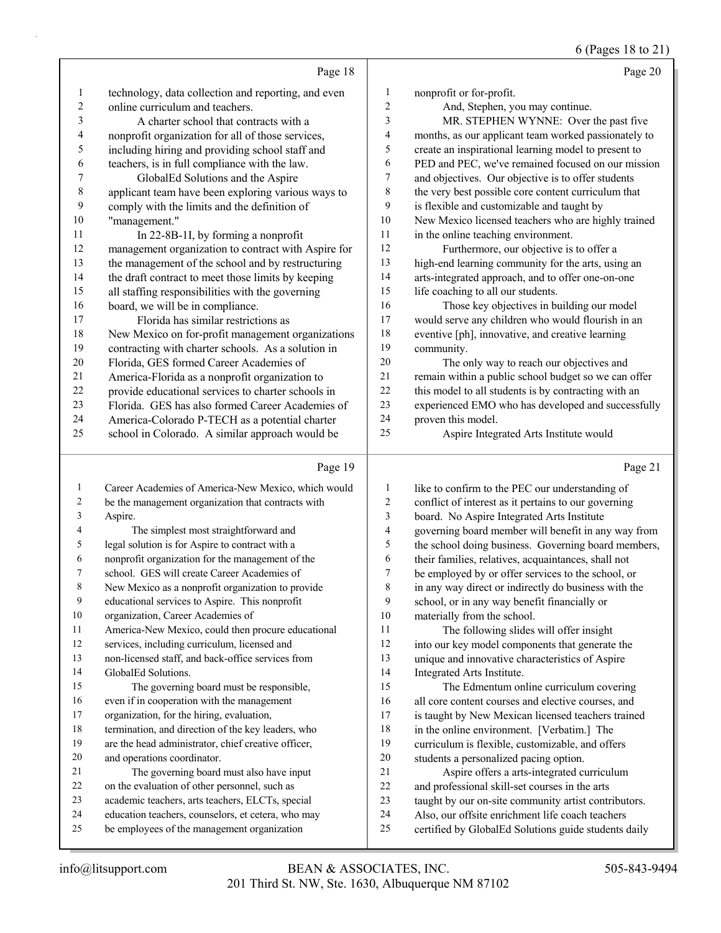6 (Pages 18 to 21)

|              | Page 18                                             |                          | Page 20                                              |
|--------------|-----------------------------------------------------|--------------------------|------------------------------------------------------|
| $\mathbf{1}$ | technology, data collection and reporting, and even | 1                        | nonprofit or for-profit.                             |
| $\sqrt{2}$   | online curriculum and teachers.                     | 2                        | And, Stephen, you may continue.                      |
| 3            | A charter school that contracts with a              | 3                        | MR. STEPHEN WYNNE: Over the past five                |
| 4            | nonprofit organization for all of those services,   | $\overline{\mathcal{A}}$ | months, as our applicant team worked passionately to |
| 5            | including hiring and providing school staff and     | 5                        | create an inspirational learning model to present to |
| 6            | teachers, is in full compliance with the law.       | 6                        | PED and PEC, we've remained focused on our mission   |
| 7            | GlobalEd Solutions and the Aspire                   | 7                        | and objectives. Our objective is to offer students   |
| $\,$ 8 $\,$  | applicant team have been exploring various ways to  | 8                        | the very best possible core content curriculum that  |
| $\mathbf{9}$ | comply with the limits and the definition of        | 9                        | is flexible and customizable and taught by           |
| 10           | "management."                                       | 10                       | New Mexico licensed teachers who are highly trained  |
| 11           | In 22-8B-1I, by forming a nonprofit                 | 11                       | in the online teaching environment.                  |
| 12           | management organization to contract with Aspire for | 12                       | Furthermore, our objective is to offer a             |
| 13           | the management of the school and by restructuring   | 13                       | high-end learning community for the arts, using an   |
| 14           | the draft contract to meet those limits by keeping  | 14                       | arts-integrated approach, and to offer one-on-one    |
| 15           | all staffing responsibilities with the governing    | 15                       | life coaching to all our students.                   |
| 16           | board, we will be in compliance.                    | 16                       | Those key objectives in building our model           |
| 17           | Florida has similar restrictions as                 | 17                       | would serve any children who would flourish in an    |
| $18\,$       | New Mexico on for-profit management organizations   | 18                       | eventive [ph], innovative, and creative learning     |
| 19           | contracting with charter schools. As a solution in  | 19                       | community.                                           |
| 20           | Florida, GES formed Career Academies of             | 20                       | The only way to reach our objectives and             |
| 21           | America-Florida as a nonprofit organization to      | 21                       | remain within a public school budget so we can offer |
| 22           | provide educational services to charter schools in  | 22                       | this model to all students is by contracting with an |
| 23           | Florida. GES has also formed Career Academies of    | 23                       | experienced EMO who has developed and successfully   |
| 24           | America-Colorado P-TECH as a potential charter      | 24                       | proven this model.                                   |
| 25           | school in Colorado. A similar approach would be     | 25                       | Aspire Integrated Arts Institute would               |
|              |                                                     |                          |                                                      |
|              | Page 19                                             |                          | Page 21                                              |
| 1            | Career Academies of America-New Mexico, which would | 1                        | like to confirm to the PEC our understanding of      |
| 2            | be the management organization that contracts with  | $\overline{c}$           | conflict of interest as it pertains to our governing |
| 3            | Aspire.                                             | 3                        | board. No Aspire Integrated Arts Institute           |
| 4            | The simplest most straightforward and               | 4                        | governing board member will benefit in any way from  |
| 5            | legal solution is for Aspire to contract with a     | 5                        | the school doing business. Governing board members,  |

- legal solution is for Aspire to contract with a
- nonprofit organization for the management of the school. GES will create Career Academies of
- New Mexico as a nonprofit organization to provide
- educational services to Aspire. This nonprofit
- organization, Career Academies of
- America-New Mexico, could then procure educational
- services, including curriculum, licensed and
- non-licensed staff, and back-office services from GlobalEd Solutions.
- 15 The governing board must be responsible,
- even if in cooperation with the management
- organization, for the hiring, evaluation,
- termination, and direction of the key leaders, who
- are the head administrator, chief creative officer,
- and operations coordinator. 21 The governing board must also have input
- on the evaluation of other personnel, such as
- academic teachers, arts teachers, ELCTs, special
- education teachers, counselors, et cetera, who may be employees of the management organization
- and professional skill-set courses in the arts taught by our on-site community artist contributors. Also, our offsite enrichment life coach teachers certified by GlobalEd Solutions guide students daily

21 Aspire offers a arts-integrated curriculum

 their families, relatives, acquaintances, shall not be employed by or offer services to the school, or in any way direct or indirectly do business with the

school, or in any way benefit financially or

11 The following slides will offer insight into our key model components that generate the unique and innovative characteristics of Aspire

students a personalized pacing option.

15 The Edmentum online curriculum covering all core content courses and elective courses, and is taught by New Mexican licensed teachers trained in the online environment. [Verbatim.] The curriculum is flexible, customizable, and offers

materially from the school.

Integrated Arts Institute.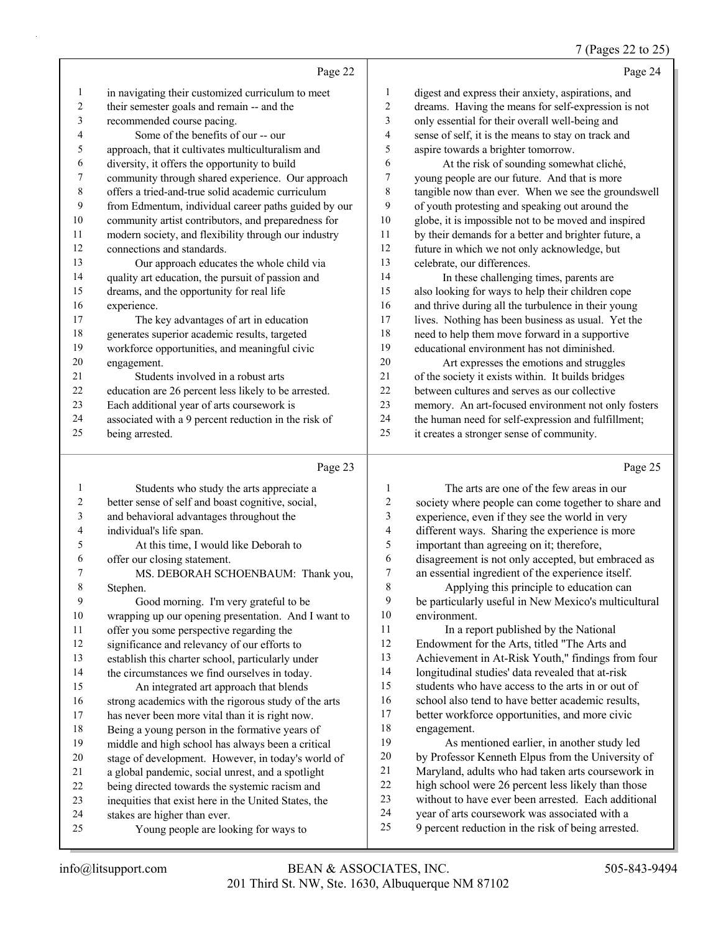### 7 (Pages 22 to 25)

|                |                                                      |        | حمد المنا<br>$-0 = 0 - 0$                            |
|----------------|------------------------------------------------------|--------|------------------------------------------------------|
|                | Page 22                                              |        | Page 24                                              |
| $\mathbf{1}$   | in navigating their customized curriculum to meet    | 1      | digest and express their anxiety, aspirations, and   |
| $\overline{2}$ | their semester goals and remain -- and the           | 2      | dreams. Having the means for self-expression is not  |
| 3              | recommended course pacing.                           | 3      | only essential for their overall well-being and      |
| 4              | Some of the benefits of our -- our                   | 4      | sense of self, it is the means to stay on track and  |
| 5              | approach, that it cultivates multiculturalism and    | 5      | aspire towards a brighter tomorrow.                  |
| 6              | diversity, it offers the opportunity to build        | 6      | At the risk of sounding somewhat cliché,             |
| 7              | community through shared experience. Our approach    | 7      | young people are our future. And that is more        |
| $\,$ $\,$      | offers a tried-and-true solid academic curriculum    | 8      | tangible now than ever. When we see the groundswell  |
| 9              | from Edmentum, individual career paths guided by our | 9      | of youth protesting and speaking out around the      |
| $10\,$         | community artist contributors, and preparedness for  | 10     | globe, it is impossible not to be moved and inspired |
| 11             | modern society, and flexibility through our industry | $11\,$ | by their demands for a better and brighter future, a |
| 12             | connections and standards.                           | 12     | future in which we not only acknowledge, but         |
| 13             | Our approach educates the whole child via            | 13     | celebrate, our differences.                          |
| 14             | quality art education, the pursuit of passion and    | 14     | In these challenging times, parents are              |
| 15             | dreams, and the opportunity for real life            | 15     | also looking for ways to help their children cope    |
| 16             | experience.                                          | 16     | and thrive during all the turbulence in their young  |
| 17             | The key advantages of art in education               | 17     | lives. Nothing has been business as usual. Yet the   |
| 18             | generates superior academic results, targeted        | 18     | need to help them move forward in a supportive       |
| 19             | workforce opportunities, and meaningful civic        | 19     | educational environment has not diminished.          |
| 20             | engagement.                                          | 20     | Art expresses the emotions and struggles             |
| 21             | Students involved in a robust arts                   | 21     | of the society it exists within. It builds bridges   |
| 22             | education are 26 percent less likely to be arrested. | 22     | between cultures and serves as our collective        |
| 23             | Each additional year of arts coursework is           | 23     | memory. An art-focused environment not only fosters  |
| 24             | associated with a 9 percent reduction in the risk of | 24     | the human need for self-expression and fulfillment;  |
| 25             | being arrested.                                      | 25     | it creates a stronger sense of community.            |
|                | Page 23                                              |        | Page 25                                              |

|                | Students who study the arts appreciate a             |    | The arts are one of the few areas in our             |
|----------------|------------------------------------------------------|----|------------------------------------------------------|
| $\overline{2}$ | better sense of self and boast cognitive, social,    | 2  | society where people can come together to share and  |
| 3              | and behavioral advantages throughout the             | 3  | experience, even if they see the world in very       |
| 4              | individual's life span.                              | 4  | different ways. Sharing the experience is more       |
| 5              | At this time, I would like Deborah to                | 5  | important than agreeing on it; therefore,            |
| 6              | offer our closing statement.                         | 6  | disagreement is not only accepted, but embraced as   |
| 7              | MS. DEBORAH SCHOENBAUM: Thank you,                   | 7  | an essential ingredient of the experience itself.    |
| 8              | Stephen.                                             | 8  | Applying this principle to education can             |
| 9              | Good morning. I'm very grateful to be                | 9  | be particularly useful in New Mexico's multicultural |
| 10             | wrapping up our opening presentation. And I want to  | 10 | environment.                                         |
| 11             | offer you some perspective regarding the             | 11 | In a report published by the National                |
| 12             | significance and relevancy of our efforts to         | 12 | Endowment for the Arts, titled "The Arts and         |
| 13             | establish this charter school, particularly under    | 13 | Achievement in At-Risk Youth," findings from four    |
| 14             | the circumstances we find ourselves in today.        | 14 | longitudinal studies' data revealed that at-risk     |
| 15             | An integrated art approach that blends               | 15 | students who have access to the arts in or out of    |
| 16             | strong academics with the rigorous study of the arts | 16 | school also tend to have better academic results,    |
| 17             | has never been more vital than it is right now.      | 17 | better workforce opportunities, and more civic       |
| 18             | Being a young person in the formative years of       | 18 | engagement.                                          |
| 19             | middle and high school has always been a critical    | 19 | As mentioned earlier, in another study led           |
| 20             | stage of development. However, in today's world of   | 20 | by Professor Kenneth Elpus from the University of    |
| 21             | a global pandemic, social unrest, and a spotlight    | 21 | Maryland, adults who had taken arts coursework in    |
| 22             | being directed towards the systemic racism and       | 22 | high school were 26 percent less likely than those   |
| 23             | inequities that exist here in the United States, the | 23 | without to have ever been arrested. Each additional  |
| 24             | stakes are higher than ever.                         | 24 | year of arts coursework was associated with a        |
| 25             | Young people are looking for ways to                 | 25 | 9 percent reduction in the risk of being arrested.   |
|                |                                                      |    |                                                      |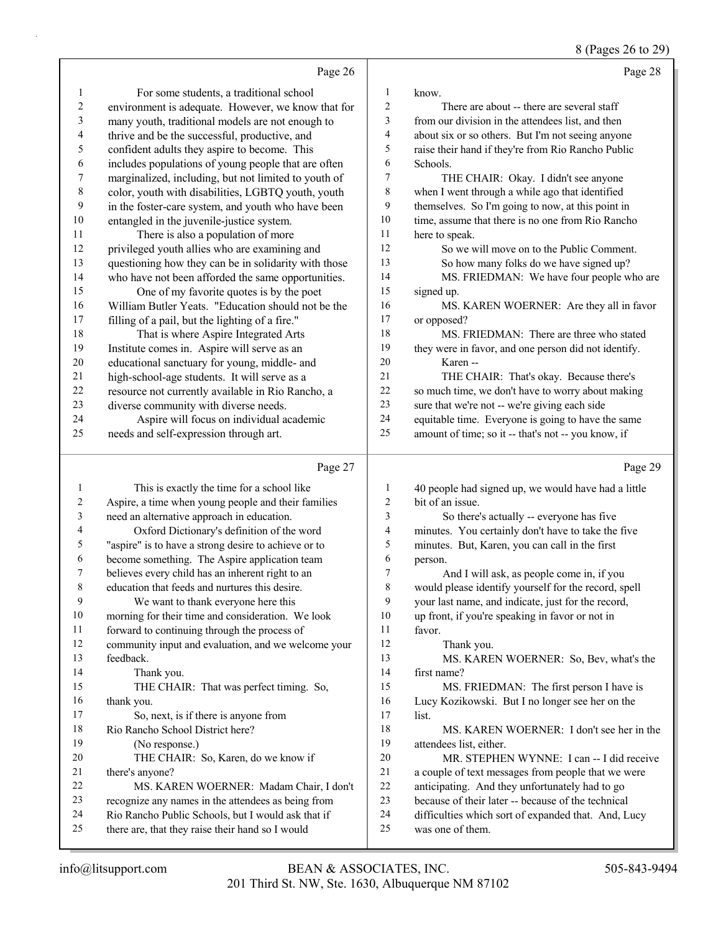8 (Pages 26 to 29)

|                | Page 26                                              |    | Page 28                                              |
|----------------|------------------------------------------------------|----|------------------------------------------------------|
| 1              | For some students, a traditional school              | 1  | know.                                                |
| $\overline{2}$ | environment is adequate. However, we know that for   | 2  | There are about -- there are several staff           |
| 3              | many youth, traditional models are not enough to     | 3  | from our division in the attendees list, and then    |
| 4              | thrive and be the successful, productive, and        | 4  | about six or so others. But I'm not seeing anyone    |
| 5              | confident adults they aspire to become. This         | 5  | raise their hand if they're from Rio Rancho Public   |
| 6              | includes populations of young people that are often  | 6  | Schools.                                             |
| 7              | marginalized, including, but not limited to youth of | 7  | THE CHAIR: Okay. I didn't see anyone                 |
| 8              | color, youth with disabilities, LGBTQ youth, youth   | 8  | when I went through a while ago that identified      |
| 9              | in the foster-care system, and youth who have been   | 9  | themselves. So I'm going to now, at this point in    |
| 10             | entangled in the juvenile-justice system.            | 10 | time, assume that there is no one from Rio Rancho    |
| 11             | There is also a population of more                   | 11 | here to speak.                                       |
| 12             | privileged youth allies who are examining and        | 12 | So we will move on to the Public Comment.            |
| 13             | questioning how they can be in solidarity with those | 13 | So how many folks do we have signed up?              |
| 14             | who have not been afforded the same opportunities.   | 14 | MS. FRIEDMAN: We have four people who are            |
| 15             | One of my favorite quotes is by the poet             | 15 | signed up.                                           |
| 16             | William Butler Yeats. "Education should not be the   | 16 | MS. KAREN WOERNER: Are they all in favor             |
| 17             | filling of a pail, but the lighting of a fire."      | 17 | or opposed?                                          |
| 18             | That is where Aspire Integrated Arts                 | 18 | MS. FRIEDMAN: There are three who stated             |
| 19             | Institute comes in. Aspire will serve as an          | 19 | they were in favor, and one person did not identify. |
| 20             | educational sanctuary for young, middle- and         | 20 | Karen --                                             |
| 21             | high-school-age students. It will serve as a         | 21 | THE CHAIR: That's okay. Because there's              |
| 22             | resource not currently available in Rio Rancho, a    | 22 | so much time, we don't have to worry about making    |
| 23             | diverse community with diverse needs.                | 23 | sure that we're not -- we're giving each side        |
| 24             | Aspire will focus on individual academic             | 24 | equitable time. Everyone is going to have the same   |
| 25             | needs and self-expression through art.               | 25 | amount of time; so it -- that's not -- you know, if  |
|                | Page 27                                              |    | Page 29                                              |
|                | This is exactly the time for a school like           | 1  | 40 people had signed up, we would have had a little  |

| Ι. | This is exactly the time for a school like           | L  | 40 people had signed up, we would have had a little  |
|----|------------------------------------------------------|----|------------------------------------------------------|
| 2  | Aspire, a time when young people and their families  | 2  | bit of an issue.                                     |
| 3  | need an alternative approach in education.           | 3  | So there's actually -- everyone has five             |
| 4  | Oxford Dictionary's definition of the word           | 4  | minutes. You certainly don't have to take the five   |
| 5  | "aspire" is to have a strong desire to achieve or to | 5  | minutes. But, Karen, you can call in the first       |
| 6  | become something. The Aspire application team        | 6  | person.                                              |
| 7  | believes every child has an inherent right to an     | 7  | And I will ask, as people come in, if you            |
| 8  | education that feeds and nurtures this desire.       | 8  | would please identify yourself for the record, spell |
| 9  | We want to thank everyone here this                  | 9  | your last name, and indicate, just for the record,   |
| 10 | morning for their time and consideration. We look    | 10 | up front, if you're speaking in favor or not in      |
| 11 | forward to continuing through the process of         | 11 | favor.                                               |
| 12 | community input and evaluation, and we welcome your  | 12 | Thank you.                                           |
| 13 | feedback.                                            | 13 | MS. KAREN WOERNER: So, Bev, what's the               |
| 14 | Thank you.                                           | 14 | first name?                                          |
| 15 | THE CHAIR: That was perfect timing. So,              | 15 | MS. FRIEDMAN: The first person I have is             |
| 16 | thank you.                                           | 16 | Lucy Kozikowski. But I no longer see her on the      |
| 17 | So, next, is if there is anyone from                 | 17 | list.                                                |
| 18 | Rio Rancho School District here?                     | 18 | MS. KAREN WOERNER: I don't see her in the            |
| 19 | (No response.)                                       | 19 | attendees list, either.                              |
| 20 | THE CHAIR: So, Karen, do we know if                  | 20 | MR. STEPHEN WYNNE: I can -- I did receive            |
| 21 | there's anyone?                                      | 21 | a couple of text messages from people that we were   |
| 22 | MS. KAREN WOERNER: Madam Chair, I don't              | 22 | anticipating. And they unfortunately had to go       |
| 23 | recognize any names in the attendees as being from   | 23 | because of their later -- because of the technical   |
| 24 | Rio Rancho Public Schools, but I would ask that if   | 24 | difficulties which sort of expanded that. And, Lucy  |
| 25 | there are, that they raise their hand so I would     | 25 | was one of them.                                     |
|    |                                                      |    |                                                      |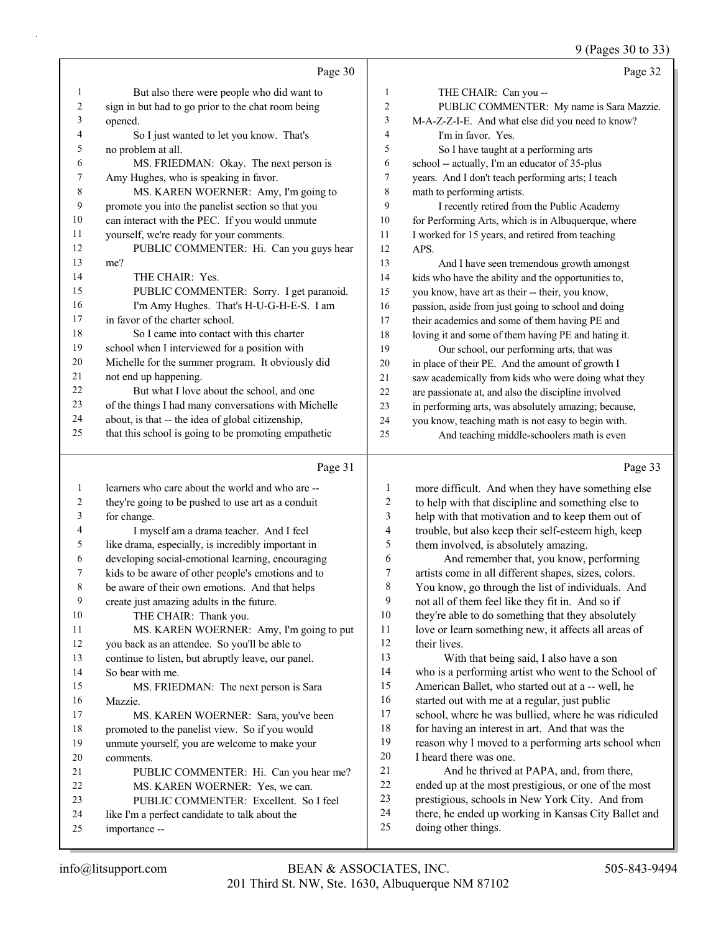9 (Pages 30 to 33)

|    |                                                      |    | $2 \times 10^{-10}$ and $20 \times 20$ /             |
|----|------------------------------------------------------|----|------------------------------------------------------|
|    | Page 30                                              |    | Page 32                                              |
| 1  | But also there were people who did want to           | 1  | THE CHAIR: Can you --                                |
| 2  | sign in but had to go prior to the chat room being   | 2  | PUBLIC COMMENTER: My name is Sara Mazzie.            |
| 3  | opened.                                              | 3  | M-A-Z-Z-I-E. And what else did you need to know?     |
| 4  | So I just wanted to let you know. That's             | 4  | I'm in favor. Yes.                                   |
| 5  | no problem at all.                                   | 5  | So I have taught at a performing arts                |
| 6  | MS. FRIEDMAN: Okay. The next person is               | 6  | school -- actually, I'm an educator of 35-plus       |
| 7  | Amy Hughes, who is speaking in favor.                | 7  | years. And I don't teach performing arts; I teach    |
| 8  | MS. KAREN WOERNER: Amy, I'm going to                 | 8  | math to performing artists.                          |
| 9  | promote you into the panelist section so that you    | 9  | I recently retired from the Public Academy           |
| 10 | can interact with the PEC. If you would unmute       | 10 | for Performing Arts, which is in Albuquerque, where  |
| 11 | yourself, we're ready for your comments.             | 11 | I worked for 15 years, and retired from teaching     |
| 12 | PUBLIC COMMENTER: Hi. Can you guys hear              | 12 | APS.                                                 |
| 13 | me?                                                  | 13 | And I have seen tremendous growth amongst            |
| 14 | THE CHAIR: Yes.                                      | 14 | kids who have the ability and the opportunities to,  |
| 15 | PUBLIC COMMENTER: Sorry. I get paranoid.             | 15 | you know, have art as their -- their, you know,      |
| 16 | I'm Amy Hughes. That's H-U-G-H-E-S. I am             | 16 | passion, aside from just going to school and doing   |
| 17 | in favor of the charter school.                      | 17 | their academics and some of them having PE and       |
| 18 | So I came into contact with this charter             | 18 | loving it and some of them having PE and hating it.  |
| 19 | school when I interviewed for a position with        | 19 | Our school, our performing arts, that was            |
| 20 | Michelle for the summer program. It obviously did    | 20 | in place of their PE. And the amount of growth I     |
| 21 | not end up happening.                                | 21 | saw academically from kids who were doing what they  |
| 22 | But what I love about the school, and one            | 22 | are passionate at, and also the discipline involved  |
| 23 | of the things I had many conversations with Michelle | 23 | in performing arts, was absolutely amazing; because, |
| 24 | about, is that -- the idea of global citizenship,    | 24 | you know, teaching math is not easy to begin with.   |
| 25 | that this school is going to be promoting empathetic | 25 | And teaching middle-schoolers math is even           |
|    | Page 31                                              |    | Page 33                                              |

#### Page 31

 learners who care about the world and who are -- they're going to be pushed to use art as a conduit for change. 4 I myself am a drama teacher. And I feel like drama, especially, is incredibly important in developing social-emotional learning, encouraging kids to be aware of other people's emotions and to be aware of their own emotions. And that helps create just amazing adults in the future. 10 THE CHAIR: Thank you. 11 MS. KAREN WOERNER: Amy, I'm going to put you back as an attendee. So you'll be able to continue to listen, but abruptly leave, our panel. So bear with me. 15 MS. FRIEDMAN: The next person is Sara Mazzie. 17 MS. KAREN WOERNER: Sara, you've been promoted to the panelist view. So if you would unmute yourself, you are welcome to make your comments. 21 PUBLIC COMMENTER: Hi. Can you hear me? 22 MS. KAREN WOERNER: Yes, we can. 23 PUBLIC COMMENTER: Excellent. So I feel like I'm a perfect candidate to talk about the importance -- more difficult. And when they have something else to help with that discipline and something else to help with that motivation and to keep them out of trouble, but also keep their self-esteem high, keep them involved, is absolutely amazing. 6 And remember that, you know, performing artists come in all different shapes, sizes, colors. You know, go through the list of individuals. And not all of them feel like they fit in. And so if they're able to do something that they absolutely 11 love or learn something new, it affects all areas of 12 their lives. 13 With that being said, I also have a son who is a performing artist who went to the School of American Ballet, who started out at a -- well, he started out with me at a regular, just public school, where he was bullied, where he was ridiculed for having an interest in art. And that was the reason why I moved to a performing arts school when I heard there was one. 21 And he thrived at PAPA, and, from there, ended up at the most prestigious, or one of the most prestigious, schools in New York City. And from there, he ended up working in Kansas City Ballet and doing other things.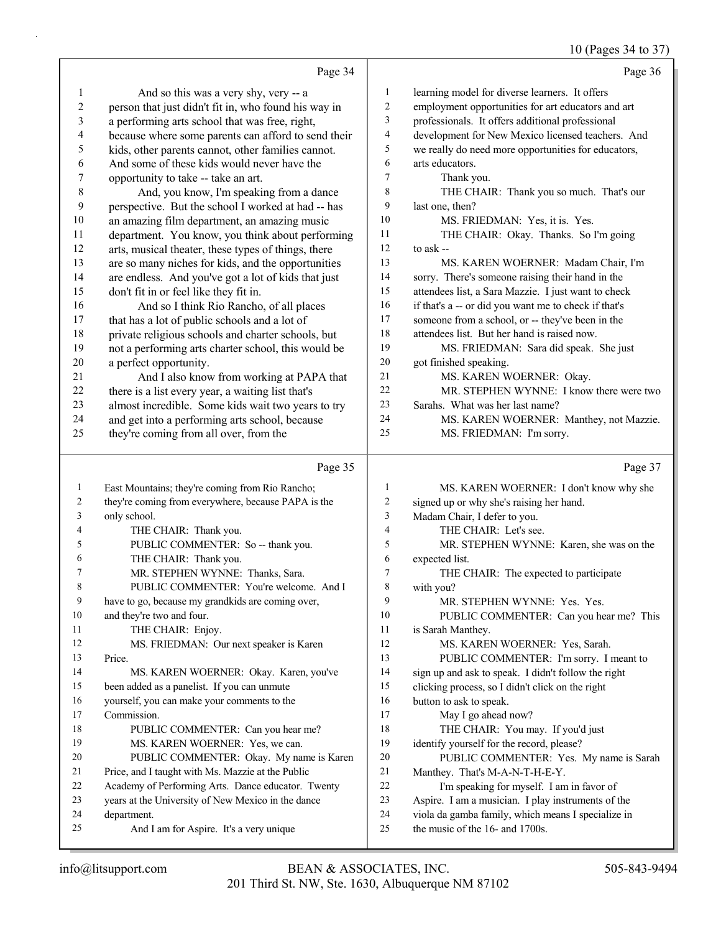#### 10 (Pages 34 to 37)

|                         |                                                      |                  | $10 \text{ (}1 \text{ g}$ cs $37 \text{ to } 31$     |
|-------------------------|------------------------------------------------------|------------------|------------------------------------------------------|
|                         | Page 34                                              |                  | Page 36                                              |
| 1                       | And so this was a very shy, very -- a                | $\mathbf{1}$     | learning model for diverse learners. It offers       |
| $\overline{c}$          | person that just didn't fit in, who found his way in | $\overline{c}$   | employment opportunities for art educators and art   |
| $\overline{\mathbf{3}}$ | a performing arts school that was free, right,       | 3                | professionals. It offers additional professional     |
| 4                       | because where some parents can afford to send their  | 4                | development for New Mexico licensed teachers. And    |
| 5                       | kids, other parents cannot, other families cannot.   | 5                | we really do need more opportunities for educators,  |
| 6                       | And some of these kids would never have the          | 6                | arts educators.                                      |
| $\boldsymbol{7}$        | opportunity to take -- take an art.                  | 7                | Thank you.                                           |
| $\,$ $\,$               | And, you know, I'm speaking from a dance             | 8                | THE CHAIR: Thank you so much. That's our             |
| 9                       | perspective. But the school I worked at had -- has   | 9                | last one, then?                                      |
| $10\,$                  | an amazing film department, an amazing music         | 10               | MS. FRIEDMAN: Yes, it is. Yes.                       |
| 11                      | department. You know, you think about performing     | 11               | THE CHAIR: Okay. Thanks. So I'm going                |
| 12                      | arts, musical theater, these types of things, there  | 12               | to ask --                                            |
| 13                      | are so many niches for kids, and the opportunities   | 13               | MS. KAREN WOERNER: Madam Chair, I'm                  |
| 14                      | are endless. And you've got a lot of kids that just  | 14               | sorry. There's someone raising their hand in the     |
| 15                      | don't fit in or feel like they fit in.               | 15               | attendees list, a Sara Mazzie. I just want to check  |
| 16                      | And so I think Rio Rancho, of all places             | 16               | if that's a -- or did you want me to check if that's |
| 17                      | that has a lot of public schools and a lot of        | $17\,$           | someone from a school, or -- they've been in the     |
| $18\,$                  | private religious schools and charter schools, but   | 18               | attendees list. But her hand is raised now.          |
| 19                      | not a performing arts charter school, this would be  | 19               | MS. FRIEDMAN: Sara did speak. She just               |
| 20                      | a perfect opportunity.                               | 20               | got finished speaking.                               |
| 21                      | And I also know from working at PAPA that            | 21               | MS. KAREN WOERNER: Okay.                             |
| 22                      | there is a list every year, a waiting list that's    | 22               | MR. STEPHEN WYNNE: I know there were two             |
| 23                      | almost incredible. Some kids wait two years to try   | 23               | Sarahs. What was her last name?                      |
| 24                      | and get into a performing arts school, because       | 24               | MS. KAREN WOERNER: Manthey, not Mazzie.              |
| 25                      | they're coming from all over, from the               | 25               | MS. FRIEDMAN: I'm sorry.                             |
|                         |                                                      |                  |                                                      |
|                         | Page 35                                              |                  | Page 37                                              |
| $\mathbf{1}$            | East Mountains; they're coming from Rio Rancho;      | $\mathbf{1}$     | MS. KAREN WOERNER: I don't know why she              |
| $\overline{c}$          | they're coming from everywhere, because PAPA is the  | 2                | signed up or why she's raising her hand.             |
| $\mathfrak{Z}$          | only school.                                         | 3                | Madam Chair, I defer to you.                         |
| $\overline{4}$          | THE CHAIR: Thank you.                                | 4                | THE CHAIR: Let's see.                                |
| 5                       | PUBLIC COMMENTER: So -- thank you.                   | 5                | MR. STEPHEN WYNNE: Karen, she was on the             |
| 6                       | THE CHAIR: Thank you.                                | 6                | expected list.                                       |
| 7                       | MR. STEPHEN WYNNE: Thanks, Sara.                     | $\boldsymbol{7}$ | THE CHAIR: The expected to participate               |
| $\,$ $\,$               | PUBLIC COMMENTER: You're welcome. And I              | 8                | with you?                                            |
| 9                       | have to go, because my grandkids are coming over,    | 9                | MR. STEPHEN WYNNE: Yes. Yes.                         |

10 and they're two and four. 11 THE CHAIR: Enjoy. 12 MS. FRIEDMAN: Our next speaker is Karen

13 Price. 14 MS. KAREN WOERNER: Okay. Karen, you've 15 been added as a panelist. If you can unmute 16 yourself, you can make your comments to the 17 Commission. 18 PUBLIC COMMENTER: Can you hear me? 19 MS. KAREN WOERNER: Yes, we can. 20 PUBLIC COMMENTER: Okay. My name is Karen

 Price, and I taught with Ms. Mazzie at the Public Academy of Performing Arts. Dance educator. Twenty years at the University of New Mexico in the dance department.

25 And I am for Aspire. It's a very unique

MR. STEPHEN WYNNE: Yes. Yes. 10 PUBLIC COMMENTER: Can you hear me? This

11 is Sarah Manthey.

12 MS. KAREN WOERNER: Yes, Sarah.

13 PUBLIC COMMENTER: I'm sorry. I meant to

14 sign up and ask to speak. I didn't follow the right

15 clicking process, so I didn't click on the right

- 16 button to ask to speak.
- 17 May I go ahead now?

18 THE CHAIR: You may. If you'd just

- 19 identify yourself for the record, please?
- 20 PUBLIC COMMENTER: Yes. My name is Sarah
- 21 Manthey. That's M-A-N-T-H-E-Y.
- 22 I'm speaking for myself. I am in favor of
- 23 Aspire. I am a musician. I play instruments of the
- 24 viola da gamba family, which means I specialize in
- 25 the music of the 16- and 1700s.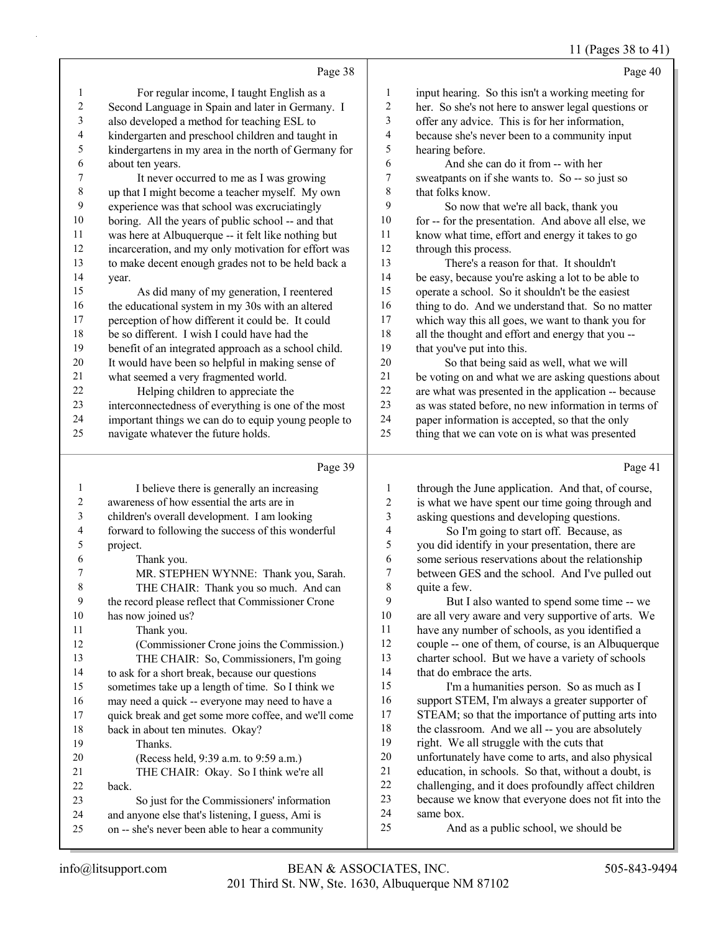#### 11 (Pages 38 to 41)

|                |                                                      |                          | $11 \text{ (1 qgcs)}$ o to $\pi$                     |
|----------------|------------------------------------------------------|--------------------------|------------------------------------------------------|
|                | Page 38                                              |                          | Page 40                                              |
| 1              | For regular income, I taught English as a            | 1                        | input hearing. So this isn't a working meeting for   |
| $\overline{c}$ | Second Language in Spain and later in Germany. I     | $\overline{\mathbf{c}}$  | her. So she's not here to answer legal questions or  |
| 3              | also developed a method for teaching ESL to          | $\mathfrak{Z}$           | offer any advice. This is for her information,       |
| 4              | kindergarten and preschool children and taught in    | 4                        | because she's never been to a community input        |
| 5              | kindergartens in my area in the north of Germany for | 5                        | hearing before.                                      |
| 6              | about ten years.                                     | 6                        | And she can do it from -- with her                   |
| 7              | It never occurred to me as I was growing             | $\sqrt{ }$               | sweatpants on if she wants to. So -- so just so      |
| $\,$ $\,$      | up that I might become a teacher myself. My own      | 8                        | that folks know.                                     |
| 9              | experience was that school was excruciatingly        | 9                        | So now that we're all back, thank you                |
| $10\,$         | boring. All the years of public school -- and that   | 10                       | for -- for the presentation. And above all else, we  |
| 11             | was here at Albuquerque -- it felt like nothing but  | 11                       | know what time, effort and energy it takes to go     |
| 12             | incarceration, and my only motivation for effort was | 12                       | through this process.                                |
| 13             | to make decent enough grades not to be held back a   | 13                       | There's a reason for that. It shouldn't              |
| 14             | year.                                                | 14                       | be easy, because you're asking a lot to be able to   |
| 15             | As did many of my generation, I reentered            | 15                       | operate a school. So it shouldn't be the easiest     |
| 16             | the educational system in my 30s with an altered     | 16                       | thing to do. And we understand that. So no matter    |
| $17\,$         | perception of how different it could be. It could    | 17                       | which way this all goes, we want to thank you for    |
| $18\,$         | be so different. I wish I could have had the         | 18                       | all the thought and effort and energy that you --    |
| 19             | benefit of an integrated approach as a school child. | 19                       | that you've put into this.                           |
| $20\,$         | It would have been so helpful in making sense of     | 20                       | So that being said as well, what we will             |
| 21             | what seemed a very fragmented world.                 | 21                       | be voting on and what we are asking questions about  |
| 22             | Helping children to appreciate the                   | 22                       | are what was presented in the application -- because |
| 23             | interconnectedness of everything is one of the most  | 23                       | as was stated before, no new information in terms of |
| 24             | important things we can do to equip young people to  | 24                       | paper information is accepted, so that the only      |
| 25             | navigate whatever the future holds.                  | 25                       | thing that we can vote on is what was presented      |
|                | Page 39                                              |                          | Page 41                                              |
| $\mathbf{1}$   | I believe there is generally an increasing           | $\mathbf{1}$             | through the June application. And that, of course,   |
| 2              | awareness of how essential the arts are in           | $\overline{c}$           | is what we have spent our time going through and     |
| $\mathfrak{Z}$ | children's overall development. I am looking         | 3                        | asking questions and developing questions.           |
| 4              | forward to following the success of this wonderful   | $\overline{\mathcal{A}}$ | So I'm going to start off. Because, as               |
| 5              | project.                                             | 5                        | you did identify in your presentation, there are     |
| 6              | Thank you.                                           | 6                        | some serious reservations about the relationship     |
| 7              | MR. STEPHEN WYNNE: Thank you, Sarah.                 | $\tau$                   | between GES and the school. And I've pulled out      |
| 8              | THE CHAIR: Thank you so much. And can                | 8                        | quite a few.                                         |
| 9              | the record please reflect that Commissioner Crone    | 9                        | But I also wanted to spend some time -- we           |
| $10\,$         | has now joined us?                                   | 10                       | are all very aware and very supportive of arts. We   |
| 11             | Thank you.                                           | 11                       | have any number of schools, as you identified a      |
| 12             | (Commissioner Crone joins the Commission.)           | 12                       | couple -- one of them, of course, is an Albuquerque  |
| 13             | THE CHAIR: So, Commissioners, I'm going              | 13                       | charter school. But we have a variety of schools     |
| 14             | to ask for a short break, because our questions      | 14                       | that do embrace the arts.                            |
| 15             | sometimes take up a length of time. So I think we    | 15                       | I'm a humanities person. So as much as I             |
| 16             | may need a quick -- everyone may need to have a      | 16                       | support STEM, I'm always a greater supporter of      |
| 17             | quick break and get some more coffee, and we'll come | 17                       | STEAM; so that the importance of putting arts into   |

back.

19 Thanks.

back in about ten minutes. Okay?

20 (Recess held, 9:39 a.m. to 9:59 a.m.) 21 THE CHAIR: Okay. So I think we're all

23 So just for the Commissioners' information and anyone else that's listening, I guess, Ami is on -- she's never been able to hear a community

same box.

18 the classroom. And we all -- you are absolutely

 unfortunately have come to arts, and also physical 21 education, in schools. So that, without a doubt, is<br>22 challenging, and it does profoundly affect children challenging, and it does profoundly affect children because we know that everyone does not fit into the

right. We all struggle with the cuts that

25 And as a public school, we should be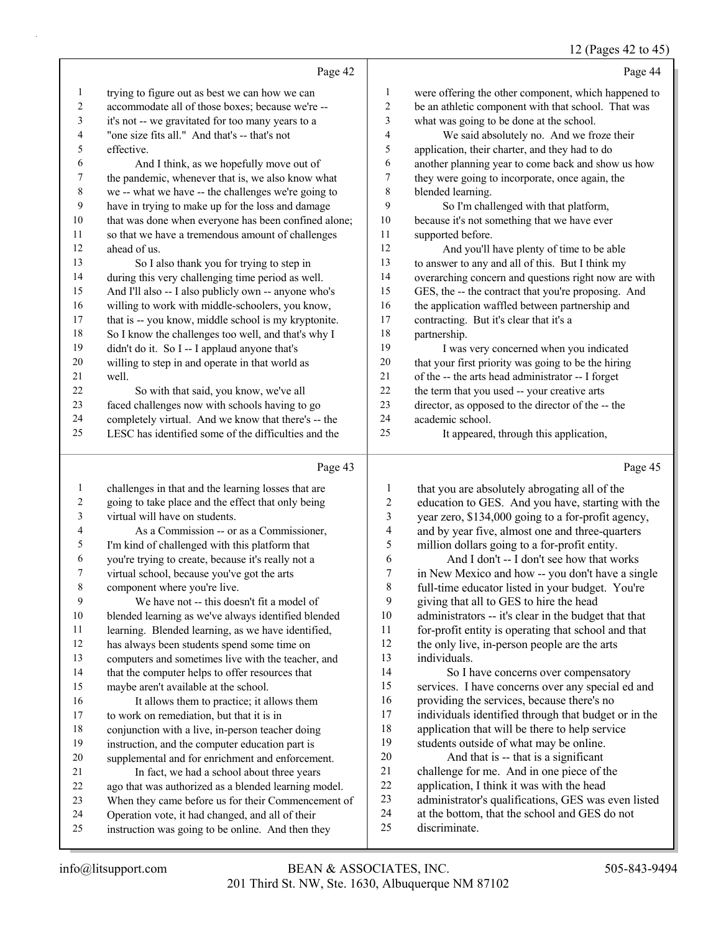#### 12 (Pages 42 to 45)

|                                                            |             | $12$ (1 ages $72$ to $7$ .                           |
|------------------------------------------------------------|-------------|------------------------------------------------------|
| Page 42                                                    |             | Page 44                                              |
| 1<br>trying to figure out as best we can how we can        | 1           | were offering the other component, which happened to |
| 2<br>accommodate all of those boxes; because we're --      | 2           | be an athletic component with that school. That was  |
| it's not -- we gravitated for too many years to a<br>3     | 3           | what was going to be done at the school.             |
| "one size fits all." And that's -- that's not<br>4         | 4           | We said absolutely no. And we froze their            |
| 5<br>effective.                                            | 5           | application, their charter, and they had to do       |
| And I think, as we hopefully move out of<br>6              | 6           | another planning year to come back and show us how   |
| 7<br>the pandemic, whenever that is, we also know what     | 7           | they were going to incorporate, once again, the      |
| 8<br>we -- what we have -- the challenges we're going to   | $\,$ 8 $\,$ | blended learning.                                    |
| 9<br>have in trying to make up for the loss and damage     | 9           | So I'm challenged with that platform,                |
| 10<br>that was done when everyone has been confined alone; | 10          | because it's not something that we have ever         |
| 11<br>so that we have a tremendous amount of challenges    | 11          | supported before.                                    |
| 12<br>ahead of us.                                         | 12          | And you'll have plenty of time to be able            |
| 13<br>So I also thank you for trying to step in            | 13          | to answer to any and all of this. But I think my     |
| during this very challenging time period as well.<br>14    | 14          | overarching concern and questions right now are with |
| 15<br>And I'll also -- I also publicly own -- anyone who's | 15          | GES, the -- the contract that you're proposing. And  |
| willing to work with middle-schoolers, you know,<br>16     | 16          | the application waffled between partnership and      |
| 17<br>that is -- you know, middle school is my kryptonite. | 17          | contracting. But it's clear that it's a              |
| So I know the challenges too well, and that's why I<br>18  | 18          | partnership.                                         |
| 19<br>didn't do it. So I -- I applaud anyone that's        | 19          | I was very concerned when you indicated              |
| 20<br>willing to step in and operate in that world as      | 20          | that your first priority was going to be the hiring  |
| 21<br>well.                                                | 21          | of the -- the arts head administrator -- I forget    |
| 22<br>So with that said, you know, we've all               | 22          | the term that you used -- your creative arts         |
| 23<br>faced challenges now with schools having to go       | 23          | director, as opposed to the director of the -- the   |
| 24<br>completely virtual. And we know that there's -- the  | 24          | academic school.                                     |
| LESC has identified some of the difficulties and the<br>25 | 25          | It appeared, through this application,               |
| Page 43                                                    |             | Page 45                                              |

| 1       | challenges in that and the learning losses that are  | 1  | that you are absolutely abrogating all of the        |
|---------|------------------------------------------------------|----|------------------------------------------------------|
| 2       | going to take place and the effect that only being   | 2  | education to GES. And you have, starting with the    |
| 3       | virtual will have on students.                       | 3  | year zero, \$134,000 going to a for-profit agency,   |
| 4       | As a Commission -- or as a Commissioner,             | 4  | and by year five, almost one and three-quarters      |
| 5       | I'm kind of challenged with this platform that       | 5  | million dollars going to a for-profit entity.        |
| 6       | you're trying to create, because it's really not a   | 6  | And I don't -- I don't see how that works            |
| 7       | virtual school, because you've got the arts          | 7  | in New Mexico and how -- you don't have a single     |
| $\,8\,$ | component where you're live.                         | 8  | full-time educator listed in your budget. You're     |
| 9       | We have not -- this doesn't fit a model of           | 9  | giving that all to GES to hire the head              |
| 10      | blended learning as we've always identified blended  | 10 | administrators -- it's clear in the budget that that |
| 11      | learning. Blended learning, as we have identified,   | 11 | for-profit entity is operating that school and that  |
| 12      | has always been students spend some time on          | 12 | the only live, in-person people are the arts         |
| 13      | computers and sometimes live with the teacher, and   | 13 | individuals.                                         |
| 14      | that the computer helps to offer resources that      | 14 | So I have concerns over compensatory                 |
| 15      | maybe aren't available at the school.                | 15 | services. I have concerns over any special ed and    |
| 16      | It allows them to practice; it allows them           | 16 | providing the services, because there's no           |
| 17      | to work on remediation, but that it is in            | 17 | individuals identified through that budget or in the |
| 18      | conjunction with a live, in-person teacher doing     | 18 | application that will be there to help service       |
| 19      | instruction, and the computer education part is      | 19 | students outside of what may be online.              |
| 20      | supplemental and for enrichment and enforcement.     | 20 | And that is -- that is a significant                 |
| 21      | In fact, we had a school about three years           | 21 | challenge for me. And in one piece of the            |
| 22      | ago that was authorized as a blended learning model. | 22 | application, I think it was with the head            |
| 23      | When they came before us for their Commencement of   | 23 | administrator's qualifications, GES was even listed  |
| 24      | Operation vote, it had changed, and all of their     | 24 | at the bottom, that the school and GES do not        |
| 25      | instruction was going to be online. And then they    | 25 | discriminate.                                        |
|         |                                                      |    |                                                      |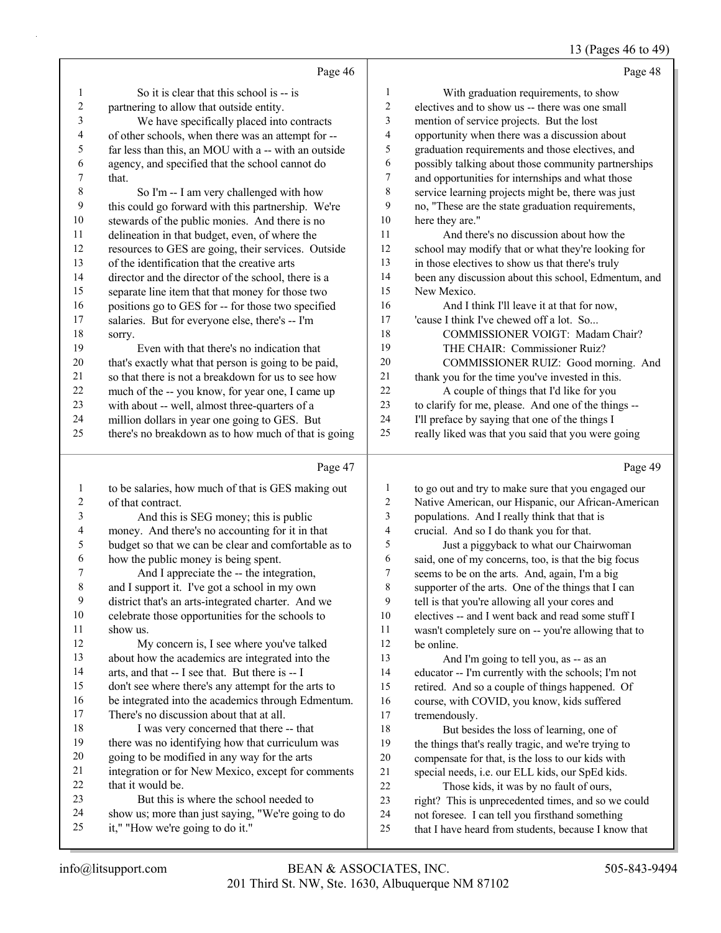# 13 (Pages 46 to 49)

|                          | Page 46                                                                                                 |                  | Page 48                                                                                                 |
|--------------------------|---------------------------------------------------------------------------------------------------------|------------------|---------------------------------------------------------------------------------------------------------|
| 1                        | So it is clear that this school is -- is                                                                | 1                | With graduation requirements, to show                                                                   |
| $\boldsymbol{2}$         | partnering to allow that outside entity.                                                                | $\boldsymbol{2}$ | electives and to show us -- there was one small                                                         |
| $\mathfrak{Z}$           | We have specifically placed into contracts                                                              | $\mathfrak{Z}$   | mention of service projects. But the lost                                                               |
| $\overline{\mathcal{A}}$ | of other schools, when there was an attempt for --                                                      | $\overline{4}$   | opportunity when there was a discussion about                                                           |
| 5                        | far less than this, an MOU with a -- with an outside                                                    | 5                | graduation requirements and those electives, and                                                        |
| 6                        | agency, and specified that the school cannot do                                                         | 6                | possibly talking about those community partnerships                                                     |
| 7                        | that.                                                                                                   | 7                | and opportunities for internships and what those                                                        |
| $\,$ $\,$                | So I'm -- I am very challenged with how                                                                 | $\,8\,$          | service learning projects might be, there was just                                                      |
| 9                        | this could go forward with this partnership. We're                                                      | 9                | no, "These are the state graduation requirements,                                                       |
| 10                       | stewards of the public monies. And there is no                                                          | $10\,$           | here they are."                                                                                         |
| 11                       | delineation in that budget, even, of where the                                                          | 11               | And there's no discussion about how the                                                                 |
| 12                       | resources to GES are going, their services. Outside                                                     | $12\,$           | school may modify that or what they're looking for                                                      |
| 13                       | of the identification that the creative arts                                                            | 13               | in those electives to show us that there's truly                                                        |
| 14                       | director and the director of the school, there is a                                                     | 14               | been any discussion about this school, Edmentum, and                                                    |
| 15                       | separate line item that that money for those two                                                        | 15               | New Mexico.                                                                                             |
| 16                       | positions go to GES for -- for those two specified                                                      | 16               | And I think I'll leave it at that for now,                                                              |
| 17                       | salaries. But for everyone else, there's -- I'm                                                         | 17               | 'cause I think I've chewed off a lot. So                                                                |
| 18                       | sorry.                                                                                                  | 18               | COMMISSIONER VOIGT: Madam Chair?                                                                        |
| 19                       | Even with that there's no indication that                                                               | 19               | THE CHAIR: Commissioner Ruiz?                                                                           |
| $20\,$                   | that's exactly what that person is going to be paid,                                                    | 20               | COMMISSIONER RUIZ: Good morning. And                                                                    |
| 21                       | so that there is not a breakdown for us to see how                                                      | 21               | thank you for the time you've invested in this.                                                         |
| 22                       | much of the -- you know, for year one, I came up                                                        | 22               | A couple of things that I'd like for you                                                                |
| 23                       | with about -- well, almost three-quarters of a                                                          | 23               | to clarify for me, please. And one of the things --                                                     |
| 24                       | million dollars in year one going to GES. But                                                           | 24               | I'll preface by saying that one of the things I                                                         |
| 25                       | there's no breakdown as to how much of that is going                                                    | 25               | really liked was that you said that you were going                                                      |
|                          |                                                                                                         |                  |                                                                                                         |
|                          | Page 47                                                                                                 |                  | Page 49                                                                                                 |
| $\mathbf{1}$             |                                                                                                         | $\mathbf{1}$     |                                                                                                         |
| $\overline{c}$           | to be salaries, how much of that is GES making out<br>of that contract.                                 | $\sqrt{2}$       | to go out and try to make sure that you engaged our                                                     |
| $\mathfrak{Z}$           |                                                                                                         | $\mathfrak{Z}$   | Native American, our Hispanic, our African-American                                                     |
| $\overline{\mathcal{A}}$ | And this is SEG money; this is public                                                                   | $\overline{4}$   | populations. And I really think that that is                                                            |
| $\mathfrak s$            | money. And there's no accounting for it in that<br>budget so that we can be clear and comfortable as to | 5                | crucial. And so I do thank you for that.<br>Just a piggyback to what our Chairwoman                     |
| 6                        | how the public money is being spent.                                                                    | 6                | said, one of my concerns, too, is that the big focus                                                    |
| $\boldsymbol{7}$         | And I appreciate the -- the integration,                                                                | 7                | seems to be on the arts. And, again, I'm a big                                                          |
| 8                        | and I support it. I've got a school in my own                                                           | $\,$ 8 $\,$      | supporter of the arts. One of the things that I can                                                     |
| 9                        | district that's an arts-integrated charter. And we                                                      | 9                | tell is that you're allowing all your cores and                                                         |
| 10                       | celebrate those opportunities for the schools to                                                        | 10               | electives -- and I went back and read some stuff I                                                      |
| 11                       | show us.                                                                                                | 11               | wasn't completely sure on -- you're allowing that to                                                    |
| 12                       | My concern is, I see where you've talked                                                                | $12\,$           | be online.                                                                                              |
| 13                       | about how the academics are integrated into the                                                         | 13               | And I'm going to tell you, as -- as an                                                                  |
| 14                       | arts, and that -- I see that. But there is -- I                                                         | 14               | educator -- I'm currently with the schools; I'm not                                                     |
| 15                       | don't see where there's any attempt for the arts to                                                     | 15               | retired. And so a couple of things happened. Of                                                         |
| 16                       | be integrated into the academics through Edmentum.                                                      | 16               | course, with COVID, you know, kids suffered                                                             |
| 17                       | There's no discussion about that at all.                                                                | 17               | tremendously.                                                                                           |
| 18                       | I was very concerned that there -- that                                                                 | 18               | But besides the loss of learning, one of                                                                |
| 19                       | there was no identifying how that curriculum was                                                        | 19               | the things that's really tragic, and we're trying to                                                    |
| 20                       | going to be modified in any way for the arts                                                            | $20\,$           | compensate for that, is the loss to our kids with                                                       |
| 21                       | integration or for New Mexico, except for comments                                                      | 21               | special needs, i.e. our ELL kids, our SpEd kids.                                                        |
| 22                       | that it would be.                                                                                       | 22               | Those kids, it was by no fault of ours,                                                                 |
| 23                       | But this is where the school needed to                                                                  | 23               | right? This is unprecedented times, and so we could                                                     |
| 24<br>25                 | show us; more than just saying, "We're going to do<br>it," "How we're going to do it."                  | 24<br>25         | not foresee. I can tell you firsthand something<br>that I have heard from students, because I know that |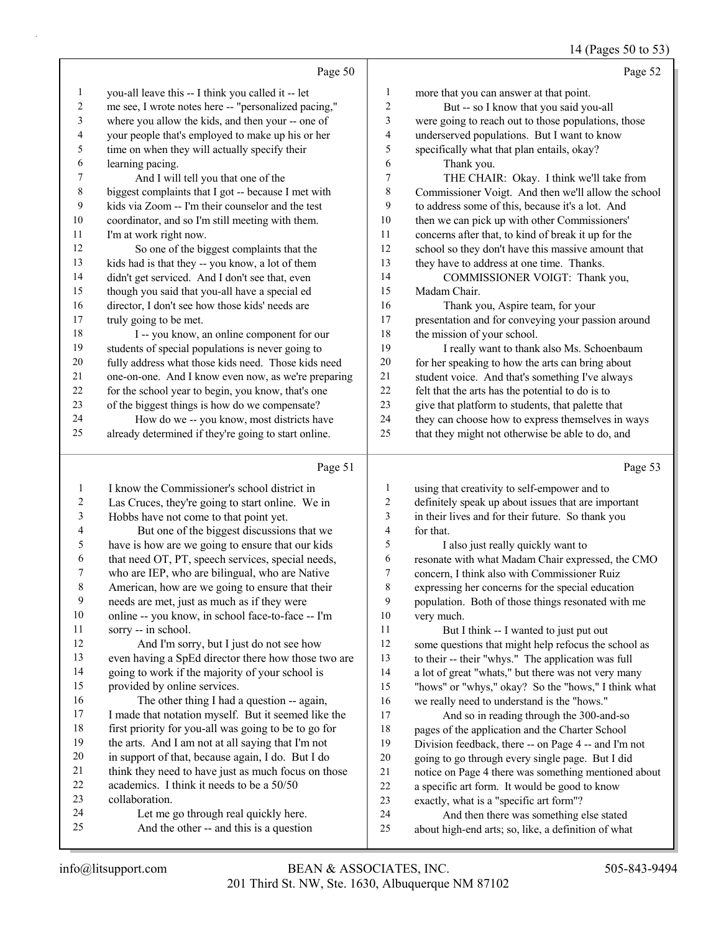#### 14 (Pages 50 to 53)

|                         | Page 50                                              |                | Page 52                                              |
|-------------------------|------------------------------------------------------|----------------|------------------------------------------------------|
| $\mathbf{1}$            | you-all leave this -- I think you called it -- let   | $\mathbf{1}$   | more that you can answer at that point.              |
| $\overline{c}$          | me see, I wrote notes here -- "personalized pacing," | $\sqrt{2}$     | But -- so I know that you said you-all               |
| $\mathfrak{Z}$          | where you allow the kids, and then your -- one of    | 3              | were going to reach out to those populations, those  |
| 4                       | your people that's employed to make up his or her    | $\overline{4}$ | underserved populations. But I want to know          |
| 5                       | time on when they will actually specify their        | 5              | specifically what that plan entails, okay?           |
| 6                       | learning pacing.                                     | 6              | Thank you.                                           |
| 7                       | And I will tell you that one of the                  | $\tau$         | THE CHAIR: Okay. I think we'll take from             |
| $\,$ 8 $\,$             | biggest complaints that I got -- because I met with  | 8              | Commissioner Voigt. And then we'll allow the school  |
| 9                       | kids via Zoom -- I'm their counselor and the test    | 9              | to address some of this, because it's a lot. And     |
| 10                      | coordinator, and so I'm still meeting with them.     | 10             | then we can pick up with other Commissioners'        |
| 11                      | I'm at work right now.                               | 11             | concerns after that, to kind of break it up for the  |
| 12                      | So one of the biggest complaints that the            | 12             | school so they don't have this massive amount that   |
| 13                      | kids had is that they -- you know, a lot of them     | 13             | they have to address at one time. Thanks.            |
| 14                      | didn't get serviced. And I don't see that, even      | 14             | COMMISSIONER VOIGT: Thank you,                       |
| 15                      | though you said that you-all have a special ed       | 15             | Madam Chair.                                         |
| 16                      | director, I don't see how those kids' needs are      | 16             | Thank you, Aspire team, for your                     |
| 17                      | truly going to be met.                               | 17             | presentation and for conveying your passion around   |
| 18                      | I -- you know, an online component for our           | 18             | the mission of your school.                          |
| 19                      | students of special populations is never going to    | 19             | I really want to thank also Ms. Schoenbaum           |
| $20\,$                  | fully address what those kids need. Those kids need  | $20\,$         | for her speaking to how the arts can bring about     |
| 21                      | one-on-one. And I know even now, as we're preparing  | $21\,$         | student voice. And that's something I've always      |
| 22                      | for the school year to begin, you know, that's one   | $22\,$         | felt that the arts has the potential to do is to     |
| 23                      | of the biggest things is how do we compensate?       | 23             | give that platform to students, that palette that    |
| 24                      | How do we -- you know, most districts have           | 24             | they can choose how to express themselves in ways    |
| 25                      | already determined if they're going to start online. | 25             | that they might not otherwise be able to do, and     |
|                         | Page 51                                              |                | Page 53                                              |
| $\mathbf{1}$            | I know the Commissioner's school district in         | 1              | using that creativity to self-empower and to         |
| $\overline{c}$          | Las Cruces, they're going to start online. We in     | $\overline{c}$ | definitely speak up about issues that are important  |
| $\mathfrak{Z}$          | Hobbs have not come to that point yet.               | 3              | in their lives and for their future. So thank you    |
| $\overline{\mathbf{4}}$ | But one of the biggest discussions that we           | $\overline{4}$ | for that.                                            |
| 5                       | have is how are we going to ensure that our kids     | 5              | I also just really quickly want to                   |
| 6                       | that need OT, PT, speech services, special needs,    | 6              | resonate with what Madam Chair expressed, the CMO    |
| 7                       | who are IEP, who are bilingual, who are Native       | 7              | concern, I think also with Commissioner Ruiz         |
| 8                       | American, how are we going to ensure that their      | 8              | expressing her concerns for the special education    |
| $\boldsymbol{9}$        | needs are met, just as much as if they were          | 9              | population. Both of those things resonated with me   |
| $10\,$                  | online -- you know, in school face-to-face -- I'm    | 10             | very much.                                           |
| 11                      | sorry -- in school.                                  | 11             | But I think -- I wanted to just put out              |
| $12\,$                  | And I'm sorry, but I just do not see how             | 12             | some questions that might help refocus the school as |
| 13                      | even having a SpEd director there how those two are  | 13             | to their -- their "whys." The application was full   |
| 14                      | going to work if the majority of your school is      | 14             | a lot of great "whats," but there was not very many  |
| 15                      | provided by online services.                         | 15             | "hows" or "whys," okay? So the "hows," I think what  |
| 16                      | The other thing I had a question -- again,           | 16             | we really need to understand is the "hows."          |

 I made that notation myself. But it seemed like the first priority for you-all was going to be to go for the arts. And I am not at all saying that I'm not in support of that, because again, I do. But I do 21 think they need to have just as much focus on those academics. I think it needs to be a 50/50 collaboration. 24 Let me go through real quickly here.

- 25 And the other -- and this is a question
- 17 And so in reading through the 300-and-so pages of the application and the Charter School Division feedback, there -- on Page 4 -- and I'm not going to go through every single page. But I did notice on Page 4 there was something mentioned about
- a specific art form. It would be good to know exactly, what is a "specific art form"?
	-
- 24 And then there was something else stated about high-end arts; so, like, a definition of what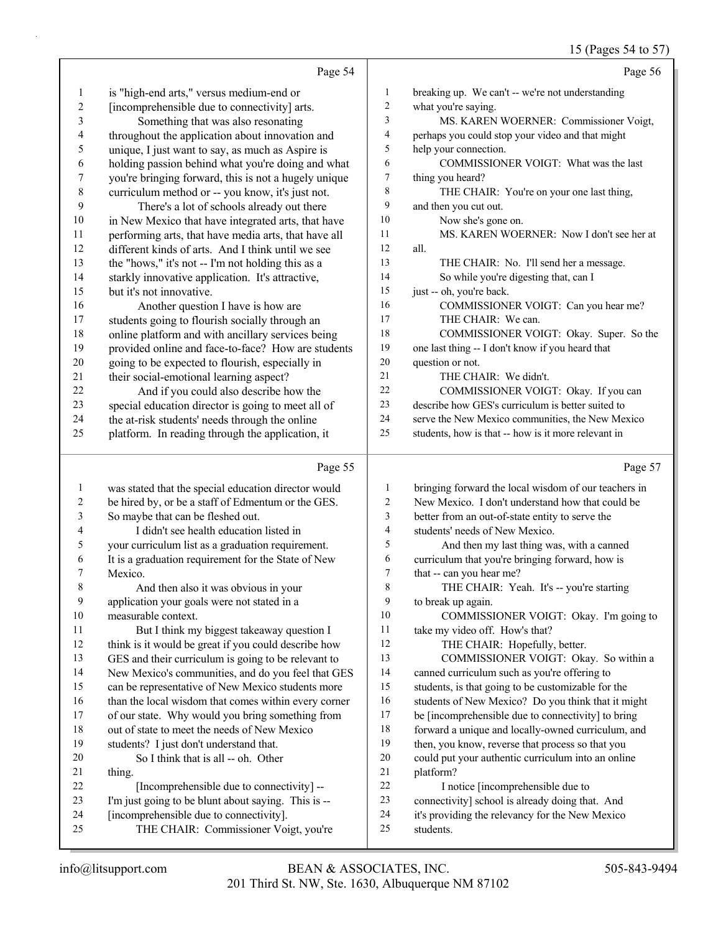# 15 (Pages 54 to 57)

|                          | Page 54                                                                                                 |                                | Page 56                                                                                                  |
|--------------------------|---------------------------------------------------------------------------------------------------------|--------------------------------|----------------------------------------------------------------------------------------------------------|
| $\mathbf{1}$             | is "high-end arts," versus medium-end or                                                                | $\mathbf{1}$                   | breaking up. We can't -- we're not understanding                                                         |
| $\boldsymbol{2}$         | [incomprehensible due to connectivity] arts.                                                            | $\sqrt{2}$                     | what you're saying.                                                                                      |
| 3                        | Something that was also resonating                                                                      | 3                              | MS. KAREN WOERNER: Commissioner Voigt,                                                                   |
| $\overline{\mathcal{A}}$ | throughout the application about innovation and                                                         | $\overline{4}$                 | perhaps you could stop your video and that might                                                         |
| 5                        | unique, I just want to say, as much as Aspire is                                                        | 5                              | help your connection.                                                                                    |
| 6                        | holding passion behind what you're doing and what                                                       | 6                              | COMMISSIONER VOIGT: What was the last                                                                    |
| $\overline{7}$           | you're bringing forward, this is not a hugely unique                                                    | 7                              | thing you heard?                                                                                         |
| $\,$ $\,$                | curriculum method or -- you know, it's just not.                                                        | 8                              | THE CHAIR: You're on your one last thing,                                                                |
| 9                        | There's a lot of schools already out there                                                              | 9                              | and then you cut out.                                                                                    |
| $10\,$                   | in New Mexico that have integrated arts, that have                                                      | 10                             | Now she's gone on.                                                                                       |
| 11                       | performing arts, that have media arts, that have all                                                    | 11                             | MS. KAREN WOERNER: Now I don't see her at                                                                |
| 12                       | different kinds of arts. And I think until we see                                                       | 12                             | all.                                                                                                     |
| 13                       | the "hows," it's not -- I'm not holding this as a                                                       | 13                             | THE CHAIR: No. I'll send her a message.                                                                  |
| 14                       | starkly innovative application. It's attractive,                                                        | 14                             | So while you're digesting that, can I                                                                    |
| 15                       | but it's not innovative.                                                                                | 15                             | just -- oh, you're back.                                                                                 |
| 16                       | Another question I have is how are                                                                      | 16                             | COMMISSIONER VOIGT: Can you hear me?                                                                     |
| $17$                     | students going to flourish socially through an                                                          | 17<br>18                       | THE CHAIR: We can.                                                                                       |
| $18\,$<br>19             | online platform and with ancillary services being<br>provided online and face-to-face? How are students | 19                             | COMMISSIONER VOIGT: Okay. Super. So the<br>one last thing -- I don't know if you heard that              |
| $20\,$                   | going to be expected to flourish, especially in                                                         | $20\,$                         | question or not.                                                                                         |
| $21\,$                   | their social-emotional learning aspect?                                                                 | 21                             | THE CHAIR: We didn't.                                                                                    |
| 22                       | And if you could also describe how the                                                                  | 22                             | COMMISSIONER VOIGT: Okay. If you can                                                                     |
| 23                       | special education director is going to meet all of                                                      | 23                             | describe how GES's curriculum is better suited to                                                        |
| 24                       | the at-risk students' needs through the online                                                          | 24                             | serve the New Mexico communities, the New Mexico                                                         |
| 25                       | platform. In reading through the application, it                                                        | 25                             | students, how is that -- how is it more relevant in                                                      |
|                          |                                                                                                         |                                |                                                                                                          |
|                          | Page 55                                                                                                 |                                | Page 57                                                                                                  |
|                          |                                                                                                         |                                |                                                                                                          |
| $\mathbf{1}$<br>2        | was stated that the special education director would                                                    | $\mathbf{1}$<br>$\overline{c}$ | bringing forward the local wisdom of our teachers in                                                     |
| 3                        | be hired by, or be a staff of Edmentum or the GES.<br>So maybe that can be fleshed out.                 | 3                              | New Mexico. I don't understand how that could be<br>better from an out-of-state entity to serve the      |
| 4                        | I didn't see health education listed in                                                                 | 4                              | students' needs of New Mexico.                                                                           |
| 5                        | your curriculum list as a graduation requirement.                                                       | 5                              | And then my last thing was, with a canned                                                                |
| 6                        | It is a graduation requirement for the State of New                                                     | 6                              | curriculum that you're bringing forward, how is                                                          |
| 7                        | Mexico.                                                                                                 | 7                              | that -- can you hear me?                                                                                 |
| 8                        | And then also it was obvious in your                                                                    | 8                              | THE CHAIR: Yeah. It's -- you're starting                                                                 |
| 9                        | application your goals were not stated in a                                                             | 9                              | to break up again.                                                                                       |
| $10\,$                   | measurable context.                                                                                     | 10                             | COMMISSIONER VOIGT: Okay. I'm going to                                                                   |
| 11                       | But I think my biggest takeaway question I                                                              | 11                             | take my video off. How's that?                                                                           |
| 12                       | think is it would be great if you could describe how                                                    | 12                             | THE CHAIR: Hopefully, better.                                                                            |
| 13                       | GES and their curriculum is going to be relevant to                                                     | 13                             | COMMISSIONER VOIGT: Okay. So within a                                                                    |
| 14                       | New Mexico's communities, and do you feel that GES                                                      | 14                             | canned curriculum such as you're offering to                                                             |
| 15                       | can be representative of New Mexico students more                                                       | 15                             | students, is that going to be customizable for the                                                       |
| 16                       | than the local wisdom that comes within every corner                                                    | 16<br>17                       | students of New Mexico? Do you think that it might                                                       |
| 17<br>18                 | of our state. Why would you bring something from<br>out of state to meet the needs of New Mexico        | $18\,$                         | be [incomprehensible due to connectivity] to bring<br>forward a unique and locally-owned curriculum, and |
| 19                       | students? I just don't understand that.                                                                 | 19                             | then, you know, reverse that process so that you                                                         |
| 20                       | So I think that is all -- oh. Other                                                                     | $20\,$                         | could put your authentic curriculum into an online                                                       |
| $21\,$                   | thing.                                                                                                  | $21\,$                         | platform?                                                                                                |
| $22\,$                   | [Incomprehensible due to connectivity] --                                                               | $22\,$                         | I notice [incomprehensible due to                                                                        |
| 23                       | I'm just going to be blunt about saying. This is --                                                     | 23                             | connectivity] school is already doing that. And                                                          |
| 24<br>25                 | [incomprehensible due to connectivity].<br>THE CHAIR: Commissioner Voigt, you're                        | 24<br>25                       | it's providing the relevancy for the New Mexico<br>students.                                             |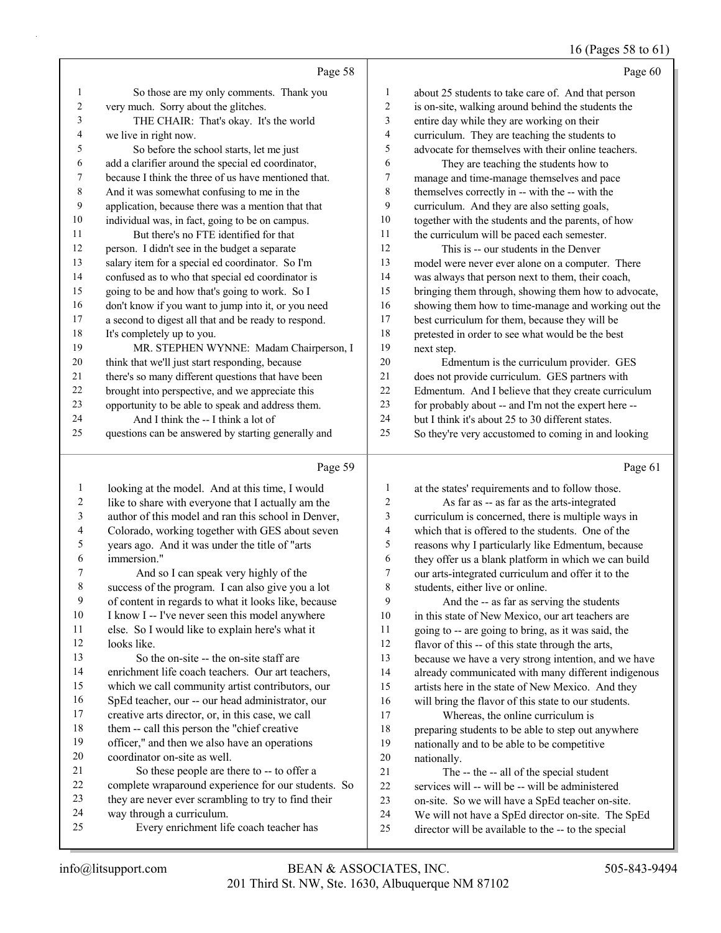# 16 (Pages 58 to 61)

|    | Page 58                                              |                | Page 60                                              |
|----|------------------------------------------------------|----------------|------------------------------------------------------|
| 1  | So those are my only comments. Thank you             | 1              | about 25 students to take care of. And that person   |
| 2  | very much. Sorry about the glitches.                 | 2              | is on-site, walking around behind the students the   |
| 3  | THE CHAIR: That's okay. It's the world               | 3              | entire day while they are working on their           |
| 4  | we live in right now.                                | $\overline{4}$ | curriculum. They are teaching the students to        |
| 5  | So before the school starts, let me just             | 5              | advocate for themselves with their online teachers.  |
| 6  | add a clarifier around the special ed coordinator,   | 6              | They are teaching the students how to                |
| 7  | because I think the three of us have mentioned that. | 7              | manage and time-manage themselves and pace           |
| 8  | And it was somewhat confusing to me in the           | 8              | themselves correctly in -- with the -- with the      |
| 9  | application, because there was a mention that that   | 9              | curriculum. And they are also setting goals,         |
| 10 | individual was, in fact, going to be on campus.      | 10             | together with the students and the parents, of how   |
| 11 | But there's no FTE identified for that               | 11             | the curriculum will be paced each semester.          |
| 12 | person. I didn't see in the budget a separate        | 12             | This is -- our students in the Denver                |
| 13 | salary item for a special ed coordinator. So I'm     | 13             | model were never ever alone on a computer. There     |
| 14 | confused as to who that special ed coordinator is    | 14             | was always that person next to them, their coach,    |
| 15 | going to be and how that's going to work. So I       | 15             | bringing them through, showing them how to advocate, |
| 16 | don't know if you want to jump into it, or you need  | 16             | showing them how to time-manage and working out the  |
| 17 | a second to digest all that and be ready to respond. | 17             | best curriculum for them, because they will be       |
| 18 | It's completely up to you.                           | 18             | pretested in order to see what would be the best     |
| 19 | MR. STEPHEN WYNNE: Madam Chairperson, I              | 19             | next step.                                           |
| 20 | think that we'll just start responding, because      | 20             | Edmentum is the curriculum provider. GES             |
| 21 | there's so many different questions that have been   | 21             | does not provide curriculum. GES partners with       |
| 22 | brought into perspective, and we appreciate this     | 22             | Edmentum. And I believe that they create curriculum  |
| 23 | opportunity to be able to speak and address them.    | 23             | for probably about -- and I'm not the expert here -- |
| 24 | And I think the -- I think a lot of                  | 24             | but I think it's about 25 to 30 different states.    |
| 25 | questions can be answered by starting generally and  | 25             | So they're very accustomed to coming in and looking  |
|    |                                                      |                |                                                      |

# Page 59

|        | Page 59                                              |                | Page 61                                              |
|--------|------------------------------------------------------|----------------|------------------------------------------------------|
| 1      | looking at the model. And at this time, I would      | 1              | at the states' requirements and to follow those.     |
| 2      | like to share with everyone that I actually am the   | $\overline{2}$ | As far as -- as far as the arts-integrated           |
| 3      | author of this model and ran this school in Denver,  | 3              | curriculum is concerned, there is multiple ways in   |
| 4      | Colorado, working together with GES about seven      | 4              | which that is offered to the students. One of the    |
| 5      | years ago. And it was under the title of "arts       | 5              | reasons why I particularly like Edmentum, because    |
| 6      | immersion."                                          | 6              | they offer us a blank platform in which we can build |
| $\tau$ | And so I can speak very highly of the                | 7              | our arts-integrated curriculum and offer it to the   |
| 8      | success of the program. I can also give you a lot    | 8              | students, either live or online.                     |
| 9      | of content in regards to what it looks like, because | 9              | And the -- as far as serving the students            |
| 10     | I know I -- I've never seen this model anywhere      | 10             | in this state of New Mexico, our art teachers are    |
| 11     | else. So I would like to explain here's what it      | 11             | going to -- are going to bring, as it was said, the  |
| 12     | looks like.                                          | 12             | flavor of this -- of this state through the arts,    |
| 13     | So the on-site -- the on-site staff are              | 13             | because we have a very strong intention, and we have |
| 14     | enrichment life coach teachers. Our art teachers,    | 14             | already communicated with many different indigenous  |
| 15     | which we call community artist contributors, our     | 15             | artists here in the state of New Mexico. And they    |
| 16     | SpEd teacher, our -- our head administrator, our     | 16             | will bring the flavor of this state to our students. |
| 17     | creative arts director, or, in this case, we call    | 17             | Whereas, the online curriculum is                    |
| 18     | them -- call this person the "chief creative"        | 18             | preparing students to be able to step out anywhere   |
| 19     | officer," and then we also have an operations        | 19             | nationally and to be able to be competitive          |
| 20     | coordinator on-site as well.                         | 20             | nationally.                                          |
| 21     | So these people are there to -- to offer a           | 21             | The -- the -- all of the special student             |
| 22     | complete wraparound experience for our students. So  | 22             | services will -- will be -- will be administered     |
| 23     | they are never ever scrambling to try to find their  | 23             | on-site. So we will have a SpEd teacher on-site.     |
| 24     | way through a curriculum.                            | 24             | We will not have a SpEd director on-site. The SpEd   |
| 25     | Every enrichment life coach teacher has              | 25             | director will be available to the -- to the special  |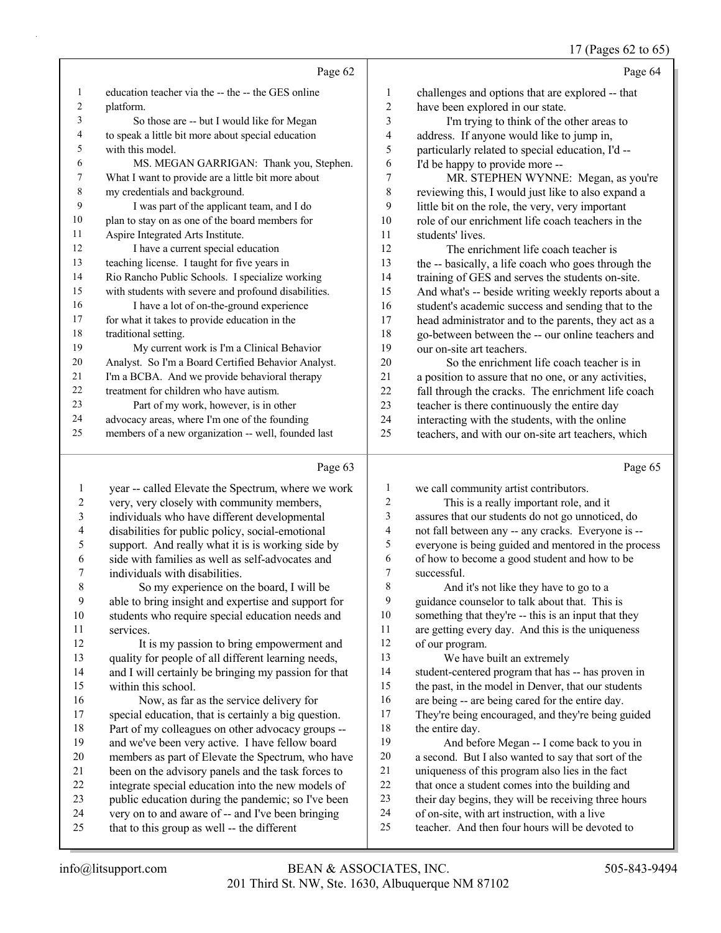# 17 (Pages 62 to 65)

|    | Page 62                                              |    | Page 64                                              |
|----|------------------------------------------------------|----|------------------------------------------------------|
| 1  | education teacher via the -- the -- the GES online   | 1  | challenges and options that are explored -- that     |
| 2  | platform.                                            | 2  | have been explored in our state.                     |
| 3  | So those are -- but I would like for Megan           | 3  | I'm trying to think of the other areas to            |
| 4  | to speak a little bit more about special education   | 4  | address. If anyone would like to jump in,            |
| 5  | with this model.                                     | 5  | particularly related to special education, I'd --    |
| 6  | MS. MEGAN GARRIGAN: Thank you, Stephen.              | 6  | I'd be happy to provide more --                      |
| 7  | What I want to provide are a little bit more about   | 7  | MR. STEPHEN WYNNE: Megan, as you're                  |
| 8  | my credentials and background.                       | 8  | reviewing this, I would just like to also expand a   |
| 9  | I was part of the applicant team, and I do           | 9  | little bit on the role, the very, very important     |
| 10 | plan to stay on as one of the board members for      | 10 | role of our enrichment life coach teachers in the    |
| 11 | Aspire Integrated Arts Institute.                    | 11 | students' lives.                                     |
| 12 | I have a current special education                   | 12 | The enrichment life coach teacher is                 |
| 13 | teaching license. I taught for five years in         | 13 | the -- basically, a life coach who goes through the  |
| 14 | Rio Rancho Public Schools. I specialize working      | 14 | training of GES and serves the students on-site.     |
| 15 | with students with severe and profound disabilities. | 15 | And what's -- beside writing weekly reports about a  |
| 16 | I have a lot of on-the-ground experience             | 16 | student's academic success and sending that to the   |
| 17 | for what it takes to provide education in the        | 17 | head administrator and to the parents, they act as a |
| 18 | traditional setting.                                 | 18 | go-between between the -- our online teachers and    |
| 19 | My current work is I'm a Clinical Behavior           | 19 | our on-site art teachers.                            |
| 20 | Analyst. So I'm a Board Certified Behavior Analyst.  | 20 | So the enrichment life coach teacher is in           |
| 21 | I'm a BCBA. And we provide behavioral therapy        | 21 | a position to assure that no one, or any activities, |
| 22 | treatment for children who have autism.              | 22 | fall through the cracks. The enrichment life coach   |
| 23 | Part of my work, however, is in other                | 23 | teacher is there continuously the entire day         |
| 24 | advocacy areas, where I'm one of the founding        | 24 | interacting with the students, with the online       |
| 25 | members of a new organization -- well, founded last  | 25 | teachers, and with our on-site art teachers, which   |
|    |                                                      |    |                                                      |

# Page

|                | Page 63                                              |                | Page 65                                              |
|----------------|------------------------------------------------------|----------------|------------------------------------------------------|
| 1              | year -- called Elevate the Spectrum, where we work   | 1              | we call community artist contributors.               |
| $\overline{c}$ | very, very closely with community members,           | $\overline{2}$ | This is a really important role, and it              |
| 3              | individuals who have different developmental         | 3              | assures that our students do not go unnoticed, do    |
| 4              | disabilities for public policy, social-emotional     | 4              | not fall between any -- any cracks. Everyone is --   |
| 5              | support. And really what it is is working side by    | 5              | everyone is being guided and mentored in the process |
| 6              | side with families as well as self-advocates and     | 6              | of how to become a good student and how to be        |
| 7              | individuals with disabilities.                       | 7              | successful.                                          |
| 8              | So my experience on the board, I will be             | 8              | And it's not like they have to go to a               |
| 9              | able to bring insight and expertise and support for  | 9              | guidance counselor to talk about that. This is       |
| 10             | students who require special education needs and     | 10             | something that they're -- this is an input that they |
| 11             | services.                                            | 11             | are getting every day. And this is the uniqueness    |
| 12             | It is my passion to bring empowerment and            | 12             | of our program.                                      |
| 13             | quality for people of all different learning needs,  | 13             | We have built an extremely                           |
| 14             | and I will certainly be bringing my passion for that | 14             | student-centered program that has -- has proven in   |
| 15             | within this school.                                  | 15             | the past, in the model in Denver, that our students  |
| 16             | Now, as far as the service delivery for              | 16             | are being -- are being cared for the entire day.     |
| 17             | special education, that is certainly a big question. | 17             | They're being encouraged, and they're being guided   |
| 18             | Part of my colleagues on other advocacy groups --    | 18             | the entire day.                                      |
| 19             | and we've been very active. I have fellow board      | 19             | And before Megan -- I come back to you in            |
| 20             | members as part of Elevate the Spectrum, who have    | 20             | a second. But I also wanted to say that sort of the  |
| 21             | been on the advisory panels and the task forces to   | 21             | uniqueness of this program also lies in the fact     |
| 22             | integrate special education into the new models of   | 22             | that once a student comes into the building and      |
| 23             | public education during the pandemic; so I've been   | 23             | their day begins, they will be receiving three hours |
| 24             | very on to and aware of -- and I've been bringing    | 24             | of on-site, with art instruction, with a live        |
| 25             | that to this group as well -- the different          | 25             | teacher. And then four hours will be devoted to      |
|                |                                                      |                |                                                      |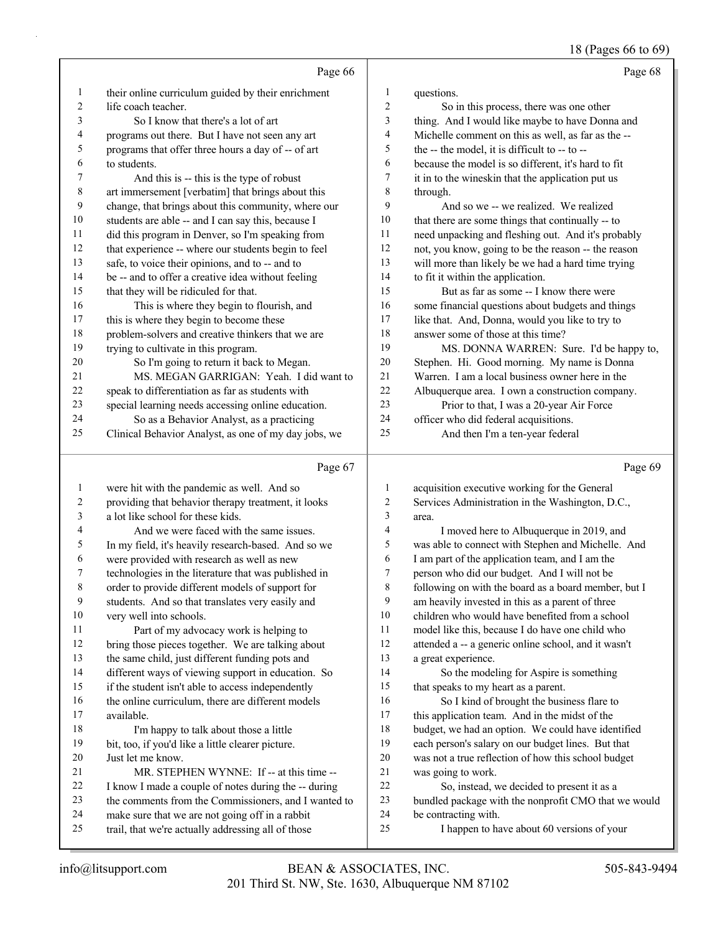18 (Pages 66 to 69)

|                         |                                                      |                          | $18$ (Pages 66 to 69)                                |
|-------------------------|------------------------------------------------------|--------------------------|------------------------------------------------------|
|                         | Page 66                                              |                          | Page 68                                              |
| $\mathbf{1}$            | their online curriculum guided by their enrichment   | $\mathbf{1}$             | questions.                                           |
| 2                       | life coach teacher.                                  | $\overline{2}$           | So in this process, there was one other              |
| 3                       | So I know that there's a lot of art                  | $\overline{\mathbf{3}}$  | thing. And I would like maybe to have Donna and      |
| 4                       | programs out there. But I have not seen any art      | $\overline{\mathcal{L}}$ | Michelle comment on this as well, as far as the --   |
| 5                       | programs that offer three hours a day of -- of art   | 5                        | the -- the model, it is difficult to -- to --        |
| 6                       | to students.                                         | 6                        | because the model is so different, it's hard to fit  |
| 7                       | And this is -- this is the type of robust            | $\boldsymbol{7}$         | it in to the wineskin that the application put us    |
| 8                       | art immersement [verbatim] that brings about this    | $\,$ 8 $\,$              | through.                                             |
| 9                       | change, that brings about this community, where our  | 9                        | And so we -- we realized. We realized                |
| 10                      | students are able -- and I can say this, because I   | 10                       | that there are some things that continually -- to    |
| 11                      | did this program in Denver, so I'm speaking from     | 11                       | need unpacking and fleshing out. And it's probably   |
| 12                      | that experience -- where our students begin to feel  | 12                       | not, you know, going to be the reason -- the reason  |
| 13                      | safe, to voice their opinions, and to -- and to      | 13                       | will more than likely be we had a hard time trying   |
| 14                      | be -- and to offer a creative idea without feeling   | 14                       | to fit it within the application.                    |
| 15                      | that they will be ridiculed for that.                | 15                       | But as far as some -- I know there were              |
| 16                      | This is where they begin to flourish, and            | 16                       | some financial questions about budgets and things    |
| 17                      | this is where they begin to become these             | 17                       | like that. And, Donna, would you like to try to      |
| 18                      | problem-solvers and creative thinkers that we are    | 18                       | answer some of those at this time?                   |
| 19                      | trying to cultivate in this program.                 | 19                       | MS. DONNA WARREN: Sure. I'd be happy to,             |
| 20                      | So I'm going to return it back to Megan.             | 20                       | Stephen. Hi. Good morning. My name is Donna          |
| 21                      | MS. MEGAN GARRIGAN: Yeah. I did want to              | 21                       | Warren. I am a local business owner here in the      |
| 22                      | speak to differentiation as far as students with     | 22                       | Albuquerque area. I own a construction company.      |
| 23                      | special learning needs accessing online education.   | 23                       | Prior to that, I was a 20-year Air Force             |
| 24                      | So as a Behavior Analyst, as a practicing            | 24                       | officer who did federal acquisitions.                |
| 25                      | Clinical Behavior Analyst, as one of my day jobs, we | 25                       | And then I'm a ten-year federal                      |
|                         | Page 67                                              |                          | Page 69                                              |
| $\mathbf{1}$            | were hit with the pandemic as well. And so           | $\mathbf{1}$             | acquisition executive working for the General        |
| $\overline{\mathbf{c}}$ | providing that behavior therapy treatment, it looks  | $\sqrt{2}$               | Services Administration in the Washington, D.C.,     |
| 3                       | a lot like school for these kids.                    | $\overline{3}$           | area.                                                |
| 4                       | And we were faced with the same issues.              | $\overline{\mathbf{4}}$  | I moved here to Albuquerque in 2019, and             |
| 5                       | In my field, it's heavily research-based. And so we  | 5                        | was able to connect with Stephen and Michelle. And   |
| 6                       | were provided with research as well as new           | 6                        | I am part of the application team, and I am the      |
| 7                       | technologies in the literature that was published in | $\boldsymbol{7}$         | person who did our budget. And I will not be         |
| 8                       | order to provide different models of support for     | $\,$ $\,$                | following on with the board as a board member, but I |
| 9                       | students. And so that translates very easily and     | 9                        | am heavily invested in this as a parent of three     |
| 10                      | very well into schools.                              | 10                       | children who would have benefited from a school      |
| 11                      | Part of my advocacy work is helping to               | 11                       | model like this, because I do have one child who     |
| 12                      | bring those pieces together. We are talking about    | 12                       | attended a -- a generic online school, and it wasn't |

- the same child, just different funding pots and different ways of viewing support in education. So
- if the student isn't able to access independently
- 16 the online curriculum, there are different models
- available.
- 18 I'm happy to talk about those a little bit, too, if you'd like a little clearer picture.
- Just let me know.
- 21 MR. STEPHEN WYNNE: If -- at this time --
- I know I made a couple of notes during the -- during
- the comments from the Commissioners, and I wanted to make sure that we are not going off in a rabbit
- trail, that we're actually addressing all of those
- 14 So the modeling for Aspire is something that speaks to my heart as a parent.
- 16 So I kind of brought the business flare to this application team. And in the midst of the budget, we had an option. We could have identified each person's salary on our budget lines. But that was not a true reflection of how this school budget was going to work.
- 22 So, instead, we decided to present it as a bundled package with the nonprofit CMO that we would
- be contracting with.

a great experience.

25 I happen to have about 60 versions of your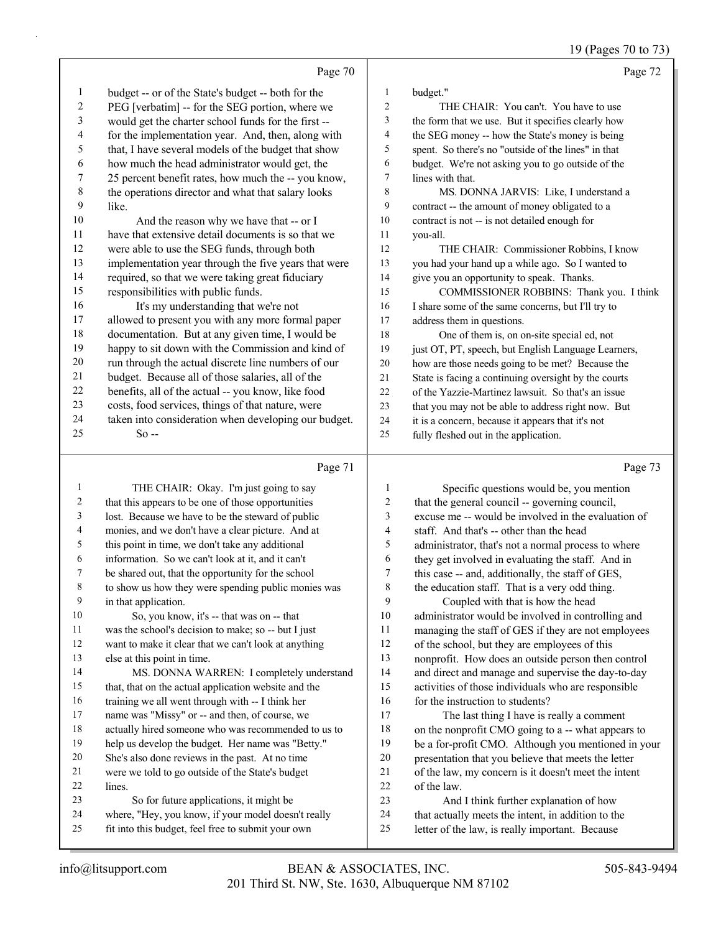19 (Pages 70 to 73)

|                         | Page 70                                                         |                | Page 72                                                                        |
|-------------------------|-----------------------------------------------------------------|----------------|--------------------------------------------------------------------------------|
| 1                       | budget -- or of the State's budget -- both for the              | $\mathbf{1}$   | budget."                                                                       |
| $\overline{\mathbf{c}}$ | PEG [verbatim] -- for the SEG portion, where we                 | $\overline{c}$ | THE CHAIR: You can't. You have to use                                          |
| 3                       | would get the charter school funds for the first --             | 3              | the form that we use. But it specifies clearly how                             |
| 4                       | for the implementation year. And, then, along with              | 4              | the SEG money -- how the State's money is being                                |
| 5                       | that, I have several models of the budget that show             | 5              | spent. So there's no "outside of the lines" in that                            |
| 6                       | how much the head administrator would get, the                  | 6              | budget. We're not asking you to go outside of the                              |
| 7                       | 25 percent benefit rates, how much the -- you know,             | 7              | lines with that.                                                               |
| $\,$ $\,$               | the operations director and what that salary looks              | 8              | MS. DONNA JARVIS: Like, I understand a                                         |
| 9                       | like.                                                           | 9              | contract -- the amount of money obligated to a                                 |
| $10\,$                  | And the reason why we have that -- or I                         | 10             | contract is not -- is not detailed enough for                                  |
| 11                      | have that extensive detail documents is so that we              | 11             | you-all.                                                                       |
| 12                      | were able to use the SEG funds, through both                    | 12             | THE CHAIR: Commissioner Robbins, I know                                        |
| 13                      | implementation year through the five years that were            | 13             | you had your hand up a while ago. So I wanted to                               |
| 14                      | required, so that we were taking great fiduciary                | 14             | give you an opportunity to speak. Thanks.                                      |
| 15                      | responsibilities with public funds.                             | 15             | COMMISSIONER ROBBINS: Thank you. I think                                       |
| 16                      | It's my understanding that we're not                            | 16             | I share some of the same concerns, but I'll try to                             |
| 17                      | allowed to present you with any more formal paper               | 17             | address them in questions.                                                     |
| 18                      | documentation. But at any given time, I would be                | 18             | One of them is, on on-site special ed, not                                     |
| 19                      | happy to sit down with the Commission and kind of               | 19             | just OT, PT, speech, but English Language Learners,                            |
| $20\,$                  | run through the actual discrete line numbers of our             | 20             | how are those needs going to be met? Because the                               |
| $21\,$                  | budget. Because all of those salaries, all of the               | 21             | State is facing a continuing oversight by the courts                           |
| 22                      | benefits, all of the actual -- you know, like food              | 22             | of the Yazzie-Martinez lawsuit. So that's an issue                             |
| 23                      | costs, food services, things of that nature, were               | 23             | that you may not be able to address right now. But                             |
| 24                      | taken into consideration when developing our budget.            | 24             | it is a concern, because it appears that it's not                              |
| 25                      | $So -$                                                          | 25             | fully fleshed out in the application.                                          |
|                         | Page 71                                                         |                | Page 73                                                                        |
| 1                       | THE CHAIR: Okay. I'm just going to say                          | $\mathbf{1}$   | Specific questions would be, you mention                                       |
| 2                       | that this appears to be one of those opportunities              | 2              | that the general council -- governing council,                                 |
| 3                       | lost. Because we have to be the steward of public               | 3              | excuse me -- would be involved in the evaluation of                            |
| 4                       | monies, and we don't have a clear picture. And at               | 4              | staff. And that's -- other than the head                                       |
| 5                       | this point in time, we don't take any additional                | 5              | administrator, that's not a normal process to where                            |
| 6                       | information. So we can't look at it, and it can't               | 6              | they get involved in evaluating the staff. And in                              |
| 7                       | be shared out, that the opportunity for the school              | 7              | this case -- and, additionally, the staff of GES,                              |
| $\circ$                 | المتحدث والملحق والمتحدث والمنافس والمستحدث والمستحدث والمستحدث | $\circ$        | de la conferencia del control del CC - TPL estado el contenente del del del co |

- to show us how they were spending public monies was in that application.
- 10 So, you know, it's -- that was on -- that
- was the school's decision to make; so -- but I just
- want to make it clear that we can't look at anything else at this point in time.
- 14 MS. DONNA WARREN: I completely understand that, that on the actual application website and the
- training we all went through with -- I think her
- name was "Missy" or -- and then, of course, we
- actually hired someone who was recommended to us to
- help us develop the budget. Her name was "Betty."
- She's also done reviews in the past. At no time
- were we told to go outside of the State's budget
- lines. 23 So for future applications, it might be
- where, "Hey, you know, if your model doesn't really
- fit into this budget, feel free to submit your own
- the education staff. That is a very odd thing. 9 Coupled with that is how the head administrator would be involved in controlling and managing the staff of GES if they are not employees of the school, but they are employees of this nonprofit. How does an outside person then control and direct and manage and supervise the day-to-day activities of those individuals who are responsible 16 for the instruction to students?
- 17 The last thing I have is really a comment on the nonprofit CMO going to a -- what appears to be a for-profit CMO. Although you mentioned in your presentation that you believe that meets the letter of the law, my concern is it doesn't meet the intent of the law.
- 23 And I think further explanation of how that actually meets the intent, in addition to the
- letter of the law, is really important. Because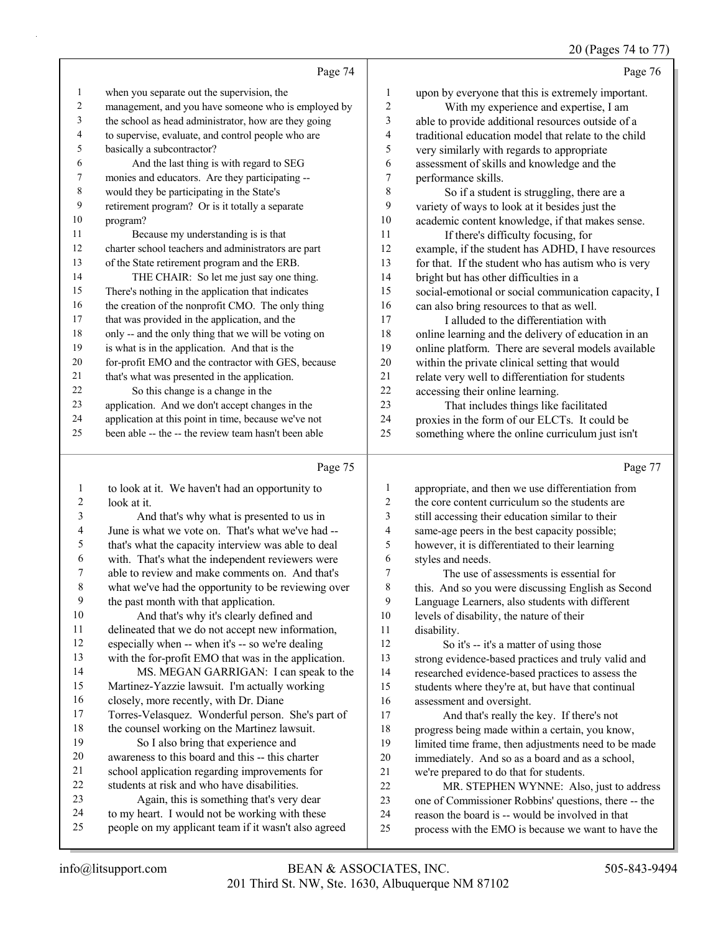#### 20 (Pages 74 to 77)

|                | Page 74                                              |                         | Page 76                                              |
|----------------|------------------------------------------------------|-------------------------|------------------------------------------------------|
| $\mathbf{1}$   | when you separate out the supervision, the           | $\mathbf{1}$            | upon by everyone that this is extremely important.   |
| $\overline{c}$ | management, and you have someone who is employed by  | $\overline{c}$          | With my experience and expertise, I am               |
| 3              | the school as head administrator, how are they going | 3                       | able to provide additional resources outside of a    |
| 4              | to supervise, evaluate, and control people who are   | $\overline{4}$          | traditional education model that relate to the child |
| $\sqrt{5}$     | basically a subcontractor?                           | 5                       | very similarly with regards to appropriate           |
| 6              | And the last thing is with regard to SEG             | 6                       | assessment of skills and knowledge and the           |
| 7              | monies and educators. Are they participating --      | 7                       | performance skills.                                  |
| $\,$ $\,$      | would they be participating in the State's           | 8                       | So if a student is struggling, there are a           |
| 9              | retirement program? Or is it totally a separate      | 9                       | variety of ways to look at it besides just the       |
| 10             | program?                                             | 10                      | academic content knowledge, if that makes sense.     |
| 11             | Because my understanding is is that                  | 11                      | If there's difficulty focusing, for                  |
| 12             | charter school teachers and administrators are part  | 12                      | example, if the student has ADHD, I have resources   |
| 13             | of the State retirement program and the ERB.         | 13                      | for that. If the student who has autism who is very  |
| 14             | THE CHAIR: So let me just say one thing.             | 14                      | bright but has other difficulties in a               |
| 15             | There's nothing in the application that indicates    | 15                      | social-emotional or social communication capacity, I |
| 16             | the creation of the nonprofit CMO. The only thing    | 16                      | can also bring resources to that as well.            |
| 17             | that was provided in the application, and the        | 17                      | I alluded to the differentiation with                |
| 18             | only -- and the only thing that we will be voting on | 18                      | online learning and the delivery of education in an  |
| 19             | is what is in the application. And that is the       | 19                      | online platform. There are several models available  |
| 20             | for-profit EMO and the contractor with GES, because  | 20                      | within the private clinical setting that would       |
| 21             | that's what was presented in the application.        | 21                      | relate very well to differentiation for students     |
| 22             | So this change is a change in the                    | 22                      | accessing their online learning.                     |
| 23             | application. And we don't accept changes in the      | 23                      | That includes things like facilitated                |
| 24             | application at this point in time, because we've not | 24                      | proxies in the form of our ELCTs. It could be        |
| 25             | been able -- the -- the review team hasn't been able | 25                      | something where the online curriculum just isn't     |
|                |                                                      |                         |                                                      |
|                | Page 75                                              |                         | Page 77                                              |
| $\mathbf{1}$   | to look at it. We haven't had an opportunity to      | $\mathbf{1}$            | appropriate, and then we use differentiation from    |
| $\mathbf{2}$   | look at it.                                          | $\sqrt{2}$              | the core content curriculum so the students are      |
| 3              | And that's why what is presented to us in            | 3                       | still accessing their education similar to their     |
| 4              | June is what we vote on. That's what we've had --    | $\overline{\mathbf{4}}$ | same-age peers in the best capacity possible;        |
| 5              | that's what the capacity interview was able to deal  | 5                       | however, it is differentiated to their learning      |
| 6              | with. That's what the independent reviewers were     | 6                       | styles and needs.                                    |
| $\sqrt{ }$     | able to review and make comments on. And that's      | 7                       | The use of assessments is essential for              |
| $\,$ $\,$      | what we've had the opportunity to be reviewing over  | 8                       | this. And so you were discussing English as Second   |
| $\mathbf{9}$   | the past month with that application.                | 9                       | Language Learners, also students with different      |
| 10             | And that's why it's clearly defined and              | 10                      | levels of disability, the nature of their            |
| 11             | delineated that we do not accept new information,    | 11                      | disability.                                          |
| 12             | especially when -- when it's -- so we're dealing     | 12                      | So it's -- it's a matter of using those              |
| $\sim$         |                                                      |                         |                                                      |

 with the for-profit EMO that was in the application. 14 MS. MEGAN GARRIGAN: I can speak to the Martinez-Yazzie lawsuit. I'm actually working closely, more recently, with Dr. Diane Torres-Velasquez. Wonderful person. She's part of the counsel working on the Martinez lawsuit. strong evidence-based practices and truly valid and researched evidence-based practices to assess the students where they're at, but have that continual assessment and oversight. 17 And that's really the key. If there's not

 progress being made within a certain, you know, limited time frame, then adjustments need to be made immediately. And so as a board and as a school, we're prepared to do that for students.

- 22 MR. STEPHEN WYNNE: Also, just to address one of Commissioner Robbins' questions, there -- the
- reason the board is -- would be involved in that
- process with the EMO is because we want to have the

19 So I also bring that experience and awareness to this board and this -- this charter school application regarding improvements for students at risk and who have disabilities. 23 Again, this is something that's very dear to my heart. I would not be working with these people on my applicant team if it wasn't also agreed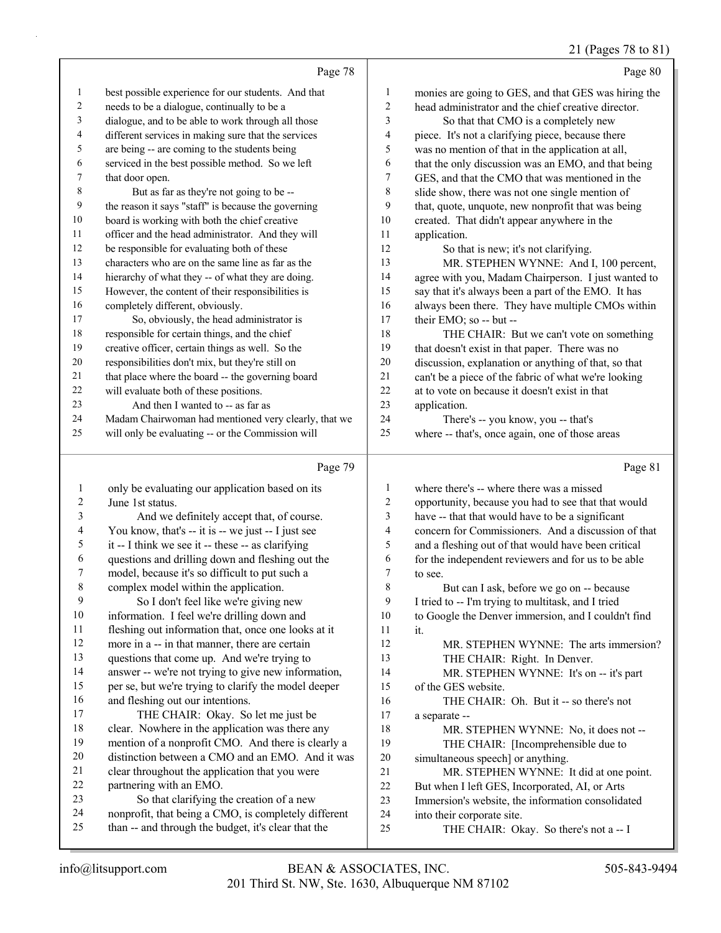# 21 (Pages 78 to 81)

|                | Page 78                                                                                          |                         | Page 80                                                                         |
|----------------|--------------------------------------------------------------------------------------------------|-------------------------|---------------------------------------------------------------------------------|
| 1              | best possible experience for our students. And that                                              | $\mathbf{1}$            | monies are going to GES, and that GES was hiring the                            |
| $\overline{c}$ | needs to be a dialogue, continually to be a                                                      | $\overline{c}$          | head administrator and the chief creative director.                             |
| 3              | dialogue, and to be able to work through all those                                               | 3                       | So that that CMO is a completely new                                            |
| 4              | different services in making sure that the services                                              | $\overline{4}$          | piece. It's not a clarifying piece, because there                               |
| 5              | are being -- are coming to the students being                                                    | 5                       | was no mention of that in the application at all,                               |
| 6              | serviced in the best possible method. So we left                                                 | 6                       | that the only discussion was an EMO, and that being                             |
| 7              | that door open.                                                                                  | $\tau$                  | GES, and that the CMO that was mentioned in the                                 |
| 8              | But as far as they're not going to be --                                                         | 8                       | slide show, there was not one single mention of                                 |
| 9              | the reason it says "staff" is because the governing                                              | 9                       | that, quote, unquote, new nonprofit that was being                              |
| 10             | board is working with both the chief creative                                                    | 10                      | created. That didn't appear anywhere in the                                     |
| 11             | officer and the head administrator. And they will                                                | 11                      | application.                                                                    |
| 12             | be responsible for evaluating both of these                                                      | 12                      | So that is new; it's not clarifying.                                            |
| 13             | characters who are on the same line as far as the                                                | 13                      | MR. STEPHEN WYNNE: And I, 100 percent,                                          |
| 14             | hierarchy of what they -- of what they are doing.                                                | 14                      | agree with you, Madam Chairperson. I just wanted to                             |
| 15             | However, the content of their responsibilities is                                                | 15                      | say that it's always been a part of the EMO. It has                             |
| 16             | completely different, obviously.                                                                 | 16                      | always been there. They have multiple CMOs within                               |
| 17             | So, obviously, the head administrator is                                                         | 17                      | their EMO; so -- but --                                                         |
| 18             | responsible for certain things, and the chief                                                    | 18                      | THE CHAIR: But we can't vote on something                                       |
| 19             | creative officer, certain things as well. So the                                                 | 19                      | that doesn't exist in that paper. There was no                                  |
| 20             | responsibilities don't mix, but they're still on                                                 | 20                      | discussion, explanation or anything of that, so that                            |
| 21             | that place where the board -- the governing board                                                | 21                      | can't be a piece of the fabric of what we're looking                            |
| 22             | will evaluate both of these positions.                                                           | 22                      | at to vote on because it doesn't exist in that                                  |
| 23             | And then I wanted to -- as far as                                                                | 23                      | application.                                                                    |
| 24             | Madam Chairwoman had mentioned very clearly, that we                                             | 24                      | There's -- you know, you -- that's                                              |
| 25             | will only be evaluating -- or the Commission will                                                | 25                      | where -- that's, once again, one of those areas                                 |
|                |                                                                                                  |                         |                                                                                 |
|                | Page 79                                                                                          |                         | Page 81                                                                         |
| 1              | only be evaluating our application based on its                                                  | 1                       | where there's -- where there was a missed                                       |
| 2              | June 1st status.                                                                                 | $\overline{c}$          | opportunity, because you had to see that that would                             |
| 3              | And we definitely accept that, of course.                                                        | $\mathfrak{Z}$          | have -- that that would have to be a significant                                |
| 4              | You know, that's -- it is -- we just -- I just see                                               | $\overline{\mathbf{4}}$ | concern for Commissioners. And a discussion of that                             |
| 5              | it -- I think we see it -- these -- as clarifying                                                | 5                       | and a fleshing out of that would have been critical                             |
| 6              | questions and drilling down and fleshing out the                                                 | 6                       | for the independent reviewers and for us to be able                             |
| 7              | model, because it's so difficult to put such a                                                   | 7                       | to see.                                                                         |
| 8              | complex model within the application.                                                            | 8                       | But can I ask, before we go on -- because                                       |
| $\mathbf{9}$   | So I don't feel like we're giving new                                                            | 9                       | I tried to -- I'm trying to multitask, and I tried                              |
| 10             | information. I feel we're drilling down and                                                      | 10                      | to Google the Denver immersion, and I couldn't find                             |
| 11             | fleshing out information that, once one looks at it                                              | 11                      | it.                                                                             |
| 12             | more in a -- in that manner, there are certain                                                   | 12                      | MR. STEPHEN WYNNE: The arts immersion?                                          |
| 13             | questions that come up. And we're trying to                                                      | 13                      | THE CHAIR: Right. In Denver.                                                    |
| 14             | answer -- we're not trying to give new information,                                              | 14                      | MR. STEPHEN WYNNE: It's on -- it's part                                         |
| 15             | per se, but we're trying to clarify the model deeper                                             | 15                      | of the GES website.                                                             |
| 16             | and fleshing out our intentions.                                                                 | 16                      | THE CHAIR: Oh. But it -- so there's not                                         |
| 17             | THE CHAIR: Okay. So let me just be                                                               | 17                      | a separate --                                                                   |
| 18             | clear. Nowhere in the application was there any                                                  | 18                      | MR. STEPHEN WYNNE: No, it does not --                                           |
| 19             | mention of a nonprofit CMO. And there is clearly a                                               | 19                      | THE CHAIR: [Incomprehensible due to                                             |
| 20             | distinction between a CMO and an EMO. And it was                                                 | $20\,$                  | simultaneous speech] or anything.                                               |
| 21             | clear throughout the application that you were                                                   | 21                      | MR. STEPHEN WYNNE: It did at one point.                                         |
| 22<br>23       | partnering with an EMO.                                                                          | 22<br>23                | But when I left GES, Incorporated, AI, or Arts                                  |
| 24             | So that clarifying the creation of a new<br>nonprofit, that being a CMO, is completely different | 24                      | Immersion's website, the information consolidated<br>into their corporate site. |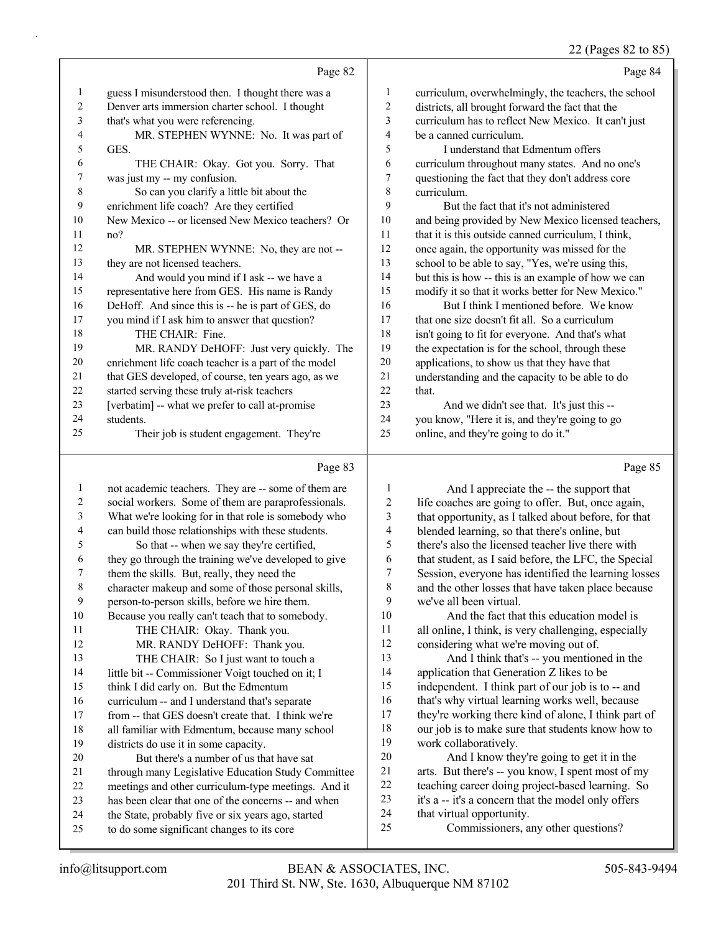#### 22 (Pages 82 to 85)

|    | Page 82                                              |                | Page 84                                              |
|----|------------------------------------------------------|----------------|------------------------------------------------------|
| 1  | guess I misunderstood then. I thought there was a    | $\mathbf{1}$   | curriculum, overwhelmingly, the teachers, the school |
| 2  | Denver arts immersion charter school. I thought      | $\overline{2}$ | districts, all brought forward the fact that the     |
| 3  | that's what you were referencing.                    | 3              | curriculum has to reflect New Mexico. It can't just  |
| 4  | MR. STEPHEN WYNNE: No. It was part of                | $\overline{4}$ | be a canned curriculum.                              |
| 5  | GES.                                                 | 5              | I understand that Edmentum offers                    |
| 6  | THE CHAIR: Okay. Got you. Sorry. That                | 6              | curriculum throughout many states. And no one's      |
| 7  | was just my -- my confusion.                         | 7              | questioning the fact that they don't address core    |
| 8  | So can you clarify a little bit about the            | 8              | curriculum.                                          |
| 9  | enrichment life coach? Are they certified            | 9              | But the fact that it's not administered              |
| 10 | New Mexico -- or licensed New Mexico teachers? Or    | 10             | and being provided by New Mexico licensed teachers,  |
| 11 | no?                                                  | 11             | that it is this outside canned curriculum, I think,  |
| 12 | MR. STEPHEN WYNNE: No, they are not --               | 12             | once again, the opportunity was missed for the       |
| 13 | they are not licensed teachers.                      | 13             | school to be able to say, "Yes, we're using this,    |
| 14 | And would you mind if I ask -- we have a             | 14             | but this is how -- this is an example of how we can  |
| 15 | representative here from GES. His name is Randy      | 15             | modify it so that it works better for New Mexico."   |
| 16 | DeHoff. And since this is -- he is part of GES, do   | 16             | But I think I mentioned before. We know              |
| 17 | you mind if I ask him to answer that question?       | 17             | that one size doesn't fit all. So a curriculum       |
| 18 | THE CHAIR: Fine.                                     | 18             | isn't going to fit for everyone. And that's what     |
| 19 | MR. RANDY DeHOFF: Just very quickly. The             | 19             | the expectation is for the school, through these     |
| 20 | enrichment life coach teacher is a part of the model | 20             | applications, to show us that they have that         |
| 21 | that GES developed, of course, ten years ago, as we  | 21             | understanding and the capacity to be able to do      |
| 22 | started serving these truly at-risk teachers         | 22             | that.                                                |
| 23 | [verbatim] -- what we prefer to call at-promise      | 23             | And we didn't see that. It's just this --            |
| 24 | students.                                            | 24             | you know, "Here it is, and they're going to go       |
| 25 | Their job is student engagement. They're             | 25             | online, and they're going to do it."                 |
|    | Page 83                                              |                | Page 85                                              |

#### Page 83 |

| $\mathbf{1}$   | not academic teachers. They are -- some of them are  | 1  |
|----------------|------------------------------------------------------|----|
| $\overline{c}$ | social workers. Some of them are paraprofessionals.  | 2  |
| 3              | What we're looking for in that role is somebody who  | 3  |
| $\overline{4}$ | can build those relationships with these students.   | 4  |
| 5              | So that -- when we say they're certified,            | 5  |
| 6              | they go through the training we've developed to give | 6  |
| 7              | them the skills. But, really, they need the          | 7  |
| 8              | character makeup and some of those personal skills,  | 8  |
| 9              | person-to-person skills, before we hire them.        | 9  |
| 10             | Because you really can't teach that to somebody.     | 10 |
| 11             | THE CHAIR: Okay. Thank you.                          | 11 |
| 12             | MR. RANDY DeHOFF: Thank you.                         | 12 |
| 13             | THE CHAIR: So I just want to touch a                 | 13 |
| 14             | little bit -- Commissioner Voigt touched on it; I    | 14 |
| 15             | think I did early on. But the Edmentum               | 15 |
| 16             | curriculum -- and I understand that's separate       | 16 |
| 17             | from -- that GES doesn't create that. I think we're  | 17 |
| 18             | all familiar with Edmentum, because many school      | 18 |
| 19             | districts do use it in some capacity.                | 19 |
| 20             | But there's a number of us that have sat             | 20 |
| 21             | through many Legislative Education Study Committee   | 21 |
| 22             | meetings and other curriculum-type meetings. And it  | 22 |
| 23             | has been clear that one of the concerns -- and when  | 23 |
| 24             | the State, probably five or six years ago, started   | 24 |
| 25             | to do some significant changes to its core           | 25 |
|                |                                                      |    |

And I appreciate the -- the support that life coaches are going to offer. But, once again, that opportunity, as I talked about before, for that blended learning, so that there's online, but there's also the licensed teacher live there with that student, as I said before, the LFC, the Special Session, everyone has identified the learning losses and the other losses that have taken place because we've all been virtual. And the fact that this education model is all online, I think, is very challenging, especially

considering what we're moving out of. And I think that's -- you mentioned in the application that Generation Z likes to be independent. I think part of our job is to -- and that's why virtual learning works well, because they're working there kind of alone, I think part of our job is to make sure that students know how to work collaboratively.

And I know they're going to get it in the arts. But there's -- you know, I spent most of my 22 teaching career doing project-based learning. So it's a -- it's a concern that the model only offers that virtual opportunity.

Commissioners, any other questions?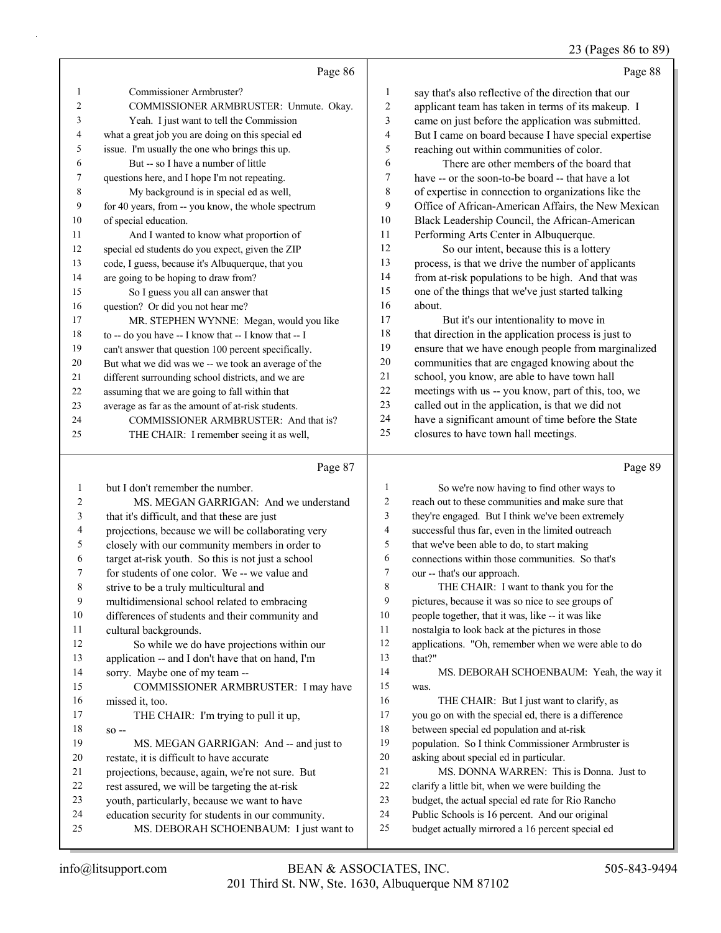# 23 (Pages 86 to 89)

|    | Page 86                                              |                | Page 88                                              |
|----|------------------------------------------------------|----------------|------------------------------------------------------|
| 1  | Commissioner Armbruster?                             | 1              | say that's also reflective of the direction that our |
| 2  | COMMISSIONER ARMBRUSTER: Unmute. Okay.               | 2              | applicant team has taken in terms of its makeup. I   |
| 3  | Yeah. I just want to tell the Commission             | 3              | came on just before the application was submitted.   |
| 4  | what a great job you are doing on this special ed    | $\overline{4}$ | But I came on board because I have special expertise |
| 5  | issue. I'm usually the one who brings this up.       | 5              | reaching out within communities of color.            |
| 6  | But -- so I have a number of little                  | 6              | There are other members of the board that            |
| 7  | questions here, and I hope I'm not repeating.        | 7              | have -- or the soon-to-be board -- that have a lot   |
| 8  | My background is in special ed as well,              | 8              | of expertise in connection to organizations like the |
| 9  | for 40 years, from -- you know, the whole spectrum   | 9              | Office of African-American Affairs, the New Mexican  |
| 10 | of special education.                                | 10             | Black Leadership Council, the African-American       |
| 11 | And I wanted to know what proportion of              | 11             | Performing Arts Center in Albuquerque.               |
| 12 | special ed students do you expect, given the ZIP     | 12             | So our intent, because this is a lottery             |
| 13 | code, I guess, because it's Albuquerque, that you    | 13             | process, is that we drive the number of applicants   |
| 14 | are going to be hoping to draw from?                 | 14             | from at-risk populations to be high. And that was    |
| 15 | So I guess you all can answer that                   | 15             | one of the things that we've just started talking    |
| 16 | question? Or did you not hear me?                    | 16             | about.                                               |
| 17 | MR. STEPHEN WYNNE: Megan, would you like             | 17             | But it's our intentionality to move in               |
| 18 | to -- do you have -- I know that -- I know that -- I | 18             | that direction in the application process is just to |
| 19 | can't answer that question 100 percent specifically. | 19             | ensure that we have enough people from marginalized  |
| 20 | But what we did was we -- we took an average of the  | 20             | communities that are engaged knowing about the       |
| 21 | different surrounding school districts, and we are   | 21             | school, you know, are able to have town hall         |
| 22 | assuming that we are going to fall within that       | 22             | meetings with us -- you know, part of this, too, we  |
| 23 | average as far as the amount of at-risk students.    | 23             | called out in the application, is that we did not    |
| 24 | COMMISSIONER ARMBRUSTER: And that is?                | 24             | have a significant amount of time before the State   |
| 25 | THE CHAIR: I remember seeing it as well,             | 25             | closures to have town hall meetings.                 |
|    |                                                      |                |                                                      |

### Page 87

| $\mathbf{I}$ | but I don't remember the number.                   | 1              | So we're now having to find other ways to            |
|--------------|----------------------------------------------------|----------------|------------------------------------------------------|
| 2            | MS. MEGAN GARRIGAN: And we understand              | $\overline{2}$ | reach out to these communities and make sure that    |
| 3            | that it's difficult, and that these are just       | 3              | they're engaged. But I think we've been extremely    |
| 4            | projections, because we will be collaborating very | 4              | successful thus far, even in the limited outreach    |
| 5            | closely with our community members in order to     | 5              | that we've been able to do, to start making          |
| 6            | target at-risk youth. So this is not just a school | 6              | connections within those communities. So that's      |
| 7            | for students of one color. We -- we value and      | $\tau$         | our -- that's our approach.                          |
| 8            | strive to be a truly multicultural and             | 8              | THE CHAIR: I want to thank you for the               |
| 9            | multidimensional school related to embracing       | 9              | pictures, because it was so nice to see groups of    |
| 10           | differences of students and their community and    | 10             | people together, that it was, like -- it was like    |
| 11           | cultural backgrounds.                              | 11             | nostalgia to look back at the pictures in those      |
| 12           | So while we do have projections within our         | 12             | applications. "Oh, remember when we were able to do  |
| 13           | application -- and I don't have that on hand, I'm  | 13             | that?"                                               |
| 14           | sorry. Maybe one of my team --                     | 14             | MS. DEBORAH SCHOENBAUM: Yeah, the way it             |
| 15           | COMMISSIONER ARMBRUSTER: I may have                | 15             | was.                                                 |
| 16           | missed it, too.                                    | 16             | THE CHAIR: But I just want to clarify, as            |
| 17           | THE CHAIR: I'm trying to pull it up,               | 17             | you go on with the special ed, there is a difference |
| 18           | $SO -$                                             | 18             | between special ed population and at-risk            |
| 19           | MS. MEGAN GARRIGAN: And -- and just to             | 19             | population. So I think Commissioner Armbruster is    |
| 20           | restate, it is difficult to have accurate          | 20             | asking about special ed in particular.               |
| 21           | projections, because, again, we're not sure. But   | 21             | MS. DONNA WARREN: This is Donna. Just to             |
| 22           | rest assured, we will be targeting the at-risk     | 22             | clarify a little bit, when we were building the      |
| 23           | youth, particularly, because we want to have       | 23             | budget, the actual special ed rate for Rio Rancho    |
| 24           | education security for students in our community.  | 24             | Public Schools is 16 percent. And our original       |
| 25           | MS. DEBORAH SCHOENBAUM: I just want to             | 25             | budget actually mirrored a 16 percent special ed     |
|              |                                                    |                |                                                      |

Page 89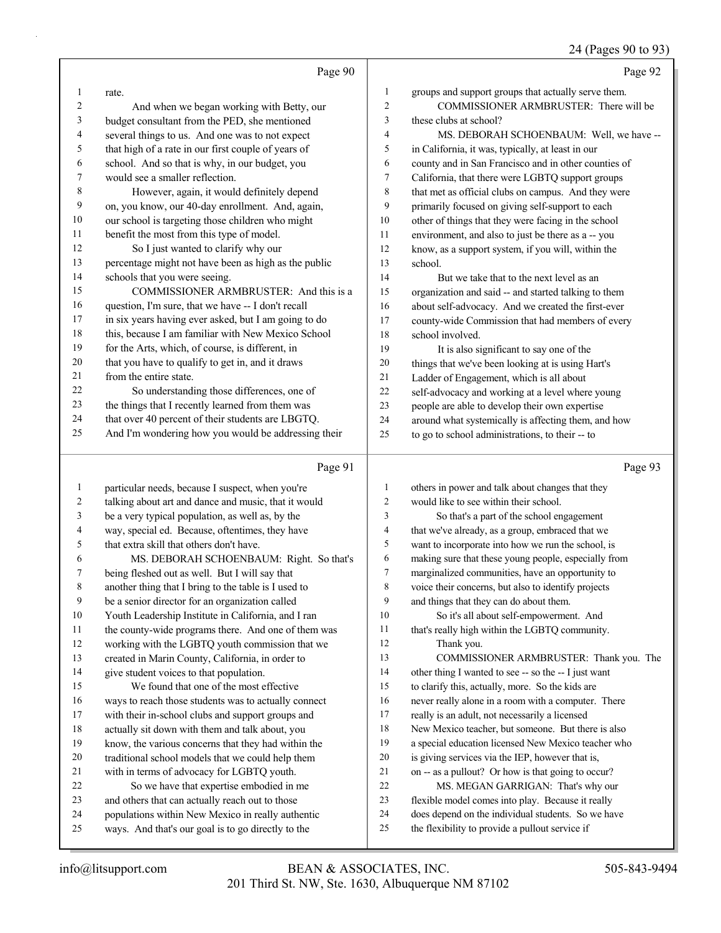# 24 (Pages 90 to 93)

|          | Page 90                                                                                              |                | Page 92                                                                                                 |
|----------|------------------------------------------------------------------------------------------------------|----------------|---------------------------------------------------------------------------------------------------------|
| 1        | rate.                                                                                                | $\mathbf{1}$   | groups and support groups that actually serve them.                                                     |
| 2        | And when we began working with Betty, our                                                            | 2              | COMMISSIONER ARMBRUSTER: There will be                                                                  |
| 3        | budget consultant from the PED, she mentioned                                                        | 3              | these clubs at school?                                                                                  |
| 4        | several things to us. And one was to not expect                                                      | 4              | MS. DEBORAH SCHOENBAUM: Well, we have --                                                                |
| 5        | that high of a rate in our first couple of years of                                                  | 5              | in California, it was, typically, at least in our                                                       |
| 6        | school. And so that is why, in our budget, you                                                       | 6              | county and in San Francisco and in other counties of                                                    |
| 7        | would see a smaller reflection.                                                                      | 7              | California, that there were LGBTQ support groups                                                        |
| 8        | However, again, it would definitely depend                                                           | 8              | that met as official clubs on campus. And they were                                                     |
| 9        | on, you know, our 40-day enrollment. And, again,                                                     | 9              | primarily focused on giving self-support to each                                                        |
| 10       | our school is targeting those children who might                                                     | 10             | other of things that they were facing in the school                                                     |
| 11       | benefit the most from this type of model.                                                            | 11             | environment, and also to just be there as a -- you                                                      |
| 12       | So I just wanted to clarify why our                                                                  | 12             | know, as a support system, if you will, within the                                                      |
| 13       | percentage might not have been as high as the public                                                 | 13             | school.                                                                                                 |
| 14       | schools that you were seeing.                                                                        | 14             | But we take that to the next level as an                                                                |
| 15       | COMMISSIONER ARMBRUSTER: And this is a                                                               | 15             | organization and said -- and started talking to them                                                    |
| 16       | question, I'm sure, that we have -- I don't recall                                                   | 16             | about self-advocacy. And we created the first-ever                                                      |
| 17       | in six years having ever asked, but I am going to do                                                 | 17             | county-wide Commission that had members of every                                                        |
| 18       | this, because I am familiar with New Mexico School                                                   | 18             | school involved.                                                                                        |
| 19       | for the Arts, which, of course, is different, in                                                     | 19             | It is also significant to say one of the                                                                |
| 20       | that you have to qualify to get in, and it draws                                                     | 20             | things that we've been looking at is using Hart's                                                       |
| 21       | from the entire state.                                                                               | 21             | Ladder of Engagement, which is all about                                                                |
| 22       | So understanding those differences, one of                                                           | 22             | self-advocacy and working at a level where young                                                        |
| 23       | the things that I recently learned from them was                                                     | 23             | people are able to develop their own expertise                                                          |
| 24       | that over 40 percent of their students are LBGTQ.                                                    | 24             | around what systemically is affecting them, and how                                                     |
| 25       | And I'm wondering how you would be addressing their                                                  | 25             | to go to school administrations, to their -- to                                                         |
|          |                                                                                                      |                |                                                                                                         |
|          | Page 91                                                                                              |                | Page 93                                                                                                 |
| 1        | particular needs, because I suspect, when you're                                                     | 1              | others in power and talk about changes that they                                                        |
| 2        | talking about art and dance and music, that it would                                                 | $\overline{c}$ | would like to see within their school.                                                                  |
| 3        | be a very typical population, as well as, by the                                                     | 3              | So that's a part of the school engagement                                                               |
| 4        | way, special ed. Because, oftentimes, they have                                                      | 4              | that we've already, as a group, embraced that we                                                        |
| 5        | that extra skill that others don't have.                                                             | 5              | want to incorporate into how we run the school, is                                                      |
| 6        | MS. DEBORAH SCHOENBAUM: Right. So that's                                                             | 6              | making sure that these young people, especially from                                                    |
| 7        | being fleshed out as well. But I will say that                                                       | 7              | marginalized communities, have an opportunity to                                                        |
| 8        | another thing that I bring to the table is I used to                                                 | 8              | voice their concerns, but also to identify projects                                                     |
| 9        | be a senior director for an organization called                                                      | 9              | and things that they can do about them.                                                                 |
| 10       | Youth Leadership Institute in California, and I ran                                                  | 10             | So it's all about self-empowerment. And                                                                 |
| 11       | the county-wide programs there. And one of them was                                                  | 11             | that's really high within the LGBTQ community.                                                          |
| 12       | working with the LGBTQ youth commission that we                                                      | 12             | Thank you.                                                                                              |
| 13       | created in Marin County, California, in order to                                                     | 13             | COMMISSIONER ARMBRUSTER: Thank you. The                                                                 |
| 14       | give student voices to that population.                                                              | 14             | other thing I wanted to see -- so the -- I just want                                                    |
| 15       | We found that one of the most effective                                                              | 15             | to clarify this, actually, more. So the kids are                                                        |
| 16       | ways to reach those students was to actually connect                                                 | 16             | never really alone in a room with a computer. There                                                     |
| 17       | with their in-school clubs and support groups and                                                    | 17             | really is an adult, not necessarily a licensed                                                          |
| 18       | actually sit down with them and talk about, you                                                      | 18             | New Mexico teacher, but someone. But there is also                                                      |
| 19       | know, the various concerns that they had within the                                                  | 19             | a special education licensed New Mexico teacher who                                                     |
| 20       | traditional school models that we could help them                                                    | 20<br>21       | is giving services via the IEP, however that is,                                                        |
| 21<br>22 | with in terms of advocacy for LGBTQ youth.                                                           |                | on -- as a pullout? Or how is that going to occur?                                                      |
| 23       | So we have that expertise embodied in me                                                             | $22\,$<br>23   | MS. MEGAN GARRIGAN: That's why our                                                                      |
| 24       | and others that can actually reach out to those<br>populations within New Mexico in really authentic | 24             | flexible model comes into play. Because it really<br>does depend on the individual students. So we have |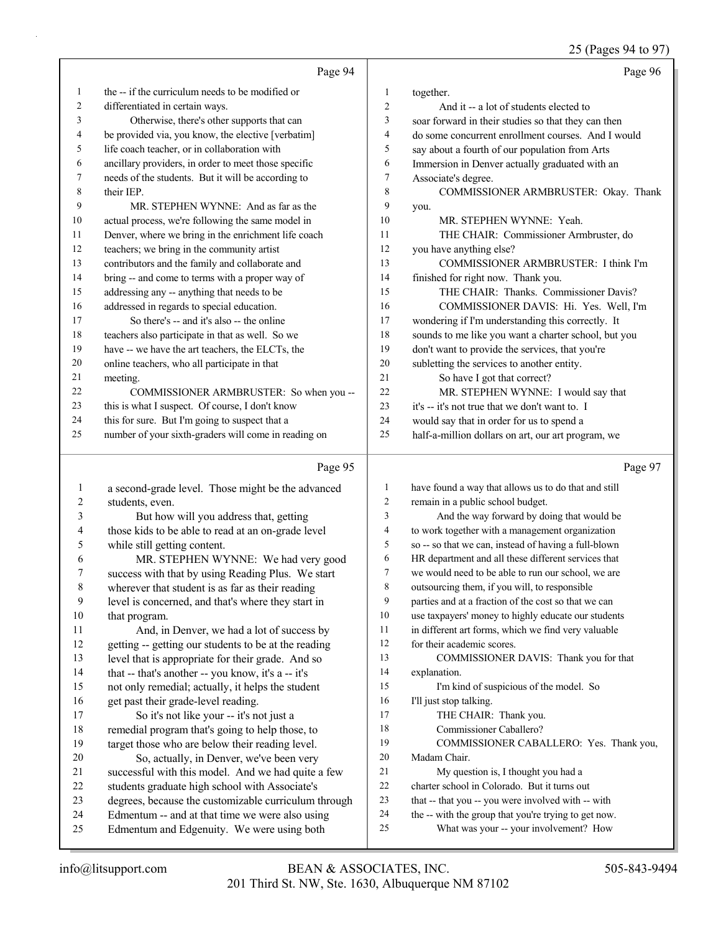25 (Pages 94 to 97)

|                |                                                      |                          | 25 (Pages 94 to 97)                                  |
|----------------|------------------------------------------------------|--------------------------|------------------------------------------------------|
|                | Page 94                                              |                          | Page 96                                              |
| 1              | the -- if the curriculum needs to be modified or     | $\mathbf{1}$             | together.                                            |
| $\overline{c}$ | differentiated in certain ways.                      | $\mathfrak{2}$           | And it -- a lot of students elected to               |
| 3              | Otherwise, there's other supports that can           | 3                        | soar forward in their studies so that they can then  |
| 4              | be provided via, you know, the elective [verbatim]   | $\overline{\mathcal{L}}$ | do some concurrent enrollment courses. And I would   |
| 5              | life coach teacher, or in collaboration with         | 5                        | say about a fourth of our population from Arts       |
| 6              | ancillary providers, in order to meet those specific | 6                        | Immersion in Denver actually graduated with an       |
| 7              | needs of the students. But it will be according to   | $\tau$                   | Associate's degree.                                  |
| 8              | their IEP.                                           | 8                        | COMMISSIONER ARMBRUSTER: Okay. Thank                 |
| 9              | MR. STEPHEN WYNNE: And as far as the                 | 9                        | you.                                                 |
| 10             | actual process, we're following the same model in    | 10                       | MR. STEPHEN WYNNE: Yeah.                             |
| 11             | Denver, where we bring in the enrichment life coach  | 11                       | THE CHAIR: Commissioner Armbruster, do               |
| 12             | teachers; we bring in the community artist           | 12                       | you have anything else?                              |
| 13             | contributors and the family and collaborate and      | 13                       | COMMISSIONER ARMBRUSTER: I think I'm                 |
| 14             | bring -- and come to terms with a proper way of      | 14                       | finished for right now. Thank you.                   |
| 15             | addressing any -- anything that needs to be          | 15                       | THE CHAIR: Thanks. Commissioner Davis?               |
| 16             | addressed in regards to special education.           | 16                       | COMMISSIONER DAVIS: Hi. Yes. Well, I'm               |
| 17             | So there's -- and it's also -- the online            | 17                       | wondering if I'm understanding this correctly. It    |
| 18             | teachers also participate in that as well. So we     | 18                       | sounds to me like you want a charter school, but you |
| 19             | have -- we have the art teachers, the ELCTs, the     | 19                       | don't want to provide the services, that you're      |
| 20             | online teachers, who all participate in that         | 20                       | subletting the services to another entity.           |
| 21             | meeting.                                             | 21                       | So have I got that correct?                          |
| 22             | COMMISSIONER ARMBRUSTER: So when you --              | 22                       | MR. STEPHEN WYNNE: I would say that                  |
| 23             | this is what I suspect. Of course, I don't know      | 23                       | it's -- it's not true that we don't want to. I       |
| 24             | this for sure. But I'm going to suspect that a       | 24                       | would say that in order for us to spend a            |
| 25             | number of your sixth-graders will come in reading on | 25                       | half-a-million dollars on art, our art program, we   |
|                | Page 95                                              |                          | Page 97                                              |
| $\mathbf{1}$   | a second-grade level. Those might be the advanced    | 1                        | have found a way that allows us to do that and still |
| 2              | students, even.                                      | $\overline{c}$           | remain in a public school budget.                    |
| 3              | But how will you address that, getting               | 3                        | And the way forward by doing that would be           |
| 4              | those kids to be able to read at an on-grade level   | $\overline{\mathcal{L}}$ | to work together with a management organization      |
| 5              | while still getting content.                         | 5                        | so -- so that we can, instead of having a full-blown |
| 6              | MR. STEPHEN WYNNE: We had very good                  | 6                        | HR department and all these different services that  |
| 7              | success with that by using Reading Plus. We start    | 7                        | we would need to be able to run our school, we are   |
| 8              | wherever that student is as far as their reading     | 8                        | outsourcing them, if you will, to responsible        |
| 9              | level is concerned, and that's where they start in   | 9                        | parties and at a fraction of the cost so that we can |
| 10             | that program.                                        | 10                       | use taxpayers' money to highly educate our students  |
| 11             | And, in Denver, we had a lot of success by           | 11                       | in different art forms, which we find very valuable  |
| 12             | getting -- getting our students to be at the reading | 12                       | for their academic scores.                           |
| 13             | level that is appropriate for their grade. And so    | 13                       | COMMISSIONER DAVIS: Thank you for that               |
| 14             | that -- that's another -- you know, it's a -- it's   | 14                       | explanation.                                         |
| 15             | not only remedial; actually, it helps the student    | 15                       | I'm kind of suspicious of the model. So              |
| 16             | get past their grade-level reading.                  | 16                       | I'll just stop talking.                              |
| 17             | So it's not like your -- it's not just a             | 17                       | THE CHAIR: Thank you.                                |
| 18             | remedial program that's going to help those, to      | 18                       | Commissioner Caballero?                              |
| 19             | target those who are below their reading level.      | 19                       | COMMISSIONER CABALLERO: Yes. Thank you,              |
| 20             | So, actually, in Denver, we've been very             | 20                       | Madam Chair.                                         |

- successful with this model. And we had quite a few
- students graduate high school with Associate's
- degrees, because the customizable curriculum through
- Edmentum -- and at that time we were also using Edmentum and Edgenuity. We were using both
- 21 My question is, I thought you had a
- charter school in Colorado. But it turns out
- that -- that you -- you were involved with -- with
- 24 the -- with the group that you're trying to get now.
- 25 What was your -- your involvement? How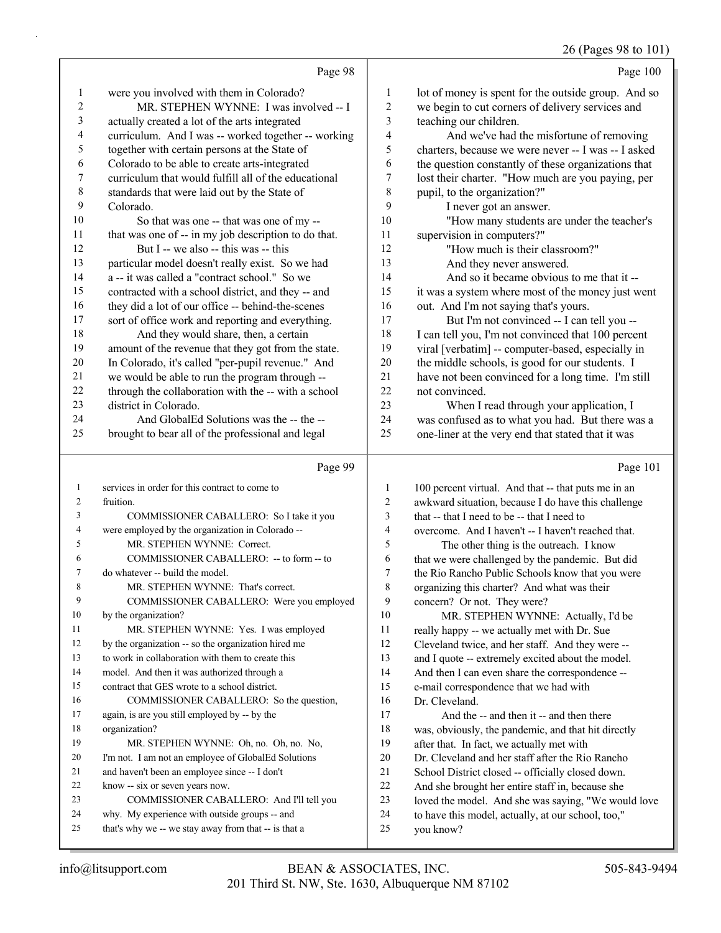#### 26 (Pages 98 to 101)

|                |                                                      |              | 26 (Pages 98 to 10)                                 |
|----------------|------------------------------------------------------|--------------|-----------------------------------------------------|
|                | Page 98                                              |              | Page 100                                            |
| 1              | were you involved with them in Colorado?             | $\mathbf{1}$ | lot of money is spent for the outside group. And so |
| 2              | MR. STEPHEN WYNNE: I was involved -- I               | $\sqrt{2}$   | we begin to cut corners of delivery services and    |
| 3              | actually created a lot of the arts integrated        | 3            | teaching our children.                              |
| 4              | curriculum. And I was -- worked together -- working  | 4            | And we've had the misfortune of removing            |
| 5              | together with certain persons at the State of        | 5            | charters, because we were never -- I was -- I asked |
| 6              | Colorado to be able to create arts-integrated        | 6            | the question constantly of these organizations that |
| 7              | curriculum that would fulfill all of the educational | 7            | lost their charter. "How much are you paying, per   |
| $\,$ $\,$      | standards that were laid out by the State of         | 8            | pupil, to the organization?"                        |
| 9              | Colorado.                                            | 9            | I never got an answer.                              |
| 10             | So that was one -- that was one of my --             | 10           | "How many students are under the teacher's          |
| 11             | that was one of -- in my job description to do that. | 11           | supervision in computers?"                          |
| 12             | But I -- we also -- this was -- this                 | 12           | "How much is their classroom?"                      |
| 13             | particular model doesn't really exist. So we had     | 13           | And they never answered.                            |
| 14             | a -- it was called a "contract school." So we        | 14           | And so it became obvious to me that it --           |
| 15             | contracted with a school district, and they -- and   | 15           | it was a system where most of the money just went   |
| 16             | they did a lot of our office -- behind-the-scenes    | 16           | out. And I'm not saying that's yours.               |
| 17             | sort of office work and reporting and everything.    | 17           | But I'm not convinced -- I can tell you --          |
| 18             | And they would share, then, a certain                | 18           | I can tell you, I'm not convinced that 100 percent  |
| 19             | amount of the revenue that they got from the state.  | 19           | viral [verbatim] -- computer-based, especially in   |
| $20\,$         | In Colorado, it's called "per-pupil revenue." And    | 20           | the middle schools, is good for our students. I     |
| 21             | we would be able to run the program through --       | 21           | have not been convinced for a long time. I'm still  |
| 22             | through the collaboration with the -- with a school  | 22           | not convinced.                                      |
| 23             | district in Colorado.                                | 23           | When I read through your application, I             |
| 24             | And GlobalEd Solutions was the -- the --             | 24           | was confused as to what you had. But there was a    |
| 25             | brought to bear all of the professional and legal    | 25           | one-liner at the very end that stated that it was   |
|                | Page 99                                              |              | Page 101                                            |
| $\mathbf{1}$   | services in order for this contract to come to       | $\mathbf{1}$ | 100 percent virtual. And that -- that puts me in an |
| $\overline{c}$ | fruition.                                            | 2            | awkward situation, because I do have this challenge |
| 3              | COMMISSIONER CABALLERO: So I take it you             | 3            | that -- that I need to be -- that I need to         |
| $\overline{4}$ | were employed by the organization in Colorado --     | 4            | overcome. And I haven't -- I haven't reached that.  |
| 5              | MR. STEPHEN WYNNE: Correct.                          | 5            | The other thing is the outreach. I know             |
| 6              | COMMISSIONER CABALLERO: -- to form -- to             | 6            | that we were challenged by the pandemic. But did    |
|                | do whatever -- build the model.                      | 7            | the Rio Rancho Public Schools know that you were    |
| 8              | MR. STEPHEN WYNNE: That's correct.                   | 8            | organizing this charter? And what was their         |
| 9              | COMMISSIONER CABALLERO: Were you employed            | 9            | concern? Or not. They were?                         |
| 10             | by the organization?                                 | 10           | MR. STEPHEN WYNNE: Actually, I'd be                 |
| 11             | MR. STEPHEN WYNNE: Yes. I was employed               | 11           | really happy -- we actually met with Dr. Sue        |
| 12             | by the organization -- so the organization hired me  | 12           | Cleveland twice, and her staff. And they were --    |
| 13             | to work in collaboration with them to create this    | 13           | and I quote -- extremely excited about the model.   |

 why. My experience with outside groups -- and that's why we -- we stay away from that -- is that a

23 COMMISSIONER CABALLERO: And I'll tell you

 model. And then it was authorized through a contract that GES wrote to a school district.

again, is are you still employed by -- by the

know -- six or seven years now.

16 COMMISSIONER CABALLERO: So the question,

19 MR. STEPHEN WYNNE: Oh, no. Oh, no. No, I'm not. I am not an employee of GlobalEd Solutions and haven't been an employee since -- I don't

you know?

Dr. Cleveland.

And then I can even share the correspondence --

e-mail correspondence that we had with

after that. In fact, we actually met with

17 And the -- and then it -- and then there was, obviously, the pandemic, and that hit directly

 Dr. Cleveland and her staff after the Rio Rancho School District closed -- officially closed down. And she brought her entire staff in, because she

to have this model, actually, at our school, too,"

loved the model. And she was saying, "We would love

organization?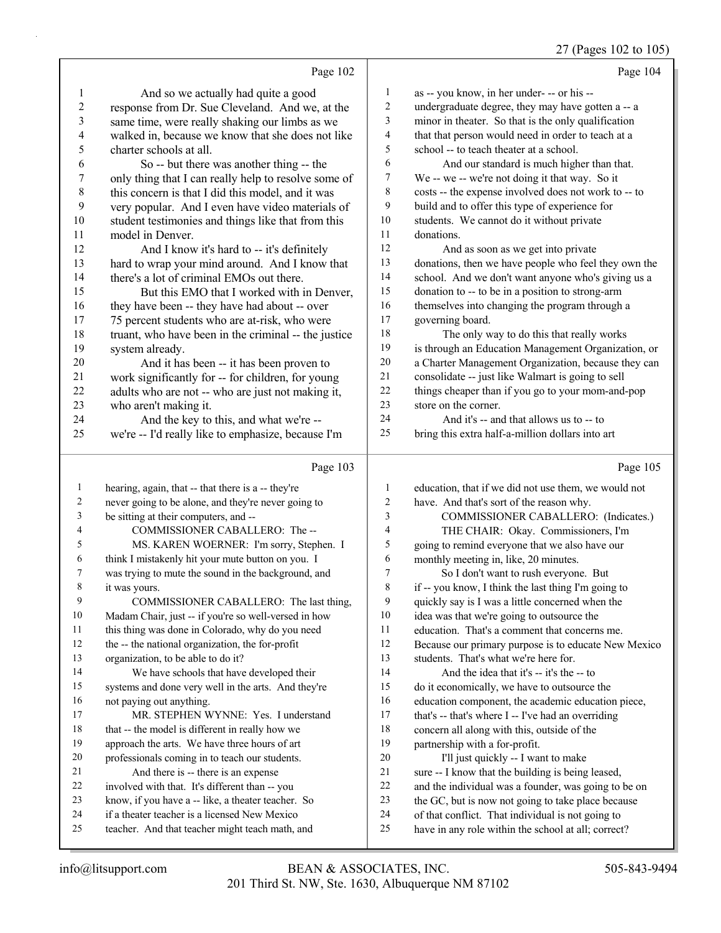#### 27 (Pages 102 to 105)

Page 102 1 And so we actually had quite a good response from Dr. Sue Cleveland. And we, at the same time, were really shaking our limbs as we 4 walked in, because we know that she does not like<br>5 charter schools at all charter schools at all. 6 So -- but there was another thing -- the only thing that I can really help to resolve some of 8 this concern is that I did this model, and it was very popular. And I even have video materials of student testimonies and things like that from this model in Denver. 12 And I know it's hard to -- it's definitely hard to wrap your mind around. And I know that 14 there's a lot of criminal EMOs out there.<br>15 But this EMO that I worked with i But this EMO that I worked with in Denver, 16 they have been -- they have had about -- over 75 percent students who are at-risk, who were truant, who have been in the criminal -- the justice 19 system already.<br>20 And it has And it has been -- it has been proven to 21 work significantly for -- for children, for young<br>22 adults who are not -- who are just not making it. adults who are not -- who are just not making it, who aren't making it. 24 And the key to this, and what we're -- we're -- I'd really like to emphasize, because I'm Page 103 hearing, again, that -- that there is a -- they're never going to be alone, and they're never going to be sitting at their computers, and -- 4 COMMISSIONER CABALLERO: The -- 5 MS. KAREN WOERNER: I'm sorry, Stephen. I think I mistakenly hit your mute button on you. I was trying to mute the sound in the background, and it was yours. 9 COMMISSIONER CABALLERO: The last thing, Madam Chair, just -- if you're so well-versed in how this thing was done in Colorado, why do you need the -- the national organization, the for-profit organization, to be able to do it? 14 We have schools that have developed their systems and done very well in the arts. And they're not paying out anything. Page 104 as -- you know, in her under- -- or his -- undergraduate degree, they may have gotten a -- a minor in theater. So that is the only qualification that that person would need in order to teach at a school -- to teach theater at a school. 6 And our standard is much higher than that. We -- we -- we're not doing it that way. So it costs -- the expense involved does not work to -- to build and to offer this type of experience for students. We cannot do it without private donations. 12 And as soon as we get into private donations, then we have people who feel they own the school. And we don't want anyone who's giving us a donation to -- to be in a position to strong-arm themselves into changing the program through a governing board. 18 The only way to do this that really works is through an Education Management Organization, or a Charter Management Organization, because they can consolidate -- just like Walmart is going to sell things cheaper than if you go to your mom-and-pop store on the corner. 24 And it's -- and that allows us to -- to bring this extra half-a-million dollars into art Page 105 education, that if we did not use them, we would not have. And that's sort of the reason why. 3 COMMISSIONER CABALLERO: (Indicates.) 4 THE CHAIR: Okay. Commissioners, I'm going to remind everyone that we also have our monthly meeting in, like, 20 minutes. 7 So I don't want to rush everyone. But if -- you know, I think the last thing I'm going to quickly say is I was a little concerned when the idea was that we're going to outsource the education. That's a comment that concerns me. Because our primary purpose is to educate New Mexico students. That's what we're here for. 14 And the idea that it's -- it's the -- to do it economically, we have to outsource the education component, the academic education piece,

17 MR. STEPHEN WYNNE: Yes. I understand 18 that -- the model is different in really how we approach the arts. We have three hours of art professionals coming in to teach our students. 21 And there is -- there is an expense involved with that. It's different than -- you know, if you have a -- like, a theater teacher. So if a theater teacher is a licensed New Mexico teacher. And that teacher might teach math, and

 that's -- that's where I -- I've had an overriding concern all along with this, outside of the

20 I'll just quickly -- I want to make 21 sure -- I know that the building is being leased, and the individual was a founder, was going to be on 23 the GC, but is now not going to take place because of that conflict. That individual is not going to have in any role within the school at all; correct?

partnership with a for-profit.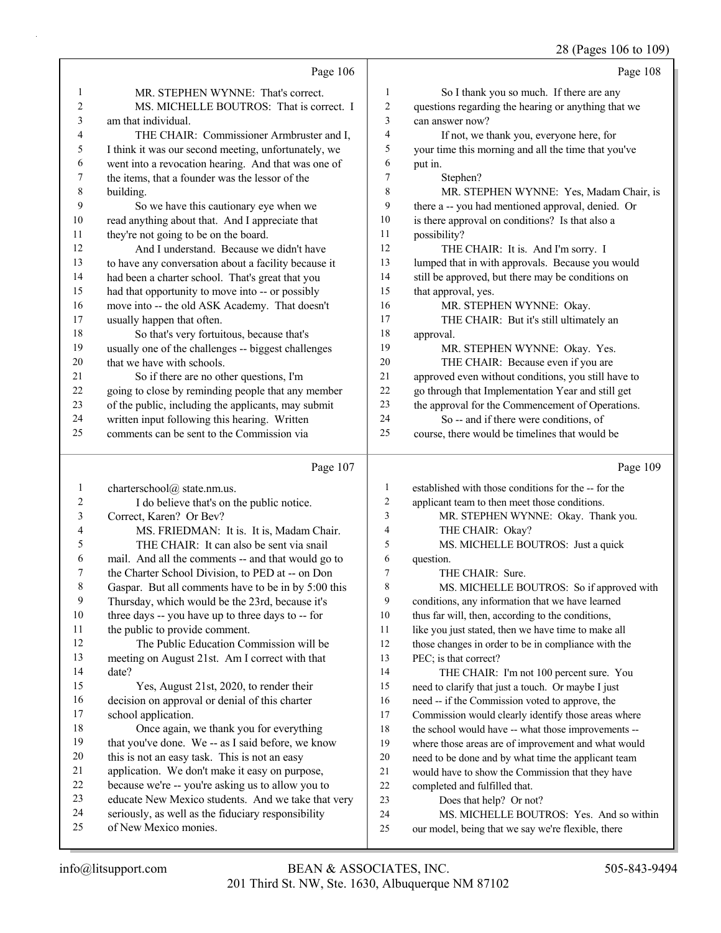# 28 (Pages 106 to 109)

|                | Page 106                                             |                  | Page 108                                             |
|----------------|------------------------------------------------------|------------------|------------------------------------------------------|
| 1              | MR. STEPHEN WYNNE: That's correct.                   | 1                | So I thank you so much. If there are any             |
| $\overline{2}$ | MS. MICHELLE BOUTROS: That is correct. I             | $\boldsymbol{2}$ | questions regarding the hearing or anything that we  |
| 3              | am that individual.                                  | 3                | can answer now?                                      |
| 4              | THE CHAIR: Commissioner Armbruster and I,            | 4                | If not, we thank you, everyone here, for             |
| 5              | I think it was our second meeting, unfortunately, we | 5                | your time this morning and all the time that you've  |
| 6              | went into a revocation hearing. And that was one of  | 6                | put in.                                              |
| 7              | the items, that a founder was the lessor of the      | 7                | Stephen?                                             |
| 8              | building.                                            | 8                | MR. STEPHEN WYNNE: Yes, Madam Chair, is              |
| 9              | So we have this cautionary eye when we               | 9                | there a -- you had mentioned approval, denied. Or    |
| 10             | read anything about that. And I appreciate that      | 10               | is there approval on conditions? Is that also a      |
| 11             | they're not going to be on the board.                | 11               | possibility?                                         |
| 12             | And I understand. Because we didn't have             | 12               | THE CHAIR: It is. And I'm sorry. I                   |
| 13             | to have any conversation about a facility because it | 13               | lumped that in with approvals. Because you would     |
| 14             | had been a charter school. That's great that you     | 14               | still be approved, but there may be conditions on    |
| 15             | had that opportunity to move into -- or possibly     | 15               | that approval, yes.                                  |
| 16             | move into -- the old ASK Academy. That doesn't       | 16               | MR. STEPHEN WYNNE: Okay.                             |
| 17             | usually happen that often.                           | 17               | THE CHAIR: But it's still ultimately an              |
| 18             | So that's very fortuitous, because that's            | 18               | approval.                                            |
| 19             | usually one of the challenges -- biggest challenges  | 19               | MR. STEPHEN WYNNE: Okay. Yes.                        |
| 20             | that we have with schools.                           | 20               | THE CHAIR: Because even if you are                   |
| 21             | So if there are no other questions, I'm              | 21               | approved even without conditions, you still have to  |
| 22             | going to close by reminding people that any member   | 22               | go through that Implementation Year and still get    |
| 23             | of the public, including the applicants, may submit  | 23               | the approval for the Commencement of Operations.     |
| 24             | written input following this hearing. Written        | 24               | So -- and if there were conditions, of               |
| 25             | comments can be sent to the Commission via           | 25               | course, there would be timelines that would be       |
|                | Page 107                                             |                  | Page 109                                             |
| $\mathbf{1}$   | charterschool@ state.nm.us.                          | $\mathbf{1}$     | established with those conditions for the -- for the |
| 2              | I do believe that's on the public notice.            | $\overline{c}$   | applicant team to then meet those conditions.        |
| 3              | Correct, Karen? Or Bev?                              | 3                | MR. STEPHEN WYNNE: Okay. Thank you.                  |
| 4              | MS. FRIEDMAN: It is. It is, Madam Chair.             | 4                | THE CHAIR: Okay?                                     |
| 5              | THE CHAIR: It can also be sent via snail             | 5                | MS. MICHELLE BOUTROS: Just a quick                   |
| 6              | mail. And all the comments -- and that would go to   | 6                | question.                                            |
| 7              | the Charter School Division, to PED at -- on Don     | 7                | THE CHAIR: Sure.                                     |
|                | Gaspar. But all comments have to be in by 5:00 this  | 8                | MS. MICHELLE BOUTROS: So if approved with            |
| 9              | Thursday, which would be the 23rd, because it's      | 9                | conditions, any information that we have learned     |
| 10             | three days -- you have up to three days to -- for    | 10               | thus far will, then, according to the conditions,    |
| 11             | the public to provide comment.                       | 11               | like you just stated, then we have time to make all  |
| 12             | The Public Education Commission will be              | 12               | those changes in order to be in compliance with the  |
| 13             | meeting on August 21st. Am I correct with that       | 13               | PEC; is that correct?                                |
| 14             | date?                                                | 14               | THE CHAIR: I'm not 100 percent sure. You             |
| 15             | Yes, August 21st, 2020, to render their              | 15               | need to clarify that just a touch. Or maybe I just   |
| 16             | decision on approval or denial of this charter       | 16               | need -- if the Commission voted to approve, the      |
| 17             | school application.                                  | 17               | Commission would clearly identify those areas where  |
| 18             | Once again, we thank you for everything              | 18               | the school would have -- what those improvements --  |
| 19             | that you've done. We -- as I said before, we know    | 19               | where those areas are of improvement and what would  |
| 20             | this is not an easy task. This is not an easy        | 20               | need to be done and by what time the applicant team  |
| 21             | application. We don't make it easy on purpose,       | 21               | would have to show the Commission that they have     |
| 22             | because we're -- you're asking us to allow you to    | 22               | completed and fulfilled that.                        |
| 23             | educate New Mexico students. And we take that very   | 23               | Does that help? Or not?                              |
| 24<br>25       | seriously, as well as the fiduciary responsibility   | 24               | MS. MICHELLE BOUTROS: Yes. And so within             |
|                | of New Mexico monies.                                | 25               | our model, being that we say we're flexible, there   |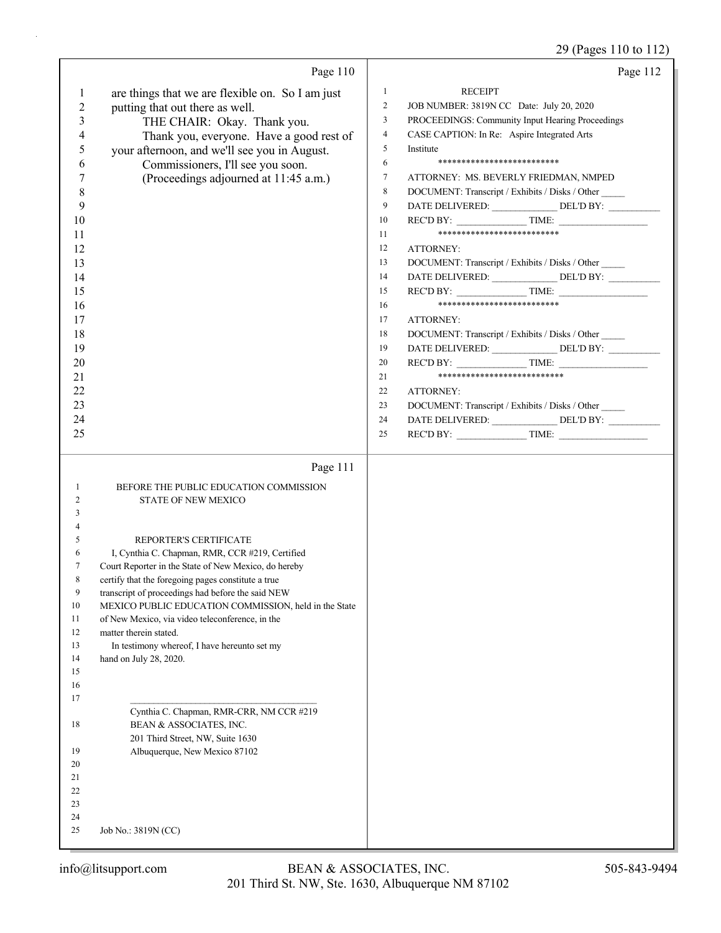# 29 (Pages 110 to 112)

|                | Page 110                                                                  | Page 112                                                                               |
|----------------|---------------------------------------------------------------------------|----------------------------------------------------------------------------------------|
| $\mathbf{1}$   | are things that we are flexible on. So I am just                          | $\mathbf{1}$<br><b>RECEIPT</b>                                                         |
| $\overline{c}$ | putting that out there as well.                                           | $\overline{c}$<br>JOB NUMBER: 3819N CC Date: July 20, 2020                             |
| 3              | THE CHAIR: Okay. Thank you.                                               | $\mathfrak{Z}$<br>PROCEEDINGS: Community Input Hearing Proceedings                     |
| 4              | Thank you, everyone. Have a good rest of                                  | $\overline{4}$<br>CASE CAPTION: In Re: Aspire Integrated Arts                          |
| 5              | your afternoon, and we'll see you in August.                              | 5<br>Institute                                                                         |
| 6              | Commissioners, I'll see you soon.                                         | 6<br>**************************                                                        |
| 7              | (Proceedings adjourned at 11:45 a.m.)                                     | $\tau$<br>ATTORNEY: MS. BEVERLY FRIEDMAN, NMPED                                        |
| 8              |                                                                           | $\,$ 8 $\,$<br>DOCUMENT: Transcript / Exhibits / Disks / Other                         |
| 9              |                                                                           | DATE DELIVERED: _____________________DEL'D BY: __________________________________<br>9 |
| 10             |                                                                           | 10                                                                                     |
| 11             |                                                                           | **************************<br>11                                                       |
| 12             |                                                                           | 12<br>ATTORNEY:                                                                        |
| 13             |                                                                           | 13<br>DOCUMENT: Transcript / Exhibits / Disks / Other                                  |
| 14             |                                                                           | DATE DELIVERED: ________________ DEL'D BY: ____________<br>14                          |
| 15             |                                                                           | $RECD BY:$ TIME:<br>15<br>**************************                                   |
| 16<br>17       |                                                                           | 16<br>17                                                                               |
| 18             |                                                                           | ATTORNEY:<br>DOCUMENT: Transcript / Exhibits / Disks / Other<br>18                     |
| 19             |                                                                           | DATE DELIVERED: _________________ DEL'D BY: __________<br>19                           |
| 20             |                                                                           | $RECD BY:$ TIME:<br>20                                                                 |
| 21             |                                                                           | ***************************<br>21                                                      |
| 22             |                                                                           | 22<br>ATTORNEY:                                                                        |
| 23             |                                                                           | 23<br>DOCUMENT: Transcript / Exhibits / Disks / Other                                  |
| 24             |                                                                           | DATE DELIVERED: ________________ DEL'D BY: __________<br>24                            |
| 25             |                                                                           | 25                                                                                     |
|                |                                                                           |                                                                                        |
|                | Page 111                                                                  |                                                                                        |
| 1              | BEFORE THE PUBLIC EDUCATION COMMISSION                                    |                                                                                        |
| 2              | <b>STATE OF NEW MEXICO</b>                                                |                                                                                        |
| 3              |                                                                           |                                                                                        |
|                |                                                                           |                                                                                        |
| 5<br>6         | REPORTER'S CERTIFICATE<br>I, Cynthia C. Chapman, RMR, CCR #219, Certified |                                                                                        |
| 7              | Court Reporter in the State of New Mexico, do hereby                      |                                                                                        |
| 8              | certify that the foregoing pages constitute a true                        |                                                                                        |
| 9              | transcript of proceedings had before the said NEW                         |                                                                                        |
| 10             | MEXICO PUBLIC EDUCATION COMMISSION, held in the State                     |                                                                                        |
| 11             | of New Mexico, via video teleconference, in the                           |                                                                                        |
| 12             | matter therein stated.                                                    |                                                                                        |
| 13<br>14       | In testimony whereof, I have hereunto set my<br>hand on July 28, 2020.    |                                                                                        |
| 15             |                                                                           |                                                                                        |
| 16             |                                                                           |                                                                                        |
| 17             |                                                                           |                                                                                        |
|                | Cynthia C. Chapman, RMR-CRR, NM CCR #219                                  |                                                                                        |
| 18             | BEAN & ASSOCIATES, INC.                                                   |                                                                                        |
|                | 201 Third Street, NW, Suite 1630                                          |                                                                                        |
| 19             | Albuquerque, New Mexico 87102                                             |                                                                                        |
| 20<br>21       |                                                                           |                                                                                        |
| 22             |                                                                           |                                                                                        |
| 23             |                                                                           |                                                                                        |
| 24             |                                                                           |                                                                                        |
| 25             | Job No.: 3819N (CC)                                                       |                                                                                        |
|                |                                                                           |                                                                                        |